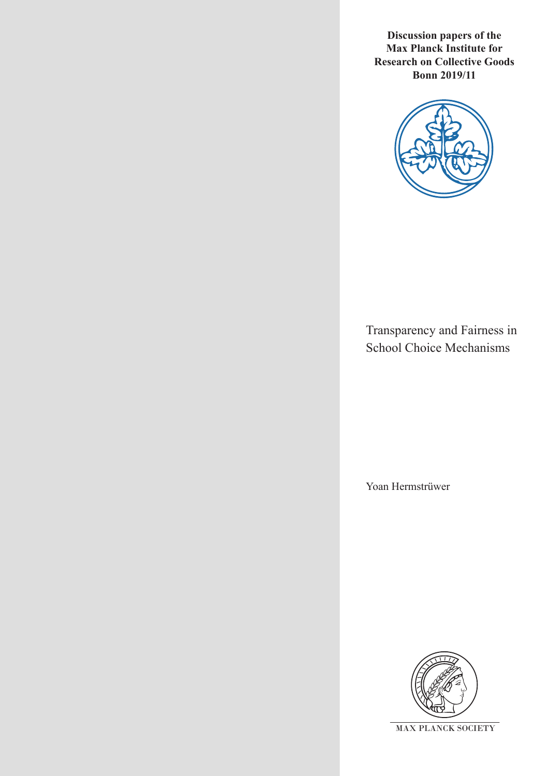**Discussion papers of the Max Planck Institute for Research on Collective Goods Bonn 2019/11**



Transparency and Fairness in School Choice Mechanisms

Yoan Hermstrüwer

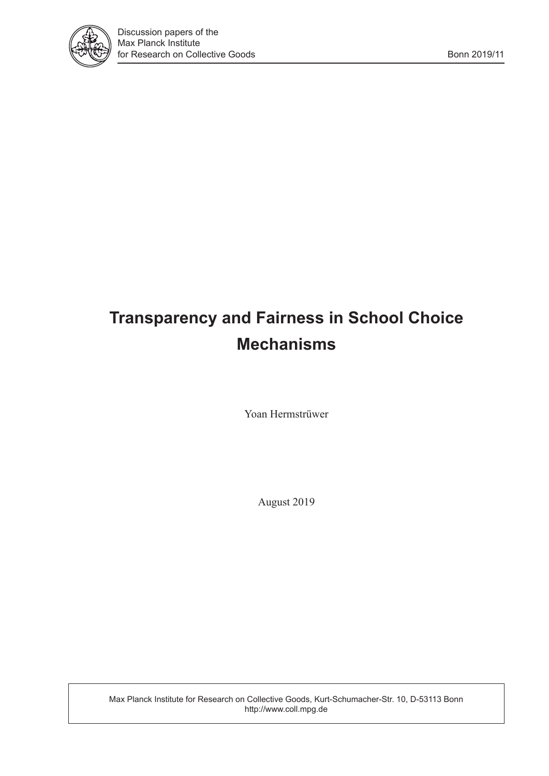

# **Transparency and Fairness in School Choice Mechanisms**

Yoan Hermstrüwer

August 2019

Max Planck Institute for Research on Collective Goods, Kurt-Schumacher-Str. 10, D-53113 Bonn http://www.coll.mpg.de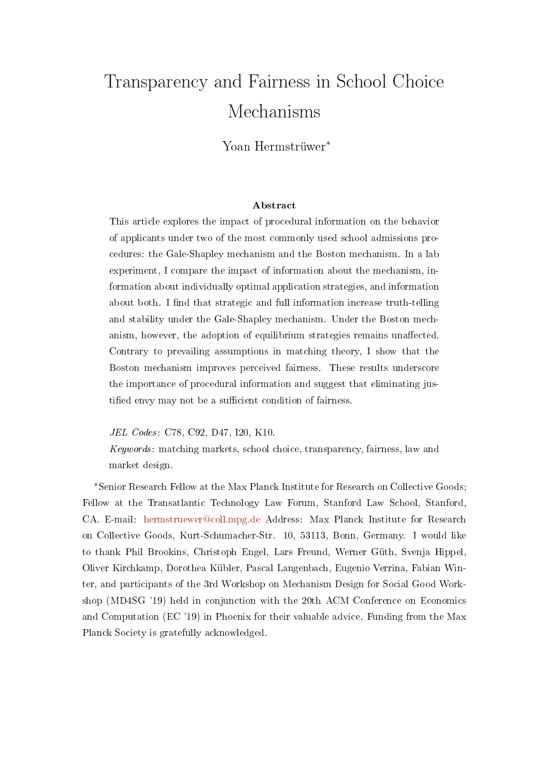# Transparency and Fairness in School Choice Mechanisms

Yoan Hermstrüwer\*

#### Abstract

This article explores the impact of procedural information on the behavior of applicants under two of the most commonly used school admissions procedures: the Gale-Shapley mechanism and the Boston mechanism. In a lab experiment, I compare the impact of information about the mechanism, information about individually optimal application strategies, and information about both. I find that strategic and full information increase truth-telling and stability under the Gale-Shapley mechanism. Under the Boston mechanism, however, the adoption of equilibrium strategies remains unaffected. Contrary to prevailing assumptions in matching theory, I show that the Boston mechanism improves perceived fairness. These results underscore the importance of procedural information and suggest that eliminating justified envy may not be a sufficient condition of fairness.

JEL Codes: C78, C92, D47, I20, K10.

Keywords: matching markets, school choice, transparency, fairness, law and market design.

\*Senior Research Fellow at the Max Planck Institute for Research on Collective Goods; Fellow at the Transatlantic Technology Law Forum, Stanford Law School, Stanford, CA. E-mail: [hermstruewer@coll.mpg.de](mailto:hermstruewer@coll.mpg.de) Address: Max Planck Institute for Research on Collective Goods, Kurt-Schumacher-Str. 10, 53113, Bonn, Germany. I would like to thank Phil Brookins, Christoph Engel, Lars Freund, Werner Güth, Svenja Hippel, Oliver Kirchkamp, Dorothea Kübler, Pascal Langenbach, Eugenio Verrina, Fabian Winter, and participants of the 3rd Workshop on Mechanism Design for Social Good Workshop (MD4SG '19) held in conjunction with the 20th ACM Conference on Economics and Computation (EC '19) in Phoenix for their valuable advice. Funding from the Max Planck Society is gratefully acknowledged.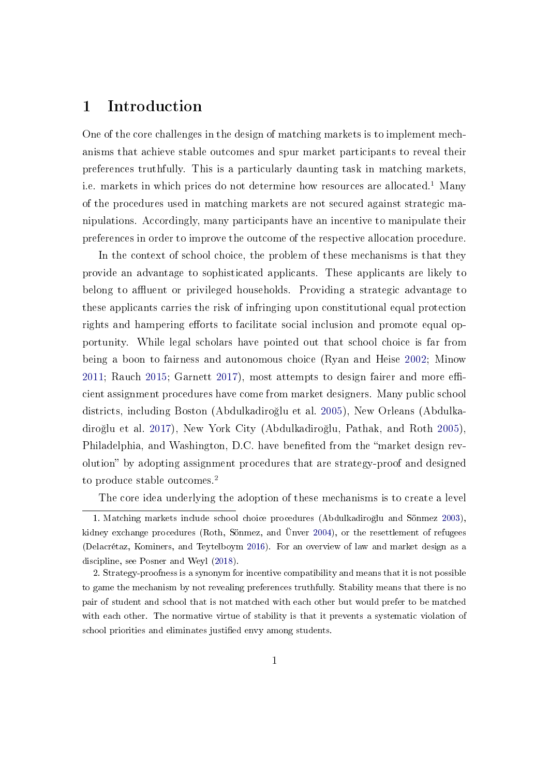## 1 Introduction

One of the core challenges in the design of matching markets is to implement mechanisms that achieve stable outcomes and spur market participants to reveal their preferences truthfully. This is a particularly daunting task in matching markets, i.e. markets in which prices do not determine how resources are allocated.<sup>[1](#page-3-0)</sup> Many of the procedures used in matching markets are not secured against strategic manipulations. Accordingly, many participants have an incentive to manipulate their preferences in order to improve the outcome of the respective allocation procedure.

In the context of school choice, the problem of these mechanisms is that they provide an advantage to sophisticated applicants. These applicants are likely to belong to affluent or privileged households. Providing a strategic advantage to these applicants carries the risk of infringing upon constitutional equal protection rights and hampering efforts to facilitate social inclusion and promote equal opportunity. While legal scholars have pointed out that school choice is far from being a boon to fairness and autonomous choice (Ryan and Heise [2002;](#page-46-0) Minow  $2011$ ; Rauch  $2015$ ; Garnett  $2017$ ), most attempts to design fairer and more efficient assignment procedures have come from market designers. Many public school districts, including Boston (Abdulkadiro§lu et al. [2005\)](#page-41-0), New Orleans (Abdulkadiro§lu et al. [2017\)](#page-41-1), New York City (Abdulkadiro§lu, Pathak, and Roth [2005\)](#page-41-2), Philadelphia, and Washington, D.C. have benefited from the "market design revolution" by adopting assignment procedures that are strategy-proof and designed to produce stable outcomes.<sup>[2](#page-3-1)</sup>

<span id="page-3-0"></span>The core idea underlying the adoption of these mechanisms is to create a level

<sup>1.</sup> Matching markets include school choice procedures (Abdulkadiro§lu and Sönmez [2003\)](#page-41-3), kidney exchange procedures (Roth, Sönmez, and Ünver [2004\)](#page-46-2), or the resettlement of refugees (Delacrétaz, Kominers, and Teytelboym [2016\)](#page-42-0). For an overview of law and market design as a discipline, see Posner and Weyl [\(2018\)](#page-45-1).

<span id="page-3-1"></span><sup>2.</sup> Strategy-proofness is a synonym for incentive compatibility and means that it is not possible to game the mechanism by not revealing preferences truthfully. Stability means that there is no pair of student and school that is not matched with each other but would prefer to be matched with each other. The normative virtue of stability is that it prevents a systematic violation of school priorities and eliminates justified envy among students.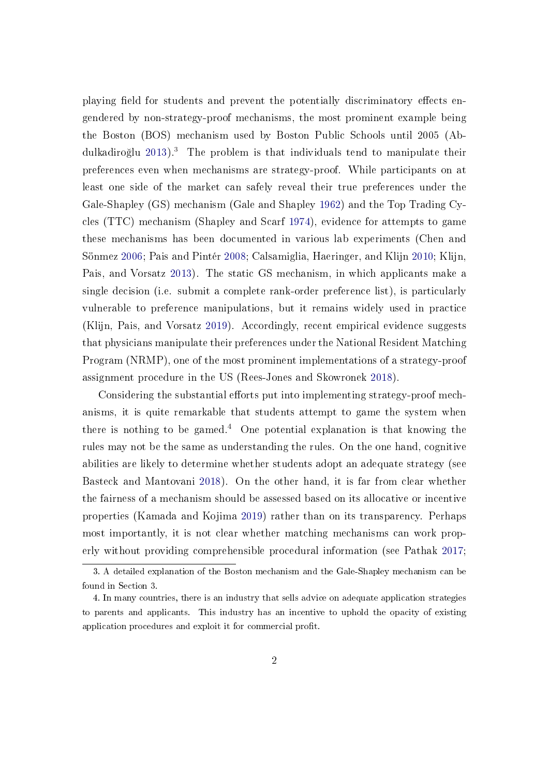playing field for students and prevent the potentially discriminatory effects engendered by non-strategy-proof mechanisms, the most prominent example being the Boston (BOS) mechanism used by Boston Public Schools until 2005 (Abdulkadiro§lu [2013\)](#page-41-4).[3](#page-4-0) The problem is that individuals tend to manipulate their preferences even when mechanisms are strategy-proof. While participants on at least one side of the market can safely reveal their true preferences under the Gale-Shapley (GS) mechanism (Gale and Shapley [1962\)](#page-43-1) and the Top Trading Cycles (TTC) mechanism (Shapley and Scarf [1974\)](#page-46-3), evidence for attempts to game these mechanisms has been documented in various lab experiments (Chen and Sönmez [2006;](#page-42-1) Pais and Pintér [2008;](#page-45-2) Calsamiglia, Haeringer, and Klijn [2010;](#page-42-2) Klijn, Pais, and Vorsatz [2013\)](#page-44-0). The static GS mechanism, in which applicants make a single decision (i.e. submit a complete rank-order preference list), is particularly vulnerable to preference manipulations, but it remains widely used in practice (Klijn, Pais, and Vorsatz [2019\)](#page-44-1). Accordingly, recent empirical evidence suggests that physicians manipulate their preferences under the National Resident Matching Program (NRMP), one of the most prominent implementations of a strategy-proof assignment procedure in the US (Rees-Jones and Skowronek [2018\)](#page-46-4).

Considering the substantial efforts put into implementing strategy-proof mechanisms, it is quite remarkable that students attempt to game the system when there is nothing to be gamed.<sup>[4](#page-4-1)</sup> One potential explanation is that knowing the rules may not be the same as understanding the rules. On the one hand, cognitive abilities are likely to determine whether students adopt an adequate strategy (see Basteck and Mantovani [2018\)](#page-41-5). On the other hand, it is far from clear whether the fairness of a mechanism should be assessed based on its allocative or incentive properties (Kamada and Kojima [2019\)](#page-44-2) rather than on its transparency. Perhaps most importantly, it is not clear whether matching mechanisms can work properly without providing comprehensible procedural information (see Pathak [2017;](#page-45-3)

<span id="page-4-0"></span><sup>3.</sup> A detailed explanation of the Boston mechanism and the Gale-Shapley mechanism can be found in Section [3.](#page-15-0)

<span id="page-4-1"></span><sup>4.</sup> In many countries, there is an industry that sells advice on adequate application strategies to parents and applicants. This industry has an incentive to uphold the opacity of existing application procedures and exploit it for commercial profit.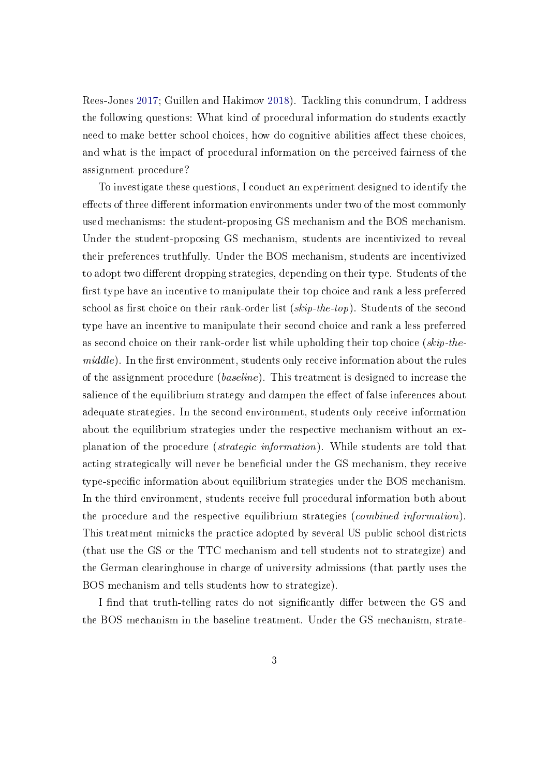Rees-Jones [2017;](#page-46-5) Guillen and Hakimov [2018\)](#page-43-2). Tackling this conundrum, I address the following questions: What kind of procedural information do students exactly need to make better school choices, how do cognitive abilities affect these choices, and what is the impact of procedural information on the perceived fairness of the assignment procedure?

To investigate these questions, I conduct an experiment designed to identify the effects of three different information environments under two of the most commonly used mechanisms: the student-proposing GS mechanism and the BOS mechanism. Under the student-proposing GS mechanism, students are incentivized to reveal their preferences truthfully. Under the BOS mechanism, students are incentivized to adopt two different dropping strategies, depending on their type. Students of the first type have an incentive to manipulate their top choice and rank a less preferred school as first choice on their rank-order list  $(skip-the-top)$ . Students of the second type have an incentive to manipulate their second choice and rank a less preferred as second choice on their rank-order list while upholding their top choice ( $skip$ -the $middle$ ). In the first environment, students only receive information about the rules of the assignment procedure (baseline). This treatment is designed to increase the salience of the equilibrium strategy and dampen the effect of false inferences about adequate strategies. In the second environment, students only receive information about the equilibrium strategies under the respective mechanism without an explanation of the procedure (strategic information). While students are told that acting strategically will never be beneficial under the GS mechanism, they receive type-specific information about equilibrium strategies under the BOS mechanism. In the third environment, students receive full procedural information both about the procedure and the respective equilibrium strategies (combined information). This treatment mimicks the practice adopted by several US public school districts (that use the GS or the TTC mechanism and tell students not to strategize) and the German clearinghouse in charge of university admissions (that partly uses the BOS mechanism and tells students how to strategize).

I find that truth-telling rates do not significantly differ between the GS and the BOS mechanism in the baseline treatment. Under the GS mechanism, strate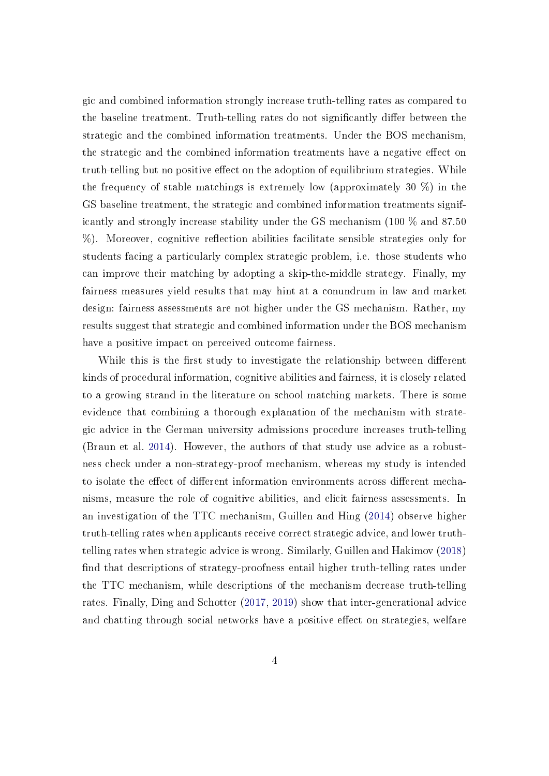gic and combined information strongly increase truth-telling rates as compared to the baseline treatment. Truth-telling rates do not significantly differ between the strategic and the combined information treatments. Under the BOS mechanism, the strategic and the combined information treatments have a negative effect on truth-telling but no positive effect on the adoption of equilibrium strategies. While the frequency of stable matchings is extremely low (approximately 30 %) in the GS baseline treatment, the strategic and combined information treatments significantly and strongly increase stability under the GS mechanism (100 % and 87.50  $%$ ). Moreover, cognitive reflection abilities facilitate sensible strategies only for students facing a particularly complex strategic problem, i.e. those students who can improve their matching by adopting a skip-the-middle strategy. Finally, my fairness measures yield results that may hint at a conundrum in law and market design: fairness assessments are not higher under the GS mechanism. Rather, my results suggest that strategic and combined information under the BOS mechanism have a positive impact on perceived outcome fairness.

While this is the first study to investigate the relationship between different kinds of procedural information, cognitive abilities and fairness, it is closely related to a growing strand in the literature on school matching markets. There is some evidence that combining a thorough explanation of the mechanism with strategic advice in the German university admissions procedure increases truth-telling (Braun et al. [2014\)](#page-41-6). However, the authors of that study use advice as a robustness check under a non-strategy-proof mechanism, whereas my study is intended to isolate the effect of different information environments across different mechanisms, measure the role of cognitive abilities, and elicit fairness assessments. In an investigation of the TTC mechanism, Guillen and Hing [\(2014\)](#page-44-3) observe higher truth-telling rates when applicants receive correct strategic advice, and lower truthtelling rates when strategic advice is wrong. Similarly, Guillen and Hakimov [\(2018\)](#page-43-2) find that descriptions of strategy-proofness entail higher truth-telling rates under the TTC mechanism, while descriptions of the mechanism decrease truth-telling rates. Finally, Ding and Schotter [\(2017,](#page-42-3) [2019\)](#page-42-4) show that inter-generational advice and chatting through social networks have a positive effect on strategies, welfare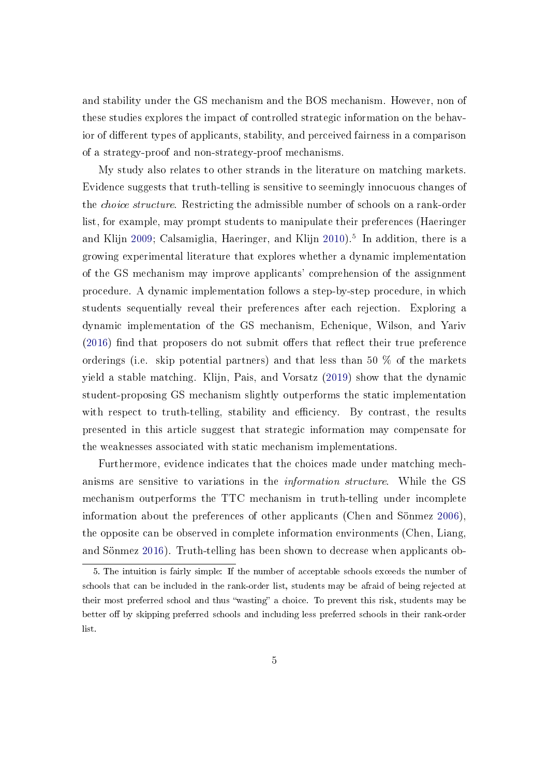and stability under the GS mechanism and the BOS mechanism. However, non of these studies explores the impact of controlled strategic information on the behavior of different types of applicants, stability, and perceived fairness in a comparison of a strategy-proof and non-strategy-proof mechanisms.

My study also relates to other strands in the literature on matching markets. Evidence suggests that truth-telling is sensitive to seemingly innocuous changes of the choice structure. Restricting the admissible number of schools on a rank-order list, for example, may prompt students to manipulate their preferences (Haeringer and Klijn [2009;](#page-44-4) Calsamiglia, Haeringer, and Klijn [2010\)](#page-42-2).<sup>[5](#page-7-0)</sup> In addition, there is a growing experimental literature that explores whether a dynamic implementation of the GS mechanism may improve applicants' comprehension of the assignment procedure. A dynamic implementation follows a step-by-step procedure, in which students sequentially reveal their preferences after each rejection. Exploring a dynamic implementation of the GS mechanism, Echenique, Wilson, and Yariv  $(2016)$  find that proposers do not submit offers that reflect their true preference orderings (i.e. skip potential partners) and that less than 50 % of the markets yield a stable matching. Klijn, Pais, and Vorsatz [\(2019\)](#page-44-1) show that the dynamic student-proposing GS mechanism slightly outperforms the static implementation with respect to truth-telling, stability and efficiency. By contrast, the results presented in this article suggest that strategic information may compensate for the weaknesses associated with static mechanism implementations.

Furthermore, evidence indicates that the choices made under matching mechanisms are sensitive to variations in the information structure. While the GS mechanism outperforms the TTC mechanism in truth-telling under incomplete information about the preferences of other applicants (Chen and Sönmez [2006\)](#page-42-1), the opposite can be observed in complete information environments (Chen, Liang, and Sönmez [2016\)](#page-42-6). Truth-telling has been shown to decrease when applicants ob-

<span id="page-7-0"></span><sup>5.</sup> The intuition is fairly simple: If the number of acceptable schools exceeds the number of schools that can be included in the rank-order list, students may be afraid of being rejected at their most preferred school and thus "wasting" a choice. To prevent this risk, students may be better off by skipping preferred schools and including less preferred schools in their rank-order list.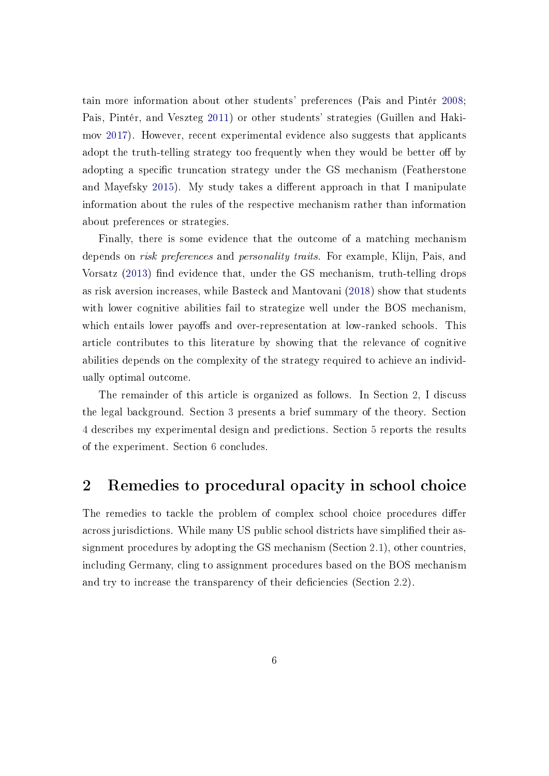tain more information about other students' preferences (Pais and Pintér [2008;](#page-45-2) Pais, Pintér, and Veszteg [2011\)](#page-45-4) or other students' strategies (Guillen and Hakimov [2017\)](#page-43-3). However, recent experimental evidence also suggests that applicants adopt the truth-telling strategy too frequently when they would be better off by adopting a specific truncation strategy under the GS mechanism (Featherstone and Mayefsky [2015\)](#page-43-4). My study takes a different approach in that I manipulate information about the rules of the respective mechanism rather than information about preferences or strategies.

Finally, there is some evidence that the outcome of a matching mechanism depends on *risk preferences* and *personality traits*. For example, Klijn, Pais, and Vorsatz [\(2013\)](#page-44-0) find evidence that, under the GS mechanism, truth-telling drops as risk aversion increases, while Basteck and Mantovani [\(2018\)](#page-41-5) show that students with lower cognitive abilities fail to strategize well under the BOS mechanism, which entails lower payoffs and over-representation at low-ranked schools. This article contributes to this literature by showing that the relevance of cognitive abilities depends on the complexity of the strategy required to achieve an individually optimal outcome.

The remainder of this article is organized as follows. In Section [2,](#page-8-0) I discuss the legal background. Section [3](#page-15-0) presents a brief summary of the theory. Section [4](#page-19-0) describes my experimental design and predictions. Section [5](#page-26-0) reports the results of the experiment. Section [6](#page-37-0) concludes.

## <span id="page-8-0"></span>2 Remedies to procedural opacity in school choice

<span id="page-8-1"></span>The remedies to tackle the problem of complex school choice procedures differ across jurisdictions. While many US public school districts have simplified their assignment procedures by adopting the GS mechanism (Section [2.1\)](#page-8-1), other countries, including Germany, cling to assignment procedures based on the BOS mechanism and try to increase the transparency of their deficiencies (Section [2.2\)](#page-12-0).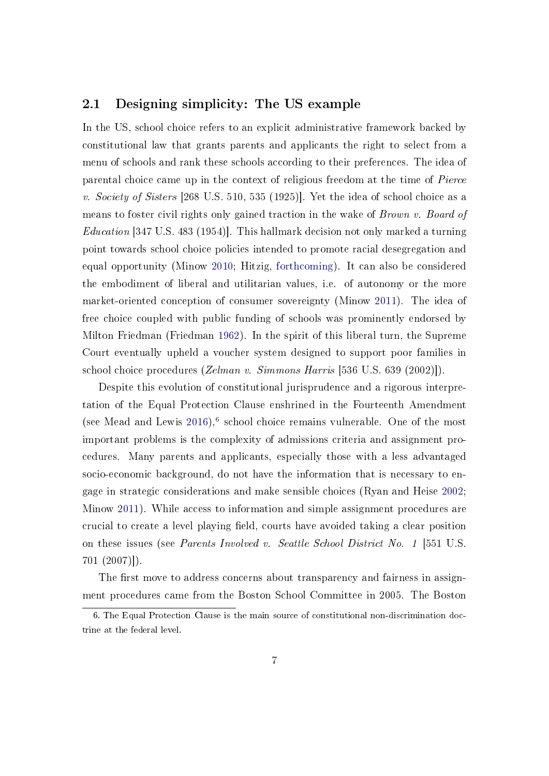#### 2.1 Designing simplicity: The US example

In the US, school choice refers to an explicit administrative framework backed by constitutional law that grants parents and applicants the right to select from a menu of schools and rank these schools according to their preferences. The idea of parental choice came up in the context of religious freedom at the time of Pierce v. Society of Sisters [268 U.S. 510, 535 (1925)]. Yet the idea of school choice as a means to foster civil rights only gained traction in the wake of Brown v. Board of Education [347 U.S. 483 (1954)]. This hallmark decision not only marked a turning point towards school choice policies intended to promote racial desegregation and equal opportunity (Minow [2010;](#page-45-5) Hitzig, [forthcoming\)](#page-44-5). It can also be considered the embodiment of liberal and utilitarian values, i.e. of autonomy or the more market-oriented conception of consumer sovereignty (Minow [2011\)](#page-45-0). The idea of free choice coupled with public funding of schools was prominently endorsed by Milton Friedman (Friedman [1962\)](#page-43-5). In the spirit of this liberal turn, the Supreme Court eventually upheld a voucher system designed to support poor families in school choice procedures (Zelman v. Simmons Harris [536 U.S. 639 (2002)]).

Despite this evolution of constitutional jurisprudence and a rigorous interpretation of the Equal Protection Clause enshrined in the Fourteenth Amendment (see Mead and Lewis  $2016$  $2016$ ),<sup>6</sup> school choice remains vulnerable. One of the most important problems is the complexity of admissions criteria and assignment procedures. Many parents and applicants, especially those with a less advantaged socio-economic background, do not have the information that is necessary to engage in strategic considerations and make sensible choices (Ryan and Heise [2002;](#page-46-0) Minow [2011\)](#page-45-0). While access to information and simple assignment procedures are crucial to create a level playing field, courts have avoided taking a clear position on these issues (see Parents Involved v. Seattle School District No. 1 [551 U.S. 701 (2007)]).

The first move to address concerns about transparency and fairness in assignment procedures came from the Boston School Committee in 2005. The Boston

<span id="page-9-0"></span><sup>6.</sup> The Equal Protection Clause is the main source of constitutional non-discrimination doctrine at the federal level.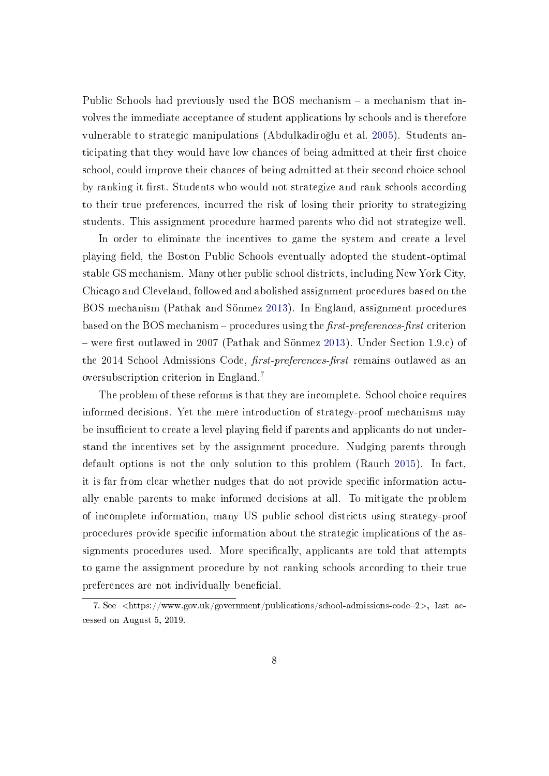Public Schools had previously used the BOS mechanism  $-$  a mechanism that involves the immediate acceptance of student applications by schools and is therefore vulnerable to strategic manipulations (Abdulkadiro§lu et al. [2005\)](#page-41-0). Students anticipating that they would have low chances of being admitted at their first choice school, could improve their chances of being admitted at their second choice school by ranking it first. Students who would not strategize and rank schools according to their true preferences, incurred the risk of losing their priority to strategizing students. This assignment procedure harmed parents who did not strategize well.

In order to eliminate the incentives to game the system and create a level playing field, the Boston Public Schools eventually adopted the student-optimal stable GS mechanism. Many other public school districts, including New York City, Chicago and Cleveland, followed and abolished assignment procedures based on the BOS mechanism (Pathak and Sönmez [2013\)](#page-45-6). In England, assignment procedures based on the BOS mechanism  $-$  procedures using the *first-preferences-first* criterion – were first outlawed in 2007 (Pathak and Sönmez [2013\)](#page-45-6). Under Section 1.9.c) of the 2014 School Admissions Code, *first-preferences-first* remains outlawed as an oversubscription criterion in England.[7](#page-10-0)

The problem of these reforms is that they are incomplete. School choice requires informed decisions. Yet the mere introduction of strategy-proof mechanisms may be insufficient to create a level playing field if parents and applicants do not understand the incentives set by the assignment procedure. Nudging parents through default options is not the only solution to this problem (Rauch [2015\)](#page-46-1). In fact, it is far from clear whether nudges that do not provide specific information actually enable parents to make informed decisions at all. To mitigate the problem of incomplete information, many US public school districts using strategy-proof procedures provide specific information about the strategic implications of the assignments procedures used. More specifically, applicants are told that attempts to game the assignment procedure by not ranking schools according to their true preferences are not individually beneficial.

<span id="page-10-0"></span><sup>7.</sup> See <https://www.gov.uk/government/publications/school-admissions-code2>, last accessed on August 5, 2019.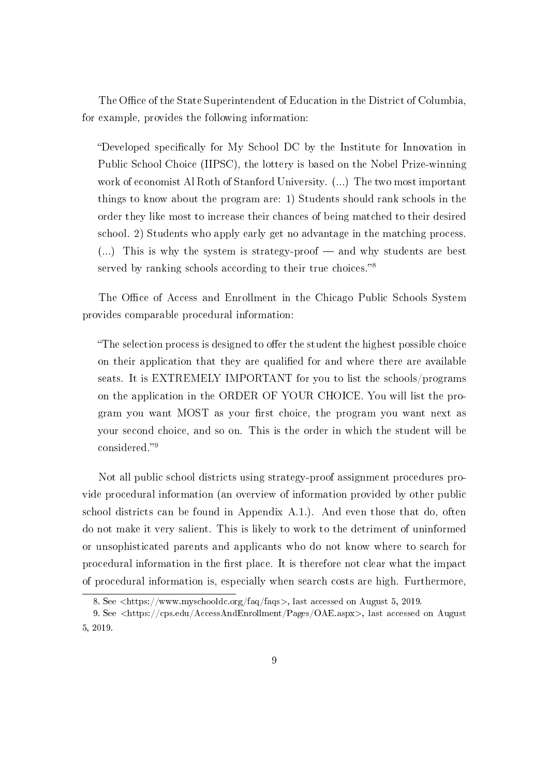The Office of the State Superintendent of Education in the District of Columbia, for example, provides the following information:

"Developed specifically for My School DC by the Institute for Innovation in Public School Choice (IIPSC), the lottery is based on the Nobel Prize-winning work of economist Al Roth of Stanford University. (...) The two most important things to know about the program are: 1) Students should rank schools in the order they like most to increase their chances of being matched to their desired school. 2) Students who apply early get no advantage in the matching process.  $(...)$  This is why the system is strategy-proof  $-$  and why students are best served by ranking schools according to their true choices.<sup>[8](#page-11-0)8</sup>

The Office of Access and Enrollment in the Chicago Public Schools System provides comparable procedural information:

"The selection process is designed to offer the student the highest possible choice" on their application that they are qualified for and where there are available seats. It is EXTREMELY IMPORTANT for you to list the schools/programs on the application in the ORDER OF YOUR CHOICE. You will list the program you want MOST as your first choice, the program you want next as your second choice, and so on. This is the order in which the student will be considered."<sup>[9](#page-11-1)</sup>

Not all public school districts using strategy-proof assignment procedures provide procedural information (an overview of information provided by other public school districts can be found in Appendix A.1.). And even those that do, often do not make it very salient. This is likely to work to the detriment of uninformed or unsophisticated parents and applicants who do not know where to search for procedural information in the first place. It is therefore not clear what the impact of procedural information is, especially when search costs are high. Furthermore,

<span id="page-11-1"></span><span id="page-11-0"></span><sup>8.</sup> See <https://www.myschooldc.org/faq/faqs>, last accessed on August 5, 2019.

<sup>9.</sup> See <https://cps.edu/AccessAndEnrollment/Pages/OAE.aspx>, last accessed on August 5, 2019.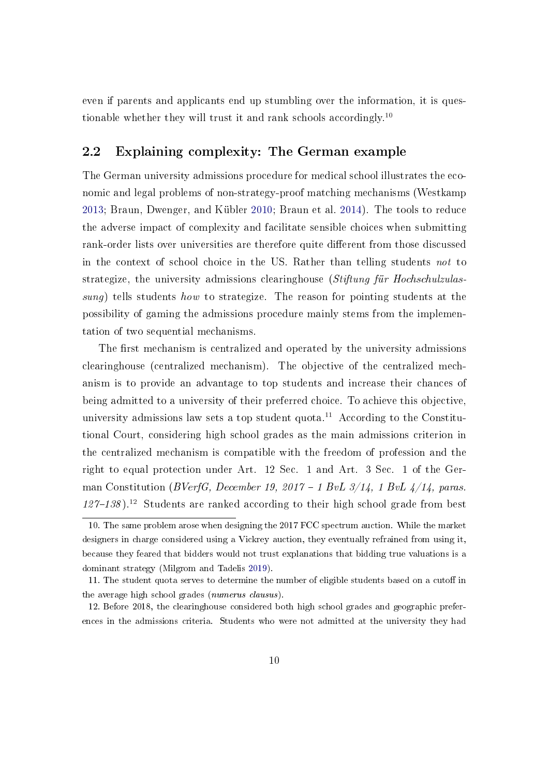even if parents and applicants end up stumbling over the information, it is questionable whether they will trust it and rank schools accordingly.[10](#page-12-1)

### <span id="page-12-0"></span>2.2 Explaining complexity: The German example

The German university admissions procedure for medical school illustrates the economic and legal problems of non-strategy-proof matching mechanisms (Westkamp [2013;](#page-46-6) Braun, Dwenger, and Kübler [2010;](#page-41-7) Braun et al. [2014\)](#page-41-6). The tools to reduce the adverse impact of complexity and facilitate sensible choices when submitting rank-order lists over universities are therefore quite different from those discussed in the context of school choice in the US. Rather than telling students not to strategize, the university admissions clearinghouse (Stiftung für Hochschulzulassung) tells students how to strategize. The reason for pointing students at the possibility of gaming the admissions procedure mainly stems from the implementation of two sequential mechanisms.

The first mechanism is centralized and operated by the university admissions clearinghouse (centralized mechanism). The objective of the centralized mechanism is to provide an advantage to top students and increase their chances of being admitted to a university of their preferred choice. To achieve this objective, university admissions law sets a top student quota.<sup>[11](#page-12-2)</sup> According to the Constitutional Court, considering high school grades as the main admissions criterion in the centralized mechanism is compatible with the freedom of profession and the right to equal protection under Art. 12 Sec. 1 and Art. 3 Sec. 1 of the German Constitution (BVerfG, December 19, 2017 – 1 BvL  $3/14$ , 1 BvL  $4/14$ , paras.  $127-138$  $127-138$ ).<sup>12</sup> Students are ranked according to their high school grade from best

<span id="page-12-1"></span><sup>10.</sup> The same problem arose when designing the 2017 FCC spectrum auction. While the market designers in charge considered using a Vickrey auction, they eventually refrained from using it, because they feared that bidders would not trust explanations that bidding true valuations is a dominant strategy (Milgrom and Tadelis [2019\)](#page-45-7).

<span id="page-12-2"></span><sup>11.</sup> The student quota serves to determine the number of eligible students based on a cutoff in the average high school grades (numerus clausus).

<span id="page-12-3"></span><sup>12.</sup> Before 2018, the clearinghouse considered both high school grades and geographic preferences in the admissions criteria. Students who were not admitted at the university they had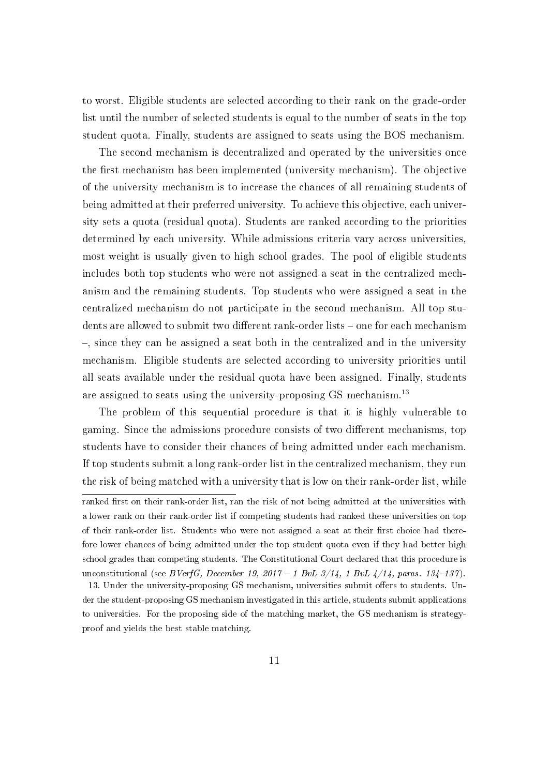to worst. Eligible students are selected according to their rank on the grade-order list until the number of selected students is equal to the number of seats in the top student quota. Finally, students are assigned to seats using the BOS mechanism.

The second mechanism is decentralized and operated by the universities once the first mechanism has been implemented (university mechanism). The objective of the university mechanism is to increase the chances of all remaining students of being admitted at their preferred university. To achieve this objective, each university sets a quota (residual quota). Students are ranked according to the priorities determined by each university. While admissions criteria vary across universities, most weight is usually given to high school grades. The pool of eligible students includes both top students who were not assigned a seat in the centralized mechanism and the remaining students. Top students who were assigned a seat in the centralized mechanism do not participate in the second mechanism. All top students are allowed to submit two different rank-order lists – one for each mechanism , since they can be assigned a seat both in the centralized and in the university mechanism. Eligible students are selected according to university priorities until all seats available under the residual quota have been assigned. Finally, students are assigned to seats using the university-proposing GS mechanism.<sup>[13](#page-13-0)</sup>

The problem of this sequential procedure is that it is highly vulnerable to gaming. Since the admissions procedure consists of two different mechanisms, top students have to consider their chances of being admitted under each mechanism. If top students submit a long rank-order list in the centralized mechanism, they run the risk of being matched with a university that is low on their rank-order list, while

ranked first on their rank-order list, ran the risk of not being admitted at the universities with a lower rank on their rank-order list if competing students had ranked these universities on top of their rank-order list. Students who were not assigned a seat at their first choice had therefore lower chances of being admitted under the top student quota even if they had better high school grades than competing students. The Constitutional Court declared that this procedure is unconstitutional (see BVerfG, December 19, 2017 – 1 BvL  $3/14$ , 1 BvL  $4/14$ , paras. 134–137).

<span id="page-13-0"></span><sup>13.</sup> Under the university-proposing GS mechanism, universities submit offers to students. Under the student-proposing GS mechanism investigated in this article, students submit applications to universities. For the proposing side of the matching market, the GS mechanism is strategyproof and yields the best stable matching.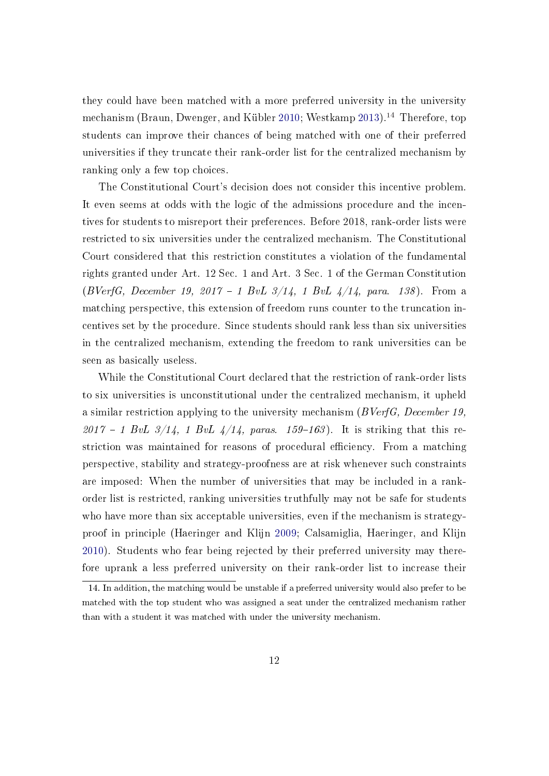they could have been matched with a more preferred university in the university mechanism (Braun, Dwenger, and Kübler [2010;](#page-41-7) Westkamp [2013\)](#page-46-6).<sup>[14](#page-14-0)</sup> Therefore, top students can improve their chances of being matched with one of their preferred universities if they truncate their rank-order list for the centralized mechanism by ranking only a few top choices.

The Constitutional Court's decision does not consider this incentive problem. It even seems at odds with the logic of the admissions procedure and the incentives for students to misreport their preferences. Before 2018, rank-order lists were restricted to six universities under the centralized mechanism. The Constitutional Court considered that this restriction constitutes a violation of the fundamental rights granted under Art. 12 Sec. 1 and Art. 3 Sec. 1 of the German Constitution (BVerfG, December 19, 2017 – 1 BvL  $3/14$ , 1 BvL  $4/14$ , para. 138). From a matching perspective, this extension of freedom runs counter to the truncation incentives set by the procedure. Since students should rank less than six universities in the centralized mechanism, extending the freedom to rank universities can be seen as basically useless.

While the Constitutional Court declared that the restriction of rank-order lists to six universities is unconstitutional under the centralized mechanism, it upheld a similar restriction applying to the university mechanism (BVerfG, December 19, 2017 – 1 BvL  $3/14$ , 1 BvL  $4/14$ , paras. 159–163). It is striking that this restriction was maintained for reasons of procedural efficiency. From a matching perspective, stability and strategy-proofness are at risk whenever such constraints are imposed: When the number of universities that may be included in a rankorder list is restricted, ranking universities truthfully may not be safe for students who have more than six acceptable universities, even if the mechanism is strategyproof in principle (Haeringer and Klijn [2009;](#page-44-4) Calsamiglia, Haeringer, and Klijn [2010\)](#page-42-2). Students who fear being rejected by their preferred university may therefore uprank a less preferred university on their rank-order list to increase their

<span id="page-14-0"></span><sup>14.</sup> In addition, the matching would be unstable if a preferred university would also prefer to be matched with the top student who was assigned a seat under the centralized mechanism rather than with a student it was matched with under the university mechanism.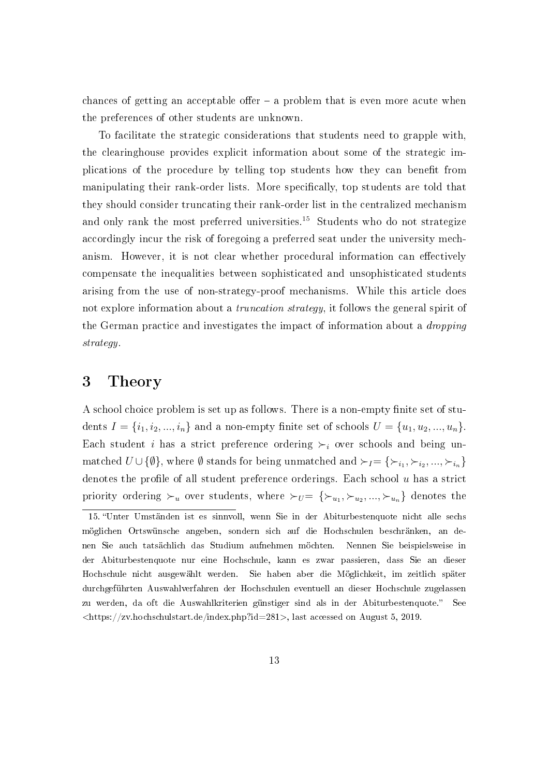chances of getting an acceptable offer  $-$  a problem that is even more acute when the preferences of other students are unknown.

To facilitate the strategic considerations that students need to grapple with, the clearinghouse provides explicit information about some of the strategic implications of the procedure by telling top students how they can benefit from manipulating their rank-order lists. More specifically, top students are told that they should consider truncating their rank-order list in the centralized mechanism and only rank the most preferred universities.<sup>[15](#page-15-1)</sup> Students who do not strategize accordingly incur the risk of foregoing a preferred seat under the university mechanism. However, it is not clear whether procedural information can effectively compensate the inequalities between sophisticated and unsophisticated students arising from the use of non-strategy-proof mechanisms. While this article does not explore information about a *truncation strategy*, it follows the general spirit of the German practice and investigates the impact of information about a dropping strategy.

## <span id="page-15-0"></span>3 Theory

A school choice problem is set up as follows. There is a non-empty finite set of students  $I = \{i_1, i_2, ..., i_n\}$  and a non-empty finite set of schools  $U = \{u_1, u_2, ..., u_n\}$ . Each student i has a strict preference ordering  $\succ_i$  over schools and being unmatched  $U\cup \{\emptyset\}$ , where  $\emptyset$  stands for being unmatched and  $\succ_I=\{\succ_{i_1},\succ_{i_2},...,\succ_{i_n}\}$ denotes the profile of all student preference orderings. Each school  $u$  has a strict priority ordering  $\succ_u$  over students, where  $\succ_{U} = \{\succ_{u_1}, \succ_{u_2}, ..., \succ_{u_n}\}$  denotes the

<span id="page-15-1"></span><sup>15.</sup> Unter Umständen ist es sinnvoll, wenn Sie in der Abiturbestenquote nicht alle sechs möglichen Ortswünsche angeben, sondern sich auf die Hochschulen beschränken, an denen Sie auch tatsächlich das Studium aufnehmen möchten. Nennen Sie beispielsweise in der Abiturbestenquote nur eine Hochschule, kann es zwar passieren, dass Sie an dieser Hochschule nicht ausgewählt werden. Sie haben aber die Möglichkeit, im zeitlich später durchgeführten Auswahlverfahren der Hochschulen eventuell an dieser Hochschule zugelassen zu werden, da oft die Auswahlkriterien günstiger sind als in der Abiturbestenquote." See  $\langle$ https://zv.hochschulstart.de/index.php?id=281>, last accessed on August 5, 2019.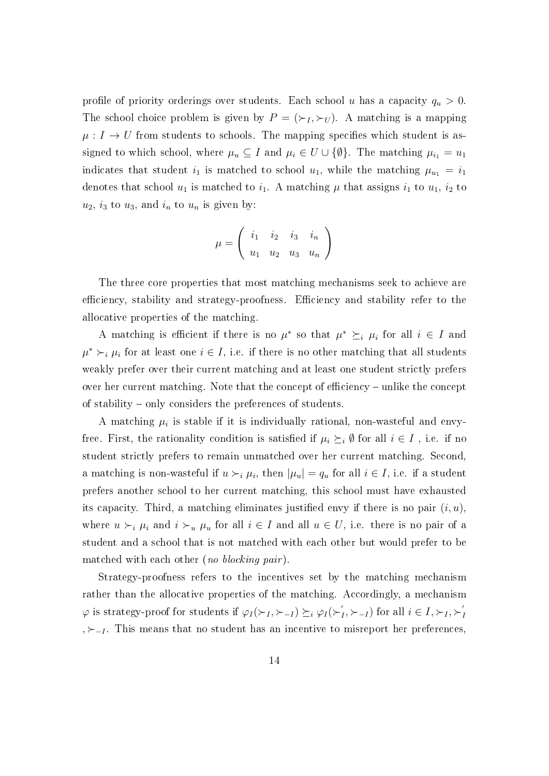profile of priority orderings over students. Each school u has a capacity  $q_u > 0$ . The school choice problem is given by  $P = (\succ_I, \succ_U)$ . A matching is a mapping  $\mu: I \to U$  from students to schools. The mapping specifies which student is assigned to which school, where  $\mu_u \subseteq I$  and  $\mu_i \in U \cup \{\emptyset\}$ . The matching  $\mu_{i_1} = u_1$ indicates that student  $i_1$  is matched to school  $u_1$ , while the matching  $\mu_{u_1} = i_1$ denotes that school  $u_1$  is matched to  $i_1$ . A matching  $\mu$  that assigns  $i_1$  to  $u_1$ ,  $i_2$  to  $u_2$ ,  $i_3$  to  $u_3$ , and  $i_n$  to  $u_n$  is given by:

$$
\mu = \left( \begin{array}{ccc} i_1 & i_2 & i_3 & i_n \\ u_1 & u_2 & u_3 & u_n \end{array} \right)
$$

The three core properties that most matching mechanisms seek to achieve are efficiency, stability and strategy-proofness. Efficiency and stability refer to the allocative properties of the matching.

A matching is efficient if there is no  $\mu^*$  so that  $\mu^* \succeq_i \mu_i$  for all  $i \in I$  and  $\mu^* \succ_i \mu_i$  for at least one  $i \in I$ , i.e. if there is no other matching that all students weakly prefer over their current matching and at least one student strictly prefers over her current matching. Note that the concept of efficiency – unlike the concept of stability – only considers the preferences of students.

A matching  $\mu_i$  is stable if it is individually rational, non-wasteful and envyfree. First, the rationality condition is satisfied if  $\mu_i \succeq_i \emptyset$  for all  $i \in I$ , i.e. if no student strictly prefers to remain unmatched over her current matching. Second, a matching is non-wasteful if  $u \succ_i \mu_i$ , then  $|\mu_u| = q_u$  for all  $i \in I$ , i.e. if a student prefers another school to her current matching, this school must have exhausted its capacity. Third, a matching eliminates justified envy if there is no pair  $(i, u)$ , where  $u \succ_i \mu_i$  and  $i \succ_u \mu_u$  for all  $i \in I$  and all  $u \in U$ , i.e. there is no pair of a student and a school that is not matched with each other but would prefer to be matched with each other (no blocking pair).

Strategy-proofness refers to the incentives set by the matching mechanism rather than the allocative properties of the matching. Accordingly, a mechanism  $\varphi$  is strategy-proof for students if  $\varphi_I(\succ_I, \succ_{-I}) \succeq_i \varphi_I(\succ_I')$  $I_{I}^{'}$ ,  $\succ_{-I}$ ) for all  $i \in I$ ,  $\succ_{I}$ ,  $\succ'_{I}$ I ,  $\succ_{-I}$ . This means that no student has an incentive to misreport her preferences,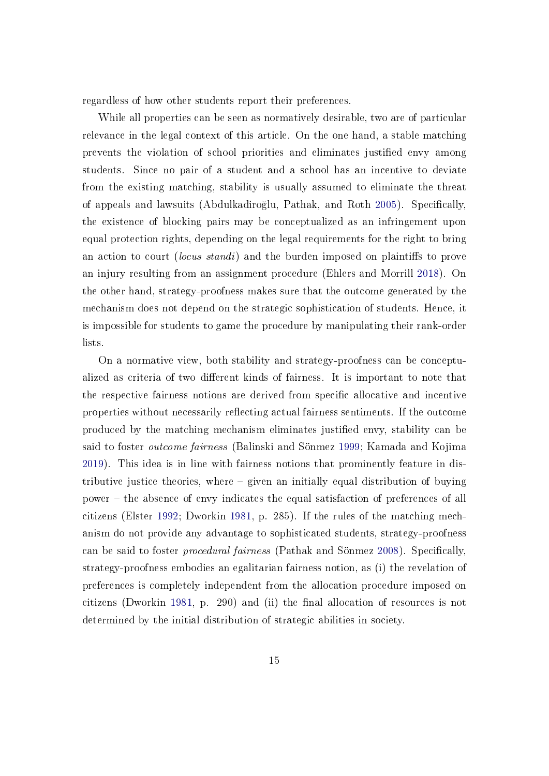regardless of how other students report their preferences.

While all properties can be seen as normatively desirable, two are of particular relevance in the legal context of this article. On the one hand, a stable matching prevents the violation of school priorities and eliminates justified envy among students. Since no pair of a student and a school has an incentive to deviate from the existing matching, stability is usually assumed to eliminate the threat of appeals and lawsuits (Abdulkadiroğlu, Pathak, and Roth [2005\)](#page-41-2). Specifically, the existence of blocking pairs may be conceptualized as an infringement upon equal protection rights, depending on the legal requirements for the right to bring an action to court *(locus standi)* and the burden imposed on plaintiffs to prove an injury resulting from an assignment procedure (Ehlers and Morrill [2018\)](#page-42-7). On the other hand, strategy-proofness makes sure that the outcome generated by the mechanism does not depend on the strategic sophistication of students. Hence, it is impossible for students to game the procedure by manipulating their rank-order lists.

On a normative view, both stability and strategy-proofness can be conceptualized as criteria of two different kinds of fairness. It is important to note that the respective fairness notions are derived from specific allocative and incentive properties without necessarily reflecting actual fairness sentiments. If the outcome produced by the matching mechanism eliminates justified envy, stability can be said to foster outcome fairness (Balinski and Sönmez [1999;](#page-41-8) Kamada and Kojima [2019\)](#page-44-2). This idea is in line with fairness notions that prominently feature in distributive justice theories, where  $-$  given an initially equal distribution of buying power the absence of envy indicates the equal satisfaction of preferences of all citizens (Elster [1992;](#page-43-6) Dworkin [1981,](#page-42-8) p. 285). If the rules of the matching mechanism do not provide any advantage to sophisticated students, strategy-proofness can be said to foster *procedural fairness* (Pathak and Sönmez [2008\)](#page-45-8). Specifically, strategy-proofness embodies an egalitarian fairness notion, as (i) the revelation of preferences is completely independent from the allocation procedure imposed on citizens (Dworkin [1981,](#page-42-8) p. 290) and (ii) the final allocation of resources is not determined by the initial distribution of strategic abilities in society.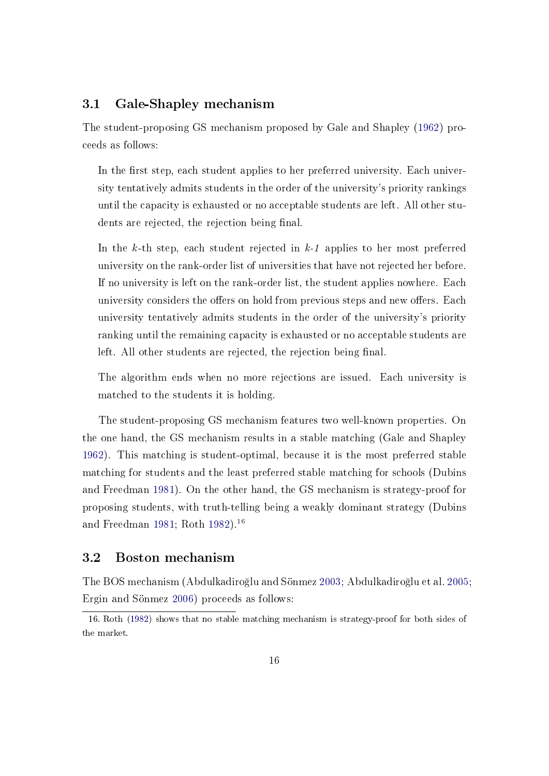#### 3.1 Gale-Shapley mechanism

The student-proposing GS mechanism proposed by Gale and Shapley [\(1962\)](#page-43-1) proceeds as follows:

In the first step, each student applies to her preferred university. Each university tentatively admits students in the order of the university's priority rankings until the capacity is exhausted or no acceptable students are left. All other students are rejected, the rejection being final.

In the k-th step, each student rejected in  $k-1$  applies to her most preferred university on the rank-order list of universities that have not rejected her before. If no university is left on the rank-order list, the student applies nowhere. Each university considers the offers on hold from previous steps and new offers. Each university tentatively admits students in the order of the university's priority ranking until the remaining capacity is exhausted or no acceptable students are left. All other students are rejected, the rejection being final.

The algorithm ends when no more rejections are issued. Each university is matched to the students it is holding.

The student-proposing GS mechanism features two well-known properties. On the one hand, the GS mechanism results in a stable matching (Gale and Shapley [1962\)](#page-43-1). This matching is student-optimal, because it is the most preferred stable matching for students and the least preferred stable matching for schools (Dubins and Freedman [1981\)](#page-42-9). On the other hand, the GS mechanism is strategy-proof for proposing students, with truth-telling being a weakly dominant strategy (Dubins and Freedman [1981;](#page-42-9) Roth [1982\)](#page-46-7).[16](#page-18-0)

#### 3.2 Boston mechanism

The BOS mechanism (Abdulkadiro§lu and Sönmez [2003;](#page-41-3) Abdulkadiro§lu et al. [2005;](#page-41-0) Ergin and Sönmez [2006\)](#page-43-7) proceeds as follows:

<span id="page-18-0"></span><sup>16.</sup> Roth [\(1982\)](#page-46-7) shows that no stable matching mechanism is strategy-proof for both sides of the market.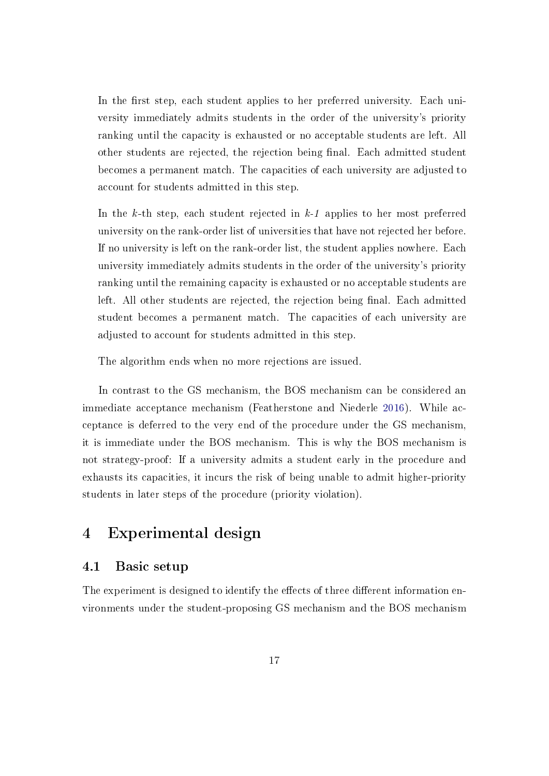In the first step, each student applies to her preferred university. Each university immediately admits students in the order of the university's priority ranking until the capacity is exhausted or no acceptable students are left. All other students are rejected, the rejection being final. Each admitted student becomes a permanent match. The capacities of each university are adjusted to account for students admitted in this step.

In the k-th step, each student rejected in  $k-1$  applies to her most preferred university on the rank-order list of universities that have not rejected her before. If no university is left on the rank-order list, the student applies nowhere. Each university immediately admits students in the order of the university's priority ranking until the remaining capacity is exhausted or no acceptable students are left. All other students are rejected, the rejection being final. Each admitted student becomes a permanent match. The capacities of each university are adjusted to account for students admitted in this step.

The algorithm ends when no more rejections are issued.

In contrast to the GS mechanism, the BOS mechanism can be considered an immediate acceptance mechanism (Featherstone and Niederle [2016\)](#page-43-8). While acceptance is deferred to the very end of the procedure under the GS mechanism, it is immediate under the BOS mechanism. This is why the BOS mechanism is not strategy-proof: If a university admits a student early in the procedure and exhausts its capacities, it incurs the risk of being unable to admit higher-priority students in later steps of the procedure (priority violation).

## <span id="page-19-0"></span>4 Experimental design

#### 4.1 Basic setup

The experiment is designed to identify the effects of three different information environments under the student-proposing GS mechanism and the BOS mechanism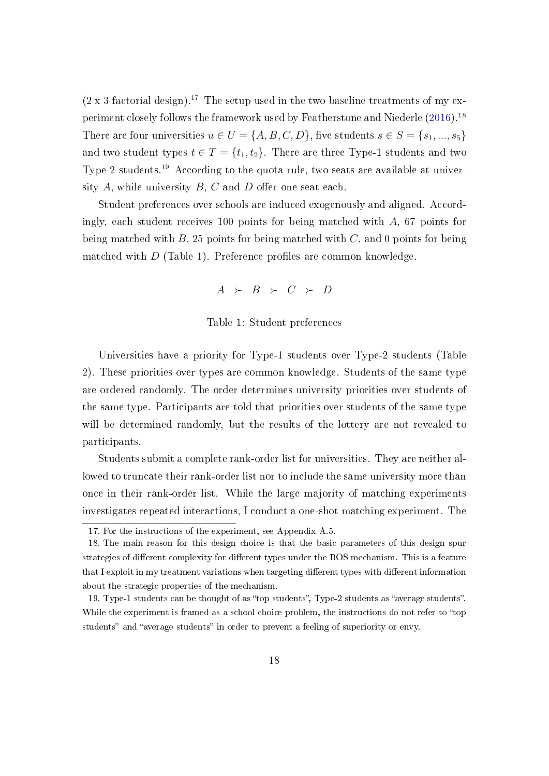$(2 \times 3$  factorial design).<sup>[17](#page-20-0)</sup> The setup used in the two baseline treatments of my ex-periment closely follows the framework used by Featherstone and Niederle [\(2016\)](#page-43-8).<sup>[18](#page-20-1)</sup> There are four universities  $u \in U = \{A, B, C, D\}$ , five students  $s \in S = \{s_1, ..., s_5\}$ and two student types  $t \in T = \{t_1, t_2\}$ . There are three Type-1 students and two Type-2 students.[19](#page-20-2) According to the quota rule, two seats are available at university  $A$ , while university  $B$ ,  $C$  and  $D$  offer one seat each.

<span id="page-20-3"></span>Student preferences over schools are induced exogenously and aligned. Accordingly, each student receives 100 points for being matched with  $A$ , 67 points for being matched with  $B$ , 25 points for being matched with  $C$ , and 0 points for being matched with  $D$  (Table [1\)](#page-20-3). Preference profiles are common knowledge.

$$
A \rightarrow B \succ C \succ D
$$

#### Table 1: Student preferences

Universities have a priority for Type-1 students over Type-2 students (Table [2\)](#page-21-0). These priorities over types are common knowledge. Students of the same type are ordered randomly. The order determines university priorities over students of the same type. Participants are told that priorities over students of the same type will be determined randomly, but the results of the lottery are not revealed to participants.

Students submit a complete rank-order list for universities. They are neither allowed to truncate their rank-order list nor to include the same university more than once in their rank-order list. While the large majority of matching experiments investigates repeated interactions, I conduct a one-shot matching experiment. The

<span id="page-20-1"></span><span id="page-20-0"></span><sup>17.</sup> For the instructions of the experiment, see Appendix A.5.

<sup>18.</sup> The main reason for this design choice is that the basic parameters of this design spur strategies of different complexity for different types under the BOS mechanism. This is a feature that I exploit in my treatment variations when targeting different types with different information about the strategic properties of the mechanism.

<span id="page-20-2"></span><sup>19.</sup> Type-1 students can be thought of as "top students", Type-2 students as "average students". While the experiment is framed as a school choice problem, the instructions do not refer to "top" students" and "average students" in order to prevent a feeling of superiority or envy.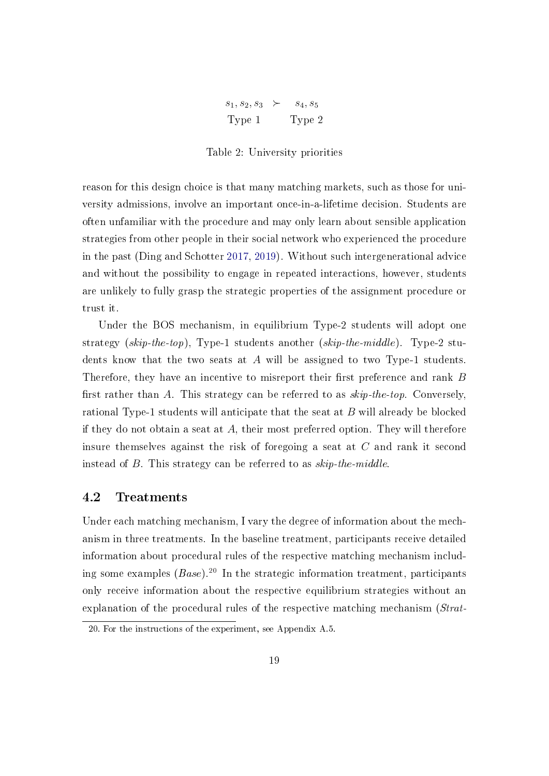| $s_1, s_2, s_3$ $\succ$ | $s_4,s_5$ |
|-------------------------|-----------|
| Type 1                  | Type 2    |

Table 2: University priorities

<span id="page-21-0"></span>reason for this design choice is that many matching markets, such as those for university admissions, involve an important once-in-a-lifetime decision. Students are often unfamiliar with the procedure and may only learn about sensible application strategies from other people in their social network who experienced the procedure in the past (Ding and Schotter [2017,](#page-42-3) [2019\)](#page-42-4). Without such intergenerational advice and without the possibility to engage in repeated interactions, however, students are unlikely to fully grasp the strategic properties of the assignment procedure or trust it.

Under the BOS mechanism, in equilibrium Type-2 students will adopt one strategy  $(skip-the-top)$ , Type-1 students another  $(skip-the-middle)$ . Type-2 students know that the two seats at A will be assigned to two Type-1 students. Therefore, they have an incentive to misreport their first preference and rank  $B$ first rather than A. This strategy can be referred to as  $skip-the-top$ . Conversely, rational Type-1 students will anticipate that the seat at B will already be blocked if they do not obtain a seat at  $A$ , their most preferred option. They will therefore insure themselves against the risk of foregoing a seat at C and rank it second instead of B. This strategy can be referred to as skip-the-middle.

#### 4.2 Treatments

Under each matching mechanism, I vary the degree of information about the mechanism in three treatments. In the baseline treatment, participants receive detailed information about procedural rules of the respective matching mechanism including some examples  $(Base)^{20}$  $(Base)^{20}$  $(Base)^{20}$  In the strategic information treatment, participants only receive information about the respective equilibrium strategies without an explanation of the procedural rules of the respective matching mechanism (Strat-

<span id="page-21-1"></span><sup>20.</sup> For the instructions of the experiment, see Appendix A.5.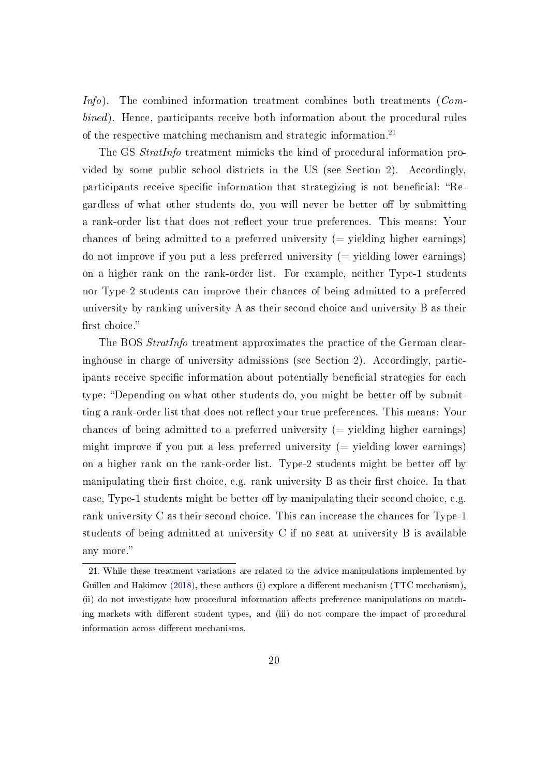Info). The combined information treatment combines both treatments  $(Com$ bined). Hence, participants receive both information about the procedural rules of the respective matching mechanism and strategic information.[21](#page-22-0)

The GS *StratInfo* treatment mimicks the kind of procedural information provided by some public school districts in the US (see Section [2\)](#page-8-0). Accordingly, participants receive specific information that strategizing is not beneficial: "Regardless of what other students do, you will never be better off by submitting a rank-order list that does not reflect your true preferences. This means: Your chances of being admitted to a preferred university  $(=$  yielding higher earnings) do not improve if you put a less preferred university  $($  = yielding lower earnings) on a higher rank on the rank-order list. For example, neither Type-1 students nor Type-2 students can improve their chances of being admitted to a preferred university by ranking university A as their second choice and university B as their first choice."

The BOS *StratInfo* treatment approximates the practice of the German clearinghouse in charge of university admissions (see Section [2\)](#page-8-0). Accordingly, participants receive specific information about potentially beneficial strategies for each type: "Depending on what other students do, you might be better off by submitting a rank-order list that does not reflect your true preferences. This means: Your chances of being admitted to a preferred university  $($  = yielding higher earnings) might improve if you put a less preferred university  $($  = yielding lower earnings) on a higher rank on the rank-order list. Type-2 students might be better off by manipulating their first choice, e.g. rank university B as their first choice. In that case, Type-1 students might be better of by manipulating their second choice, e.g. rank university C as their second choice. This can increase the chances for Type-1 students of being admitted at university C if no seat at university B is available any more.

<span id="page-22-0"></span><sup>21.</sup> While these treatment variations are related to the advice manipulations implemented by Guillen and Hakimov [\(2018\)](#page-43-2), these authors (i) explore a different mechanism (TTC mechanism), (ii) do not investigate how procedural information affects preference manipulations on matching markets with different student types, and (iii) do not compare the impact of procedural information across different mechanisms.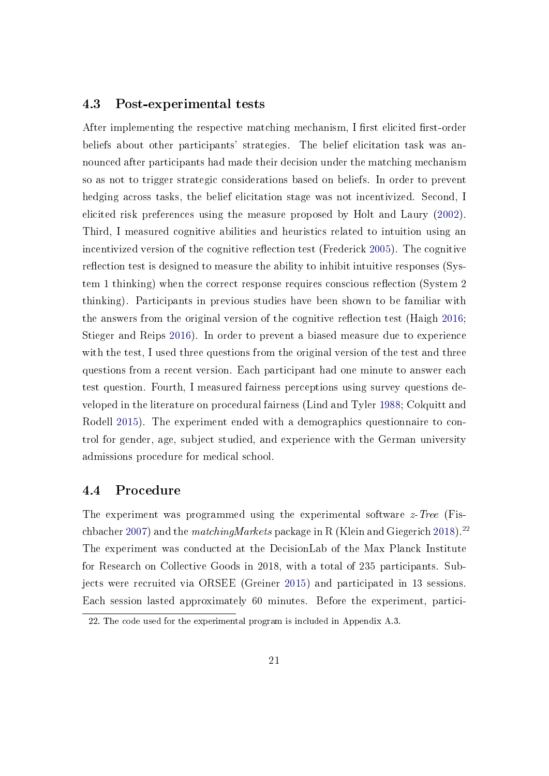#### 4.3 Post-experimental tests

After implementing the respective matching mechanism, I first elicited first-order beliefs about other participants' strategies. The belief elicitation task was announced after participants had made their decision under the matching mechanism so as not to trigger strategic considerations based on beliefs. In order to prevent hedging across tasks, the belief elicitation stage was not incentivized. Second, I elicited risk preferences using the measure proposed by Holt and Laury [\(2002\)](#page-44-7). Third, I measured cognitive abilities and heuristics related to intuition using an incentivized version of the cognitive reflection test (Frederick [2005\)](#page-43-9). The cognitive reflection test is designed to measure the ability to inhibit intuitive responses (System 1 thinking) when the correct response requires conscious reflection (System 2) thinking). Participants in previous studies have been shown to be familiar with the answers from the original version of the cognitive reflection test (Haigh [2016;](#page-44-8) Stieger and Reips [2016\)](#page-46-8). In order to prevent a biased measure due to experience with the test, I used three questions from the original version of the test and three questions from a recent version. Each participant had one minute to answer each test question. Fourth, I measured fairness perceptions using survey questions developed in the literature on procedural fairness (Lind and Tyler [1988;](#page-44-9) Colquitt and Rodell [2015\)](#page-42-10). The experiment ended with a demographics questionnaire to control for gender, age, subject studied, and experience with the German university admissions procedure for medical school.

### 4.4 Procedure

The experiment was programmed using the experimental software  $z$ -Tree (Fis-chbacher [2007\)](#page-43-10) and the *matchingMarkets* package in R (Klein and Giegerich [2018\)](#page-44-10).<sup>[22](#page-23-0)</sup> The experiment was conducted at the DecisionLab of the Max Planck Institute for Research on Collective Goods in 2018, with a total of 235 participants. Subjects were recruited via ORSEE (Greiner [2015\)](#page-43-11) and participated in 13 sessions. Each session lasted approximately 60 minutes. Before the experiment, partici-

<span id="page-23-0"></span><sup>22.</sup> The code used for the experimental program is included in Appendix A.3.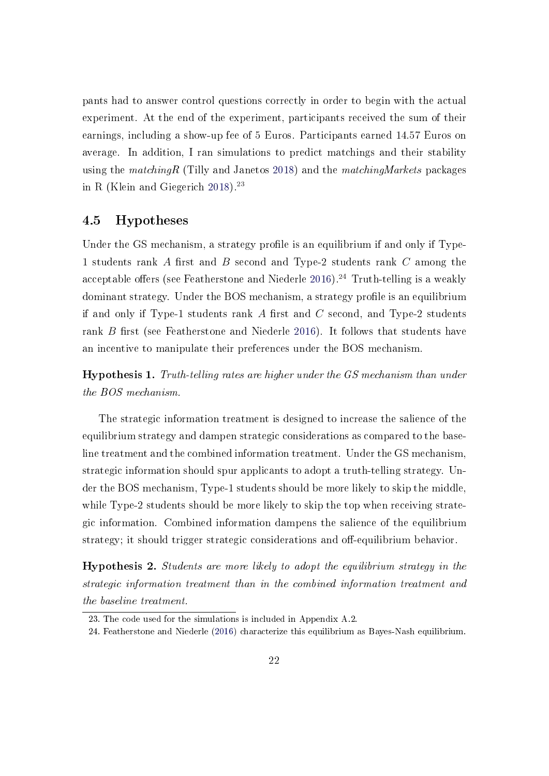pants had to answer control questions correctly in order to begin with the actual experiment. At the end of the experiment, participants received the sum of their earnings, including a show-up fee of 5 Euros. Participants earned 14.57 Euros on average. In addition, I ran simulations to predict matchings and their stability using the matching R (Tilly and Janetos [2018\)](#page-46-9) and the matching Markets packages in R (Klein and Giegerich  $2018$ ).<sup>[23](#page-24-0)</sup>

#### 4.5 Hypotheses

Under the GS mechanism, a strategy profile is an equilibrium if and only if Type-1 students rank A first and B second and Type-2 students rank  $C$  among the acceptable offers (see Featherstone and Niederle [2016\)](#page-43-8).<sup>[24](#page-24-1)</sup> Truth-telling is a weakly dominant strategy. Under the BOS mechanism, a strategy profile is an equilibrium if and only if Type-1 students rank  $A$  first and  $C$  second, and Type-2 students rank  $B$  first (see Featherstone and Niederle [2016\)](#page-43-8). It follows that students have an incentive to manipulate their preferences under the BOS mechanism.

<span id="page-24-2"></span>Hypothesis 1. Truth-telling rates are higher under the GS mechanism than under the BOS mechanism.

The strategic information treatment is designed to increase the salience of the equilibrium strategy and dampen strategic considerations as compared to the baseline treatment and the combined information treatment. Under the GS mechanism, strategic information should spur applicants to adopt a truth-telling strategy. Under the BOS mechanism, Type-1 students should be more likely to skip the middle, while Type-2 students should be more likely to skip the top when receiving strategic information. Combined information dampens the salience of the equilibrium strategy; it should trigger strategic considerations and off-equilibrium behavior.

<span id="page-24-3"></span>Hypothesis 2. Students are more likely to adopt the equilibrium strategy in the strategic information treatment than in the combined information treatment and the baseline treatment.

<span id="page-24-1"></span><span id="page-24-0"></span><sup>23.</sup> The code used for the simulations is included in Appendix A.2.

<sup>24.</sup> Featherstone and Niederle [\(2016\)](#page-43-8) characterize this equilibrium as Bayes-Nash equilibrium.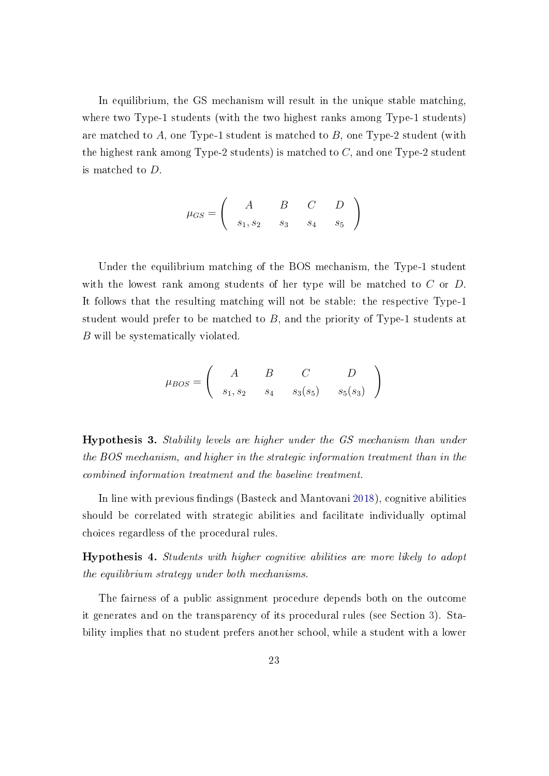In equilibrium, the GS mechanism will result in the unique stable matching, where two Type-1 students (with the two highest ranks among Type-1 students) are matched to  $A$ , one Type-1 student is matched to  $B$ , one Type-2 student (with the highest rank among Type-2 students) is matched to  $C$ , and one Type-2 student is matched to D.

$$
\mu_{GS}=\left(\begin{array}{ccc}A&B&C&D\\s_1,s_2&s_3&s_4&s_5\end{array}\right)
$$

Under the equilibrium matching of the BOS mechanism, the Type-1 student with the lowest rank among students of her type will be matched to  $C$  or  $D$ . It follows that the resulting matching will not be stable: the respective Type-1 student would prefer to be matched to B, and the priority of Type-1 students at B will be systematically violated.

$$
\mu_{BOS} = \left( \begin{array}{ccc} A & B & C & D \\ s_1, s_2 & s_4 & s_3(s_5) & s_5(s_3) \end{array} \right)
$$

<span id="page-25-0"></span>Hypothesis 3. Stability levels are higher under the GS mechanism than under the BOS mechanism, and higher in the strategic information treatment than in the combined information treatment and the baseline treatment.

In line with previous findings (Basteck and Mantovani [2018\)](#page-41-5), cognitive abilities should be correlated with strategic abilities and facilitate individually optimal choices regardless of the procedural rules.

<span id="page-25-1"></span>Hypothesis 4. Students with higher cognitive abilities are more likely to adopt the equilibrium strategy under both mechanisms.

The fairness of a public assignment procedure depends both on the outcome it generates and on the transparency of its procedural rules (see Section [3\)](#page-15-0). Stability implies that no student prefers another school, while a student with a lower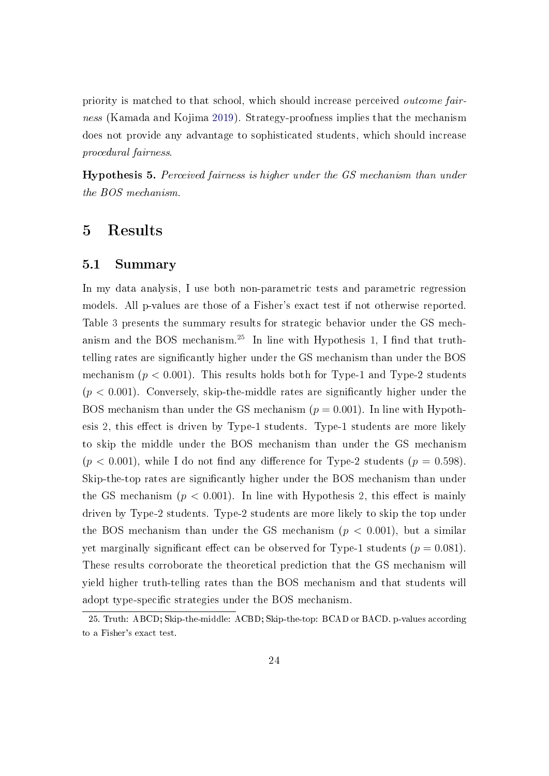priority is matched to that school, which should increase perceived outcome fairness (Kamada and Kojima [2019\)](#page-44-2). Strategy-proofness implies that the mechanism does not provide any advantage to sophisticated students, which should increase procedural fairness.

Hypothesis 5. Perceived fairness is higher under the GS mechanism than under the BOS mechanism.

## <span id="page-26-0"></span>5 Results

#### 5.1 Summary

In my data analysis, I use both non-parametric tests and parametric regression models. All p-values are those of a Fisher's exact test if not otherwise reported. Table [3](#page-27-0) presents the summary results for strategic behavior under the GS mech-anism and the BOS mechanism.<sup>[25](#page-26-1)</sup> In line with Hypothesis [1,](#page-24-2) I find that truthtelling rates are signicantly higher under the GS mechanism than under the BOS mechanism  $(p < 0.001)$ . This results holds both for Type-1 and Type-2 students  $(p < 0.001)$ . Conversely, skip-the-middle rates are significantly higher under the BOS mechanism than under the GS mechanism  $(p = 0.001)$ . In line with Hypoth-esis [2,](#page-24-3) this effect is driven by Type-1 students. Type-1 students are more likely to skip the middle under the BOS mechanism than under the GS mechanism  $(p < 0.001)$ , while I do not find any difference for Type-2 students  $(p = 0.598)$ . Skip-the-top rates are significantly higher under the BOS mechanism than under the GS mechanism  $(p < 0.001)$ . In line with Hypothesis [2,](#page-24-3) this effect is mainly driven by Type-2 students. Type-2 students are more likely to skip the top under the BOS mechanism than under the GS mechanism  $(p < 0.001)$ , but a similar yet marginally significant effect can be observed for Type-1 students ( $p = 0.081$ ). These results corroborate the theoretical prediction that the GS mechanism will yield higher truth-telling rates than the BOS mechanism and that students will adopt type-specific strategies under the BOS mechanism.

<span id="page-26-1"></span><sup>25.</sup> Truth: ABCD; Skip-the-middle: ACBD; Skip-the-top: BCAD or BACD. p-values according to a Fisher's exact test.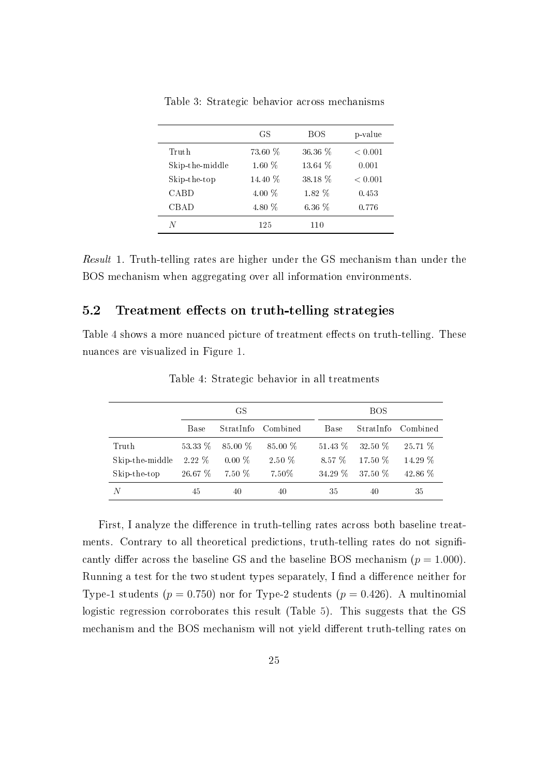|                 | GS       | BOS      | p-value |
|-----------------|----------|----------|---------|
| Truth           | 73.60 %  | 36.36 %  | < 0.001 |
| Skip-the-middle | $1.60\%$ | 13.64 %  | 0.001   |
| Skip-the-top    | 14.40 %  | 38.18 %  | < 0.001 |
| CABD            | 4.00 $%$ | $1.82\%$ | 0.453   |
| CBAD            | 4.80 %   | $6.36\%$ | 0.776   |
| N               | 125      | 110      |         |

<span id="page-27-0"></span>Table 3: Strategic behavior across mechanisms

Result 1. Truth-telling rates are higher under the GS mechanism than under the BOS mechanism when aggregating over all information environments.

#### 5.2 Treatment effects on truth-telling strategies

<span id="page-27-1"></span>Table [4](#page-27-1) shows a more nuanced picture of treatment effects on truth-telling. These nuances are visualized in Figure [1.](#page-28-0)

|                 | GS      |           |           | <b>BOS</b> |             |          |  |  |
|-----------------|---------|-----------|-----------|------------|-------------|----------|--|--|
|                 | Base    | StratInfo | Combined  | Base       | StratInfo   | Combined |  |  |
| Truth           | 53.33 % | $85.00\%$ | $85.00\%$ | $51.43\%$  | $32.50\,$ % | 25.71 %  |  |  |
| Skip-the-middle | 2.22 %  | $0.00\%$  | 2.50 %    | 8.57 %     | $17.50\%$   | 14.29 %  |  |  |
| Skip-the-top    | 26.67 % | 7.50 %    | 7.50%     | $34.29\%$  | 37.50 %     | 42.86 %  |  |  |
| N               | 45      | 40        | 40        | 35         | 40          | 35       |  |  |

Table 4: Strategic behavior in all treatments

First, I analyze the difference in truth-telling rates across both baseline treatments. Contrary to all theoretical predictions, truth-telling rates do not significantly differ across the baseline GS and the baseline BOS mechanism ( $p = 1.000$ ). Running a test for the two student types separately, I find a difference neither for Type-1 students ( $p = 0.750$ ) nor for Type-2 students ( $p = 0.426$ ). A multinomial logistic regression corroborates this result (Table [5\)](#page-29-0). This suggests that the GS mechanism and the BOS mechanism will not yield different truth-telling rates on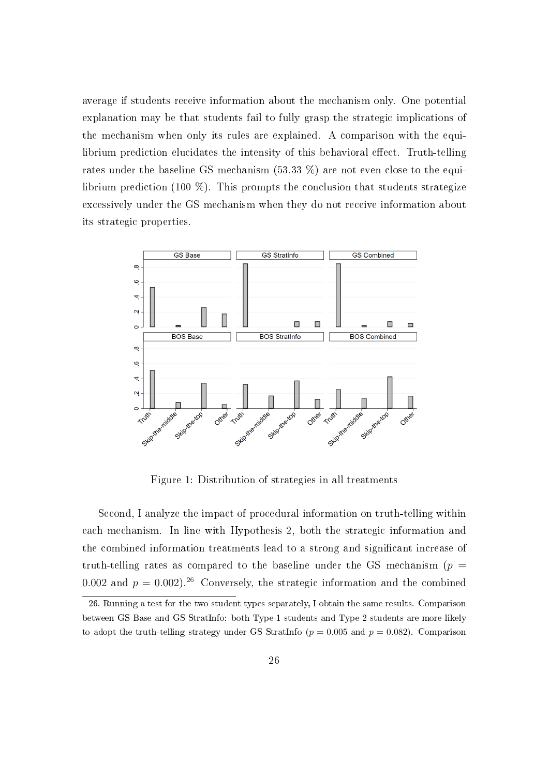average if students receive information about the mechanism only. One potential explanation may be that students fail to fully grasp the strategic implications of the mechanism when only its rules are explained. A comparison with the equilibrium prediction elucidates the intensity of this behavioral effect. Truth-telling rates under the baseline GS mechanism (53.33 %) are not even close to the equilibrium prediction (100 %). This prompts the conclusion that students strategize excessively under the GS mechanism when they do not receive information about its strategic properties.

<span id="page-28-0"></span>

Figure 1: Distribution of strategies in all treatments

Second, I analyze the impact of procedural information on truth-telling within each mechanism. In line with Hypothesis [2,](#page-24-3) both the strategic information and the combined information treatments lead to a strong and signicant increase of truth-telling rates as compared to the baseline under the GS mechanism ( $p =$ 0.002 and  $p = 0.002$ .<sup>[26](#page-28-1)</sup> Conversely, the strategic information and the combined

<span id="page-28-1"></span><sup>26.</sup> Running a test for the two student types separately, I obtain the same results. Comparison between GS Base and GS StratInfo: both Type-1 students and Type-2 students are more likely to adopt the truth-telling strategy under GS StratInfo ( $p = 0.005$  and  $p = 0.082$ ). Comparison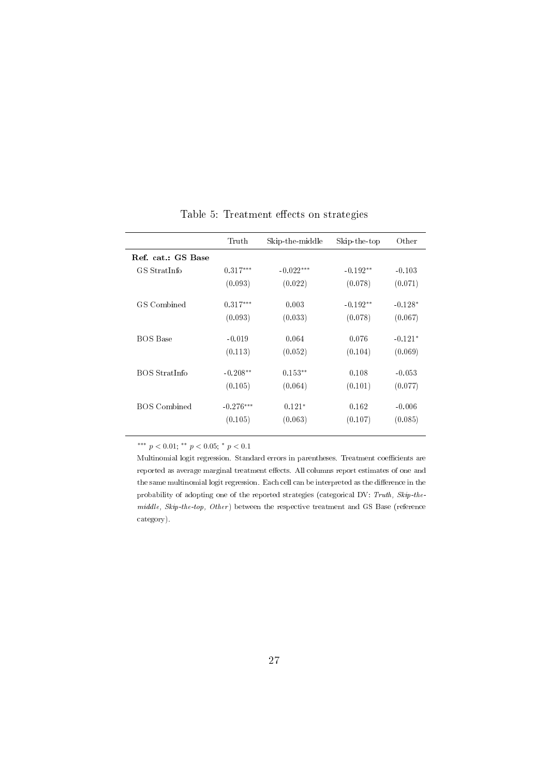<span id="page-29-0"></span>

|                      | Truth       | Skip-the-middle | Skip-the-top | Other     |
|----------------------|-------------|-----------------|--------------|-----------|
| Ref. cat.: GS Base   |             |                 |              |           |
| GS StratInfo         | $0.317***$  | $-0.022***$     | $-0.192**$   | $-0.103$  |
|                      | (0.093)     | (0.022)         | (0.078)      | (0.071)   |
| GS Combined          | $0.317***$  | 0.003           | $-0.192**$   | $-0.128*$ |
|                      | (0.093)     | (0.033)         | (0.078)      | (0.067)   |
| <b>BOS</b> Base      | $-0.019$    | 0.064           | 0.076        | $-0.121*$ |
|                      | (0.113)     | (0.052)         | (0.104)      | (0.069)   |
| <b>BOS StratInfo</b> | $-0.208**$  | $0.153**$       | 0.108        | $-0.053$  |
|                      | (0.105)     | (0.064)         | (0.101)      | (0.077)   |
| BOS Combined         | $-0.276***$ | $0.121*$        | 0.162        | $-0.006$  |
|                      | (0.105)     | (0.063)         | (0.107)      | (0.085)   |

Table 5: Treatment effects on strategies

\*\*\*  $p < 0.01$ ; \*\*  $p < 0.05$ ; \*  $p < 0.1$ 

Multinomial logit regression. Standard errors in parentheses. Treatment coefficients are reported as average marginal treatment effects. All columns report estimates of one and the same multinomial logit regression. Each cell can be interpreted as the difference in the probability of adopting one of the reported strategies (categorical DV: Truth, Skip-the $middle,$   $Skip-the-top,$   $Other$ ) between the respective treatment and GS Base (reference category).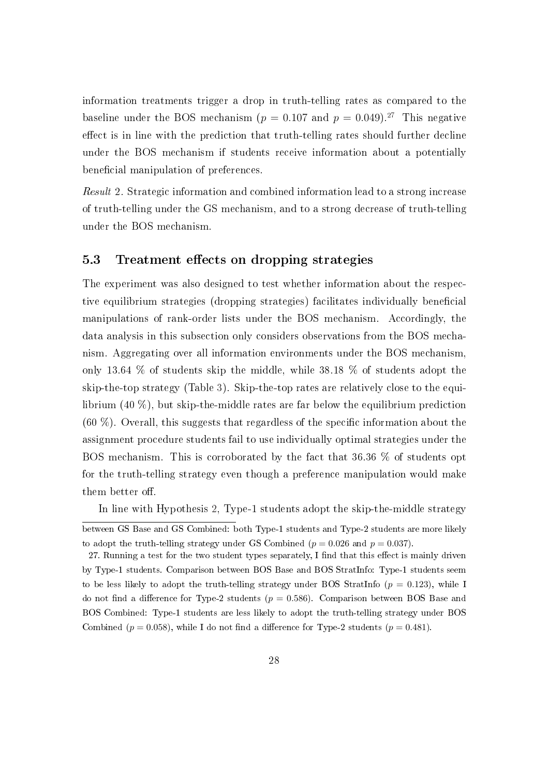information treatments trigger a drop in truth-telling rates as compared to the baseline under the BOS mechanism ( $p = 0.107$  and  $p = 0.049$ ).<sup>[27](#page-30-0)</sup> This negative effect is in line with the prediction that truth-telling rates should further decline under the BOS mechanism if students receive information about a potentially beneficial manipulation of preferences.

Result 2. Strategic information and combined information lead to a strong increase of truth-telling under the GS mechanism, and to a strong decrease of truth-telling under the BOS mechanism.

#### 5.3 Treatment effects on dropping strategies

The experiment was also designed to test whether information about the respective equilibrium strategies (dropping strategies) facilitates individually beneficial manipulations of rank-order lists under the BOS mechanism. Accordingly, the data analysis in this subsection only considers observations from the BOS mechanism. Aggregating over all information environments under the BOS mechanism, only 13.64 % of students skip the middle, while 38.18 % of students adopt the skip-the-top strategy (Table [3\)](#page-27-0). Skip-the-top rates are relatively close to the equilibrium (40 %), but skip-the-middle rates are far below the equilibrium prediction  $(60 \%)$ . Overall, this suggests that regardless of the specific information about the assignment procedure students fail to use individually optimal strategies under the BOS mechanism. This is corroborated by the fact that 36.36 % of students opt for the truth-telling strategy even though a preference manipulation would make them better off.

In line with Hypothesis [2,](#page-24-3) Type-1 students adopt the skip-the-middle strategy

between GS Base and GS Combined: both Type-1 students and Type-2 students are more likely to adopt the truth-telling strategy under GS Combined ( $p = 0.026$  and  $p = 0.037$ ).

<span id="page-30-0"></span><sup>27.</sup> Running a test for the two student types separately, I find that this effect is mainly driven by Type-1 students. Comparison between BOS Base and BOS StratInfo: Type-1 students seem to be less likely to adopt the truth-telling strategy under BOS StratInfo  $(p = 0.123)$ , while I do not find a difference for Type-2 students ( $p = 0.586$ ). Comparison between BOS Base and BOS Combined: Type-1 students are less likely to adopt the truth-telling strategy under BOS Combined ( $p = 0.058$ ), while I do not find a difference for Type-2 students ( $p = 0.481$ ).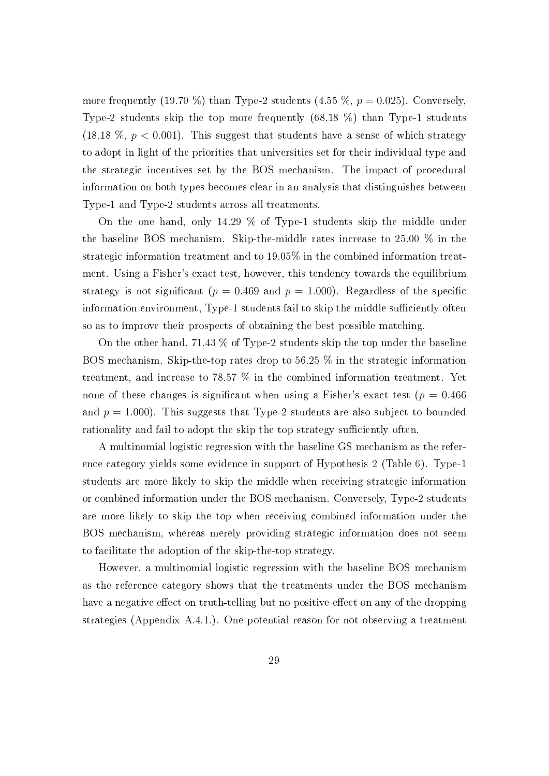more frequently (19.70 %) than Type-2 students (4.55 %,  $p = 0.025$ ). Conversely, Type-2 students skip the top more frequently (68.18 %) than Type-1 students (18.18  $\%$ ,  $p < 0.001$ ). This suggest that students have a sense of which strategy to adopt in light of the priorities that universities set for their individual type and the strategic incentives set by the BOS mechanism. The impact of procedural information on both types becomes clear in an analysis that distinguishes between Type-1 and Type-2 students across all treatments.

On the one hand, only 14.29 % of Type-1 students skip the middle under the baseline BOS mechanism. Skip-the-middle rates increase to 25.00 % in the strategic information treatment and to 19.05% in the combined information treatment. Using a Fisher's exact test, however, this tendency towards the equilibrium strategy is not significant ( $p = 0.469$  and  $p = 1.000$ ). Regardless of the specific information environment, Type-1 students fail to skip the middle sufficiently often so as to improve their prospects of obtaining the best possible matching.

On the other hand, 71.43 % of Type-2 students skip the top under the baseline BOS mechanism. Skip-the-top rates drop to 56.25 % in the strategic information treatment, and increase to 78.57 % in the combined information treatment. Yet none of these changes is significant when using a Fisher's exact test ( $p = 0.466$ ) and  $p = 1.000$ . This suggests that Type-2 students are also subject to bounded rationality and fail to adopt the skip the top strategy sufficiently often.

A multinomial logistic regression with the baseline GS mechanism as the reference category yields some evidence in support of Hypothesis [2](#page-24-3) (Table [6\)](#page-32-0). Type-1 students are more likely to skip the middle when receiving strategic information or combined information under the BOS mechanism. Conversely, Type-2 students are more likely to skip the top when receiving combined information under the BOS mechanism, whereas merely providing strategic information does not seem to facilitate the adoption of the skip-the-top strategy.

However, a multinomial logistic regression with the baseline BOS mechanism as the reference category shows that the treatments under the BOS mechanism have a negative effect on truth-telling but no positive effect on any of the dropping strategies (Appendix A.4.1.). One potential reason for not observing a treatment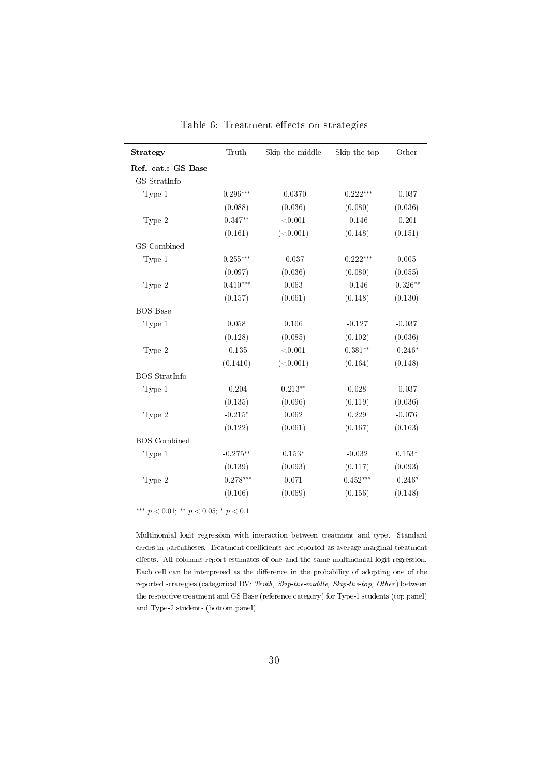<span id="page-32-0"></span>

| Strategy             | Truth       | Skip-the-middle | Skip-the-top | Other      |
|----------------------|-------------|-----------------|--------------|------------|
| Ref. cat.: GS Base   |             |                 |              |            |
| GS StratInfo         |             |                 |              |            |
| Type 1               | $0.296***$  | $-0.0370$       | $-0.222***$  | $-0.037$   |
|                      | (0.088)     | (0.036)         | (0.080)      | (0.036)    |
| Type 2               | $0.347**$   | ${<}0.001$      | $-0.146$     | $-0.201$   |
|                      | (0.161)     | (<0.001)        | (0.148)      | (0.151)    |
| GS Combined          |             |                 |              |            |
| Type 1               | $0.255***$  | $-0.037$        | $-0.222***$  | 0.005      |
|                      | (0.097)     | (0.036)         | (0.080)      | (0.055)    |
| Type 2               | $0.410***$  | 0.063           | $-0.146$     | $-0.326**$ |
|                      | (0.157)     | (0.061)         | (0.148)      | (0.130)    |
| <b>BOS</b> Base      |             |                 |              |            |
| Type 1               | 0.058       | 0.106           | $-0.127$     | $-0.037$   |
|                      | (0.128)     | (0.085)         | (0.102)      | (0.036)    |
| Type 2               | $-0.135$    | < 0.001         | $0.381**$    | $-0.246*$  |
|                      | (0.1410)    | (<0.001)        | (0.164)      | (0.148)    |
| <b>BOS</b> StratInfo |             |                 |              |            |
| Type 1               | $-0.204$    | $0.213**$       | 0.028        | $-0.037$   |
|                      | (0.135)     | (0.096)         | (0.119)      | (0.036)    |
| Type 2               | $-0.215*$   | 0.062           | 0.229        | $-0.076$   |
|                      | (0.122)     | (0.061)         | (0.167)      | (0.163)    |
| <b>BOS</b> Combined  |             |                 |              |            |
| Type 1               | $-0.275***$ | $0.153*$        | $-0.032$     | $0.153*$   |
|                      | (0.139)     | (0.093)         | (0.117)      | (0.093)    |
| Type 2               | $-0.278***$ | 0.071           | $0.452***$   | $-0.246*$  |
|                      | (0.106)     | (0.069)         | (0.156)      | (0.148)    |

Table 6: Treatment effects on strategies

\*\*\*  $p < 0.01$ ; \*\*  $p < 0.05$ ; \*  $p < 0.1$ 

Multinomial logit regression with interaction between treatment and type. Standard errors in parentheses. Treatment coefficients are reported as average marginal treatment effects. All columns report estimates of one and the same multinomial logit regression. Each cell can be interpreted as the difference in the probability of adopting one of the reported strategies (categorical DV: Truth, Skip-the-middle, Skip-the-top, Other) between the respective treatment and GS Base (reference category) for Type-1 students (top panel) and Type-2 students (bottom panel).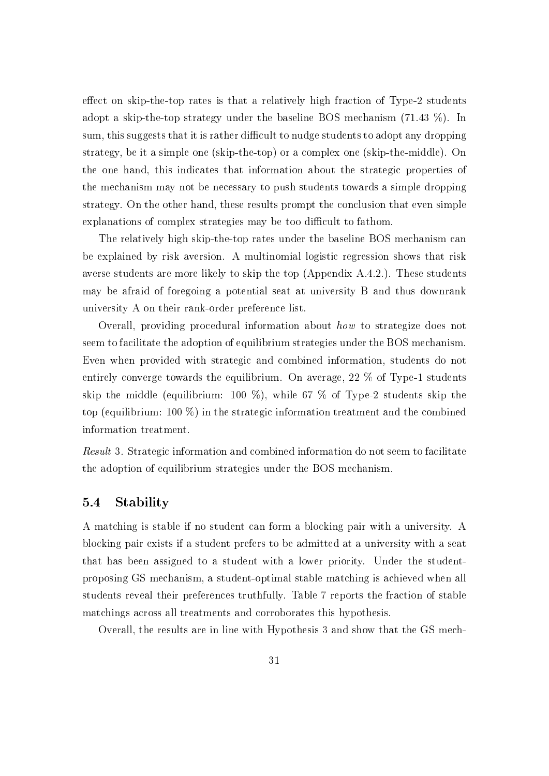effect on skip-the-top rates is that a relatively high fraction of  $Type-2$  students adopt a skip-the-top strategy under the baseline BOS mechanism (71.43 %). In sum, this suggests that it is rather difficult to nudge students to adopt any dropping strategy, be it a simple one (skip-the-top) or a complex one (skip-the-middle). On the one hand, this indicates that information about the strategic properties of the mechanism may not be necessary to push students towards a simple dropping strategy. On the other hand, these results prompt the conclusion that even simple explanations of complex strategies may be too difficult to fathom.

The relatively high skip-the-top rates under the baseline BOS mechanism can be explained by risk aversion. A multinomial logistic regression shows that risk averse students are more likely to skip the top (Appendix A.4.2.). These students may be afraid of foregoing a potential seat at university B and thus downrank university A on their rank-order preference list.

Overall, providing procedural information about how to strategize does not seem to facilitate the adoption of equilibrium strategies under the BOS mechanism. Even when provided with strategic and combined information, students do not entirely converge towards the equilibrium. On average, 22 % of Type-1 students skip the middle (equilibrium: 100 %), while 67 % of Type-2 students skip the top (equilibrium: 100 %) in the strategic information treatment and the combined information treatment.

Result 3. Strategic information and combined information do not seem to facilitate the adoption of equilibrium strategies under the BOS mechanism.

#### 5.4 Stability

A matching is stable if no student can form a blocking pair with a university. A blocking pair exists if a student prefers to be admitted at a university with a seat that has been assigned to a student with a lower priority. Under the studentproposing GS mechanism, a student-optimal stable matching is achieved when all students reveal their preferences truthfully. Table [7](#page-34-0) reports the fraction of stable matchings across all treatments and corroborates this hypothesis.

Overall, the results are in line with Hypothesis [3](#page-25-0) and show that the GS mech-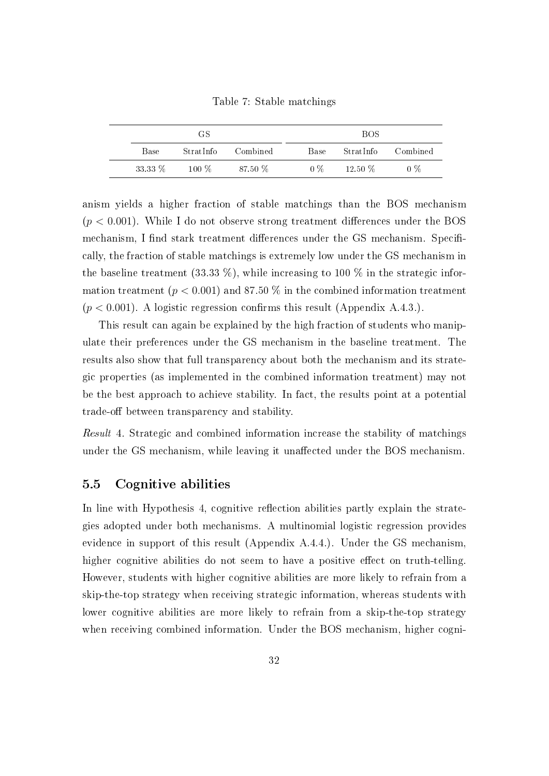Table 7: Stable matchings

<span id="page-34-0"></span>

| GS.     |           |          |  |       | <b>BOS</b> |          |
|---------|-----------|----------|--|-------|------------|----------|
| Base    | StratInfo | Combined |  | Base  | StratInfo  | Combined |
| 33.33 % | $100\%$   | 87.50 %  |  | $0\%$ | $12.50\%$  | $0\%$    |

anism yields a higher fraction of stable matchings than the BOS mechanism  $(p < 0.001)$ . While I do not observe strong treatment differences under the BOS mechanism, I find stark treatment differences under the GS mechanism. Specifically, the fraction of stable matchings is extremely low under the GS mechanism in the baseline treatment (33.33 %), while increasing to 100 % in the strategic information treatment ( $p < 0.001$ ) and 87.50 % in the combined information treatment  $(p < 0.001)$ . A logistic regression confirms this result (Appendix A.4.3.).

This result can again be explained by the high fraction of students who manipulate their preferences under the GS mechanism in the baseline treatment. The results also show that full transparency about both the mechanism and its strategic properties (as implemented in the combined information treatment) may not be the best approach to achieve stability. In fact, the results point at a potential trade-off between transparency and stability.

Result 4. Strategic and combined information increase the stability of matchings under the GS mechanism, while leaving it unaffected under the BOS mechanism.

#### 5.5 Cognitive abilities

In line with Hypothesis [4,](#page-25-1) cognitive reflection abilities partly explain the strategies adopted under both mechanisms. A multinomial logistic regression provides evidence in support of this result (Appendix A.4.4.). Under the GS mechanism, higher cognitive abilities do not seem to have a positive effect on truth-telling. However, students with higher cognitive abilities are more likely to refrain from a skip-the-top strategy when receiving strategic information, whereas students with lower cognitive abilities are more likely to refrain from a skip-the-top strategy when receiving combined information. Under the BOS mechanism, higher cogni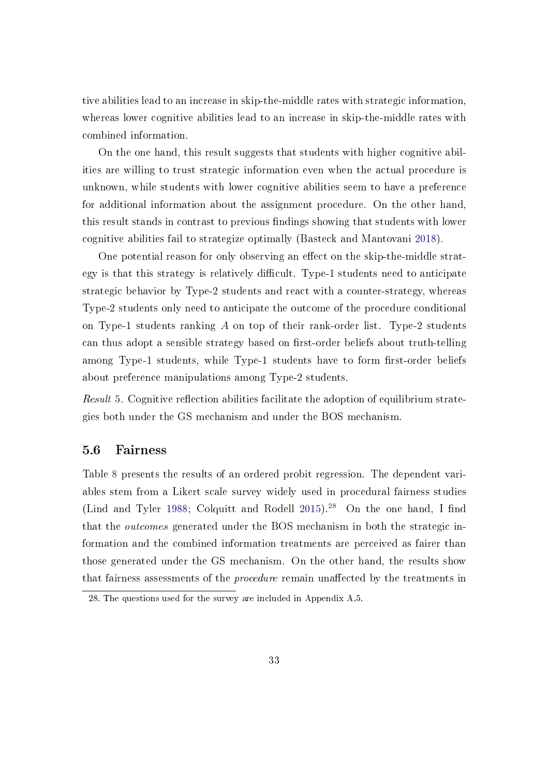tive abilities lead to an increase in skip-the-middle rates with strategic information, whereas lower cognitive abilities lead to an increase in skip-the-middle rates with combined information.

On the one hand, this result suggests that students with higher cognitive abilities are willing to trust strategic information even when the actual procedure is unknown, while students with lower cognitive abilities seem to have a preference for additional information about the assignment procedure. On the other hand, this result stands in contrast to previous findings showing that students with lower cognitive abilities fail to strategize optimally (Basteck and Mantovani [2018\)](#page-41-5).

One potential reason for only observing an effect on the skip-the-middle strategy is that this strategy is relatively difficult. Type-1 students need to anticipate strategic behavior by Type-2 students and react with a counter-strategy, whereas Type-2 students only need to anticipate the outcome of the procedure conditional on Type-1 students ranking A on top of their rank-order list. Type-2 students can thus adopt a sensible strategy based on first-order beliefs about truth-telling among Type-1 students, while Type-1 students have to form first-order beliefs about preference manipulations among Type-2 students.

*Result* 5. Cognitive reflection abilities facilitate the adoption of equilibrium strategies both under the GS mechanism and under the BOS mechanism.

#### 5.6 Fairness

Table [8](#page-38-0) presents the results of an ordered probit regression. The dependent variables stem from a Likert scale survey widely used in procedural fairness studies (Lind and Tyler [1988;](#page-44-9) Colquitt and Rodell  $2015$ ).<sup>[28](#page-35-0)</sup> On the one hand, I find that the outcomes generated under the BOS mechanism in both the strategic information and the combined information treatments are perceived as fairer than those generated under the GS mechanism. On the other hand, the results show that fairness assessments of the *procedure* remain unaffected by the treatments in

<span id="page-35-0"></span><sup>28.</sup> The questions used for the survey are included in Appendix A.5.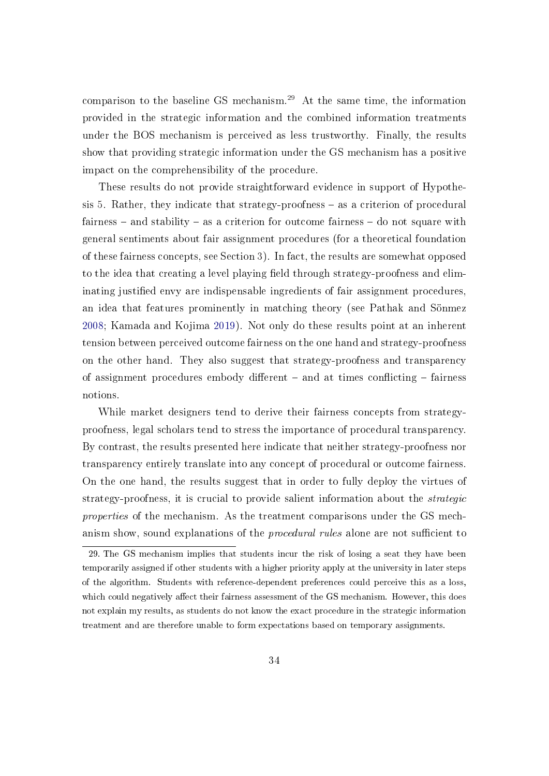comparison to the baseline GS mechanism.[29](#page-36-0) At the same time, the information provided in the strategic information and the combined information treatments under the BOS mechanism is perceived as less trustworthy. Finally, the results show that providing strategic information under the GS mechanism has a positive impact on the comprehensibility of the procedure.

These results do not provide straightforward evidence in support of Hypothe-sis [5.](#page-26-0) Rather, they indicate that strategy-proofness  $-$  as a criterion of procedural fairness  $-$  and stability  $-$  as a criterion for outcome fairness  $-$  do not square with general sentiments about fair assignment procedures (for a theoretical foundation of these fairness concepts, see Section [3\)](#page-15-0). In fact, the results are somewhat opposed to the idea that creating a level playing field through strategy-proofness and eliminating justified envy are indispensable ingredients of fair assignment procedures, an idea that features prominently in matching theory (see Pathak and Sönmez [2008;](#page-45-0) Kamada and Kojima [2019\)](#page-44-0). Not only do these results point at an inherent tension between perceived outcome fairness on the one hand and strategy-proofness on the other hand. They also suggest that strategy-proofness and transparency of assignment procedures embody different  $-$  and at times conflicting  $-$  fairness notions.

While market designers tend to derive their fairness concepts from strategyproofness, legal scholars tend to stress the importance of procedural transparency. By contrast, the results presented here indicate that neither strategy-proofness nor transparency entirely translate into any concept of procedural or outcome fairness. On the one hand, the results suggest that in order to fully deploy the virtues of strategy-proofness, it is crucial to provide salient information about the strategic properties of the mechanism. As the treatment comparisons under the GS mechanism show, sound explanations of the *procedural rules* alone are not sufficient to

<span id="page-36-0"></span><sup>29.</sup> The GS mechanism implies that students incur the risk of losing a seat they have been temporarily assigned if other students with a higher priority apply at the university in later steps of the algorithm. Students with reference-dependent preferences could perceive this as a loss, which could negatively affect their fairness assessment of the GS mechanism. However, this does not explain my results, as students do not know the exact procedure in the strategic information treatment and are therefore unable to form expectations based on temporary assignments.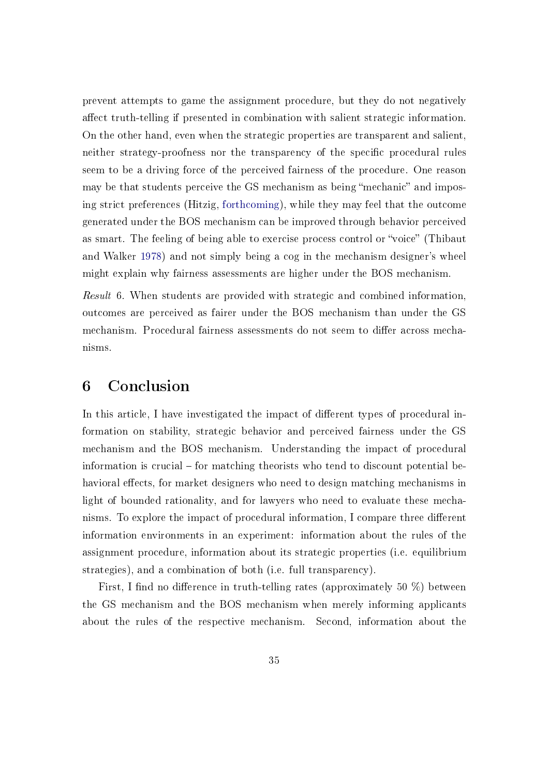prevent attempts to game the assignment procedure, but they do not negatively affect truth-telling if presented in combination with salient strategic information. On the other hand, even when the strategic properties are transparent and salient, neither strategy-proofness nor the transparency of the specific procedural rules seem to be a driving force of the perceived fairness of the procedure. One reason may be that students perceive the GS mechanism as being "mechanic" and imposing strict preferences (Hitzig, [forthcoming\)](#page-44-1), while they may feel that the outcome generated under the BOS mechanism can be improved through behavior perceived as smart. The feeling of being able to exercise process control or "voice" (Thibaut and Walker [1978\)](#page-46-0) and not simply being a cog in the mechanism designer's wheel might explain why fairness assessments are higher under the BOS mechanism.

Result 6. When students are provided with strategic and combined information, outcomes are perceived as fairer under the BOS mechanism than under the GS mechanism. Procedural fairness assessments do not seem to differ across mechanisms.

# 6 Conclusion

In this article, I have investigated the impact of different types of procedural information on stability, strategic behavior and perceived fairness under the GS mechanism and the BOS mechanism. Understanding the impact of procedural information is crucial  $-$  for matching theorists who tend to discount potential behavioral effects, for market designers who need to design matching mechanisms in light of bounded rationality, and for lawyers who need to evaluate these mechanisms. To explore the impact of procedural information, I compare three different information environments in an experiment: information about the rules of the assignment procedure, information about its strategic properties (i.e. equilibrium strategies), and a combination of both (i.e. full transparency).

First, I find no difference in truth-telling rates (approximately 50  $\%$ ) between the GS mechanism and the BOS mechanism when merely informing applicants about the rules of the respective mechanism. Second, information about the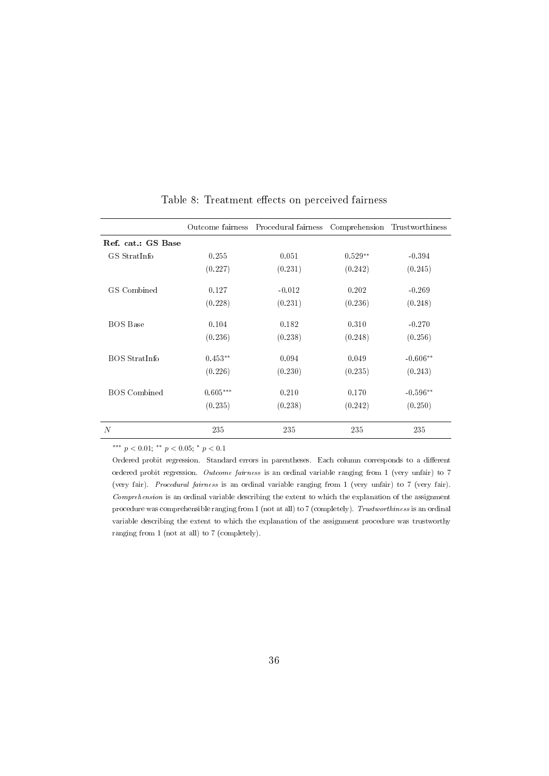|                     |            | Outcome fairness Procedural fairness Comprehension Trustworthiness |           |            |
|---------------------|------------|--------------------------------------------------------------------|-----------|------------|
| Ref. cat.: GS Base  |            |                                                                    |           |            |
| GS StratInfo        | 0.255      | 0.051                                                              | $0.529**$ | $-0.394$   |
|                     | (0.227)    | (0.231)                                                            | (0.242)   | (0.245)    |
| GS Combined         | 0.127      | $-0.012$                                                           | 0.202     | $-0.269$   |
|                     | (0.228)    | (0.231)                                                            | (0.236)   | (0.248)    |
| <b>BOS</b> Base     | 0.104      | 0.182                                                              | 0.310     | $-0.270$   |
|                     | (0.236)    | (0.238)                                                            | (0.248)   | (0.256)    |
| BOS StratInfo       | $0.453**$  | 0.094                                                              | 0.049     | $-0.606**$ |
|                     | (0.226)    | (0.230)                                                            | (0.235)   | (0.243)    |
| <b>BOS</b> Combined | $0.605***$ | 0.210                                                              | 0.170     | $-0.596**$ |
|                     | (0.235)    | (0.238)                                                            | (0.242)   | (0.250)    |
| N                   | 235        | 235                                                                | 235       | 235        |

Table 8: Treatment effects on perceived fairness

Ordered probit regression. Standard errors in parentheses. Each column corresponds to a different ordered probit regression. Outcome fairness is an ordinal variable ranging from 1 (very unfair) to 7 (very fair). Procedural fairness is an ordinal variable ranging from 1 (very unfair) to 7 (very fair). Comprehension is an ordinal variable describing the extent to which the explanation of the assignment procedure was comprehensible ranging from 1 (not at all) to 7 (completely). Trustworthiness is an ordinal variable describing the extent to which the explanation of the assignment procedure was trustworthy ranging from 1 (not at all) to 7 (completely).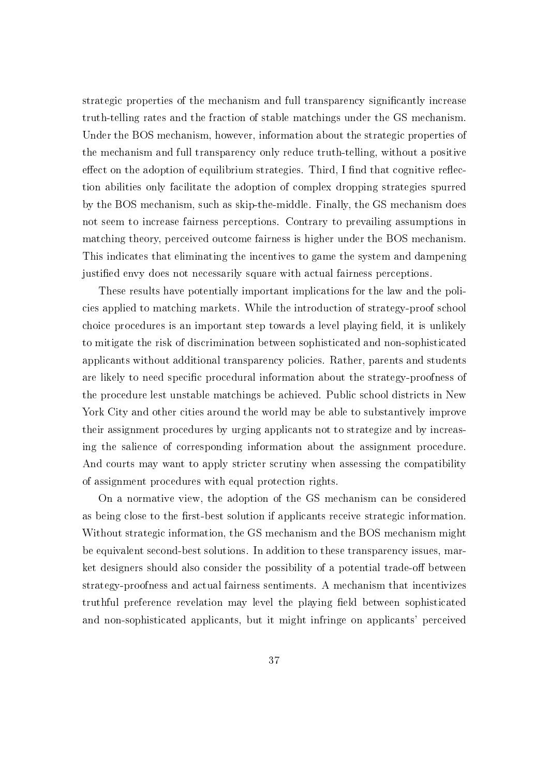strategic properties of the mechanism and full transparency signicantly increase truth-telling rates and the fraction of stable matchings under the GS mechanism. Under the BOS mechanism, however, information about the strategic properties of the mechanism and full transparency only reduce truth-telling, without a positive effect on the adoption of equilibrium strategies. Third, I find that cognitive reflection abilities only facilitate the adoption of complex dropping strategies spurred by the BOS mechanism, such as skip-the-middle. Finally, the GS mechanism does not seem to increase fairness perceptions. Contrary to prevailing assumptions in matching theory, perceived outcome fairness is higher under the BOS mechanism. This indicates that eliminating the incentives to game the system and dampening justified envy does not necessarily square with actual fairness perceptions.

These results have potentially important implications for the law and the policies applied to matching markets. While the introduction of strategy-proof school choice procedures is an important step towards a level playing field, it is unlikely to mitigate the risk of discrimination between sophisticated and non-sophisticated applicants without additional transparency policies. Rather, parents and students are likely to need specific procedural information about the strategy-proofness of the procedure lest unstable matchings be achieved. Public school districts in New York City and other cities around the world may be able to substantively improve their assignment procedures by urging applicants not to strategize and by increasing the salience of corresponding information about the assignment procedure. And courts may want to apply stricter scrutiny when assessing the compatibility of assignment procedures with equal protection rights.

On a normative view, the adoption of the GS mechanism can be considered as being close to the first-best solution if applicants receive strategic information. Without strategic information, the GS mechanism and the BOS mechanism might be equivalent second-best solutions. In addition to these transparency issues, market designers should also consider the possibility of a potential trade-off between strategy-proofness and actual fairness sentiments. A mechanism that incentivizes truthful preference revelation may level the playing field between sophisticated and non-sophisticated applicants, but it might infringe on applicants' perceived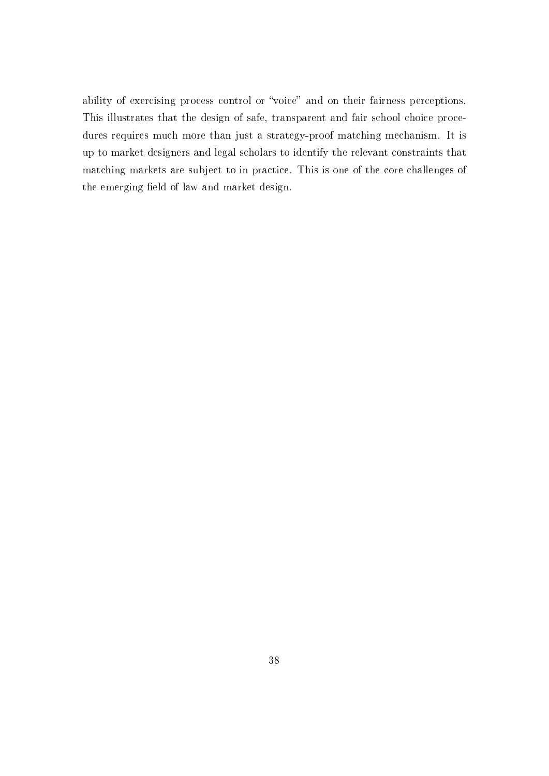ability of exercising process control or "voice" and on their fairness perceptions. This illustrates that the design of safe, transparent and fair school choice procedures requires much more than just a strategy-proof matching mechanism. It is up to market designers and legal scholars to identify the relevant constraints that matching markets are subject to in practice. This is one of the core challenges of the emerging field of law and market design.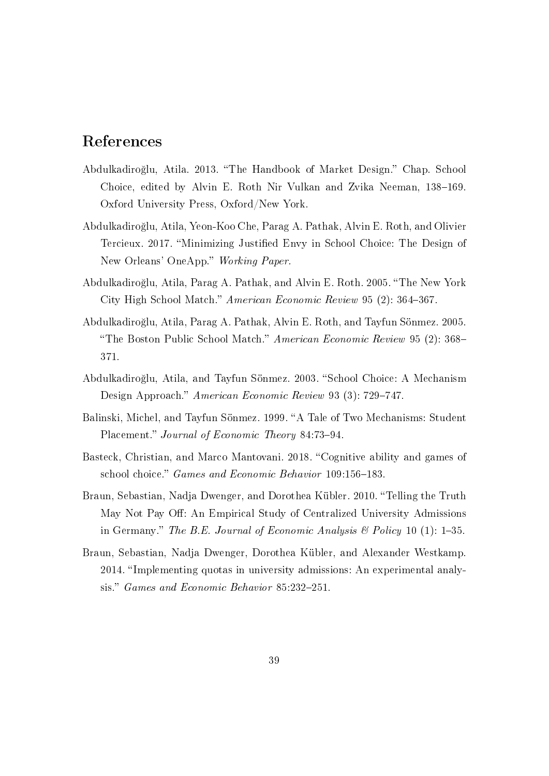# References

- Abdulkadiroğlu, Atila. 2013. "The Handbook of Market Design." Chap. School Choice, edited by Alvin E. Roth Nir Vulkan and Zvika Neeman, 138-169. Oxford University Press, Oxford/New York.
- Abdulkadiro§lu, Atila, Yeon-Koo Che, Parag A. Pathak, Alvin E. Roth, and Olivier Tercieux. 2017. Minimizing Justied Envy in School Choice: The Design of New Orleans' OneApp." Working Paper.
- Abdulkadiro§lu, Atila, Parag A. Pathak, and Alvin E. Roth. 2005. The New York City High School Match." American Economic Review 95 (2): 364-367.
- Abdulkadiro§lu, Atila, Parag A. Pathak, Alvin E. Roth, and Tayfun Sönmez. 2005. "The Boston Public School Match." American Economic Review 95 (2): 368– 371.
- Abdulkadiroğlu, Atila, and Tayfun Sönmez. 2003. "School Choice: A Mechanism Design Approach." American Economic Review 93 (3): 729-747.
- Balinski, Michel, and Tayfun Sönmez. 1999. "A Tale of Two Mechanisms: Student Placement." Journal of Economic Theory 84:73-94.
- Basteck, Christian, and Marco Mantovani. 2018. "Cognitive ability and games of school choice." Games and Economic Behavior 109:156-183.
- Braun, Sebastian, Nadja Dwenger, and Dorothea Kübler. 2010. "Telling the Truth May Not Pay Off: An Empirical Study of Centralized University Admissions in Germany." The B.E. Journal of Economic Analysis  $\mathcal B$  Policy 10 (1): 1-35.
- Braun, Sebastian, Nadja Dwenger, Dorothea Kübler, and Alexander Westkamp. 2014. "Implementing quotas in university admissions: An experimental analysis." Games and Economic Behavior 85:232-251.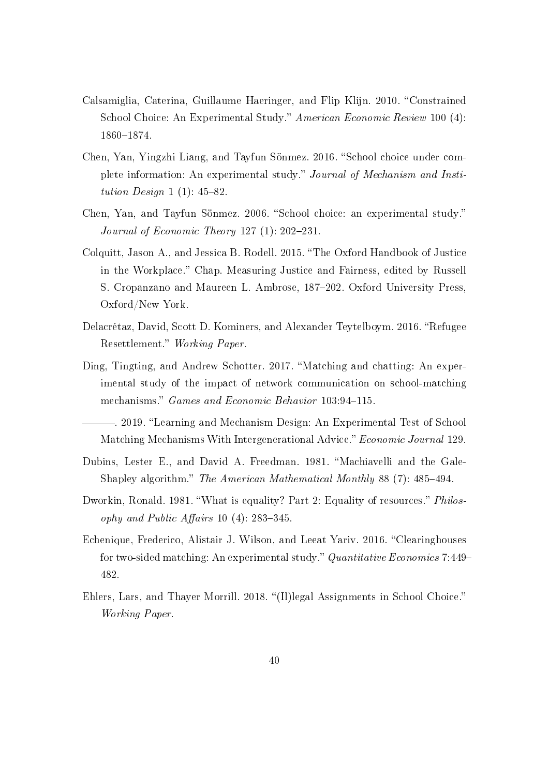- Calsamiglia, Caterina, Guillaume Haeringer, and Flip Klijn. 2010. "Constrained School Choice: An Experimental Study." American Economic Review 100 (4): 1860-1874.
- Chen, Yan, Yingzhi Liang, and Tayfun Sönmez. 2016. "School choice under complete information: An experimental study." Journal of Mechanism and Institution Design  $1(1)$ : 45-82.
- Chen, Yan, and Tayfun Sönmez. 2006. "School choice: an experimental study." Journal of Economic Theory 127  $(1)$ : 202-231.
- Colquitt, Jason A., and Jessica B. Rodell. 2015. The Oxford Handbook of Justice in the Workplace." Chap. Measuring Justice and Fairness, edited by Russell S. Cropanzano and Maureen L. Ambrose, 187-202. Oxford University Press, Oxford/New York.
- Delacrétaz, David, Scott D. Kominers, and Alexander Teytelboym. 2016. "Refugee Resettlement." Working Paper.
- Ding, Tingting, and Andrew Schotter. 2017. "Matching and chatting: An experimental study of the impact of network communication on school-matching mechanisms." Games and Economic Behavior 103:94-115.
- 2019. "Learning and Mechanism Design: An Experimental Test of School Matching Mechanisms With Intergenerational Advice." Economic Journal 129.
- Dubins, Lester E., and David A. Freedman. 1981. "Machiavelli and the Gale-Shapley algorithm." The American Mathematical Monthly 88 (7): 485–494.
- Dworkin, Ronald. 1981. "What is equality? Part 2: Equality of resources." *Philos*ophy and Public Affairs 10 (4):  $283-345$ .
- Echenique, Frederico, Alistair J. Wilson, and Leeat Yariv. 2016. "Clearinghouses for two-sided matching: An experimental study." Quantitative Economics 7:449– 482.
- Ehlers, Lars, and Thayer Morrill. 2018. "(Il)legal Assignments in School Choice." Working Paper.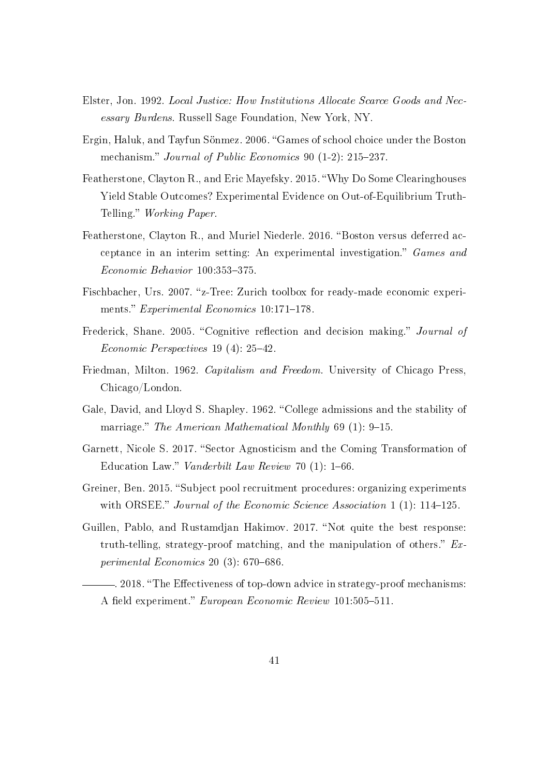- Elster, Jon. 1992. Local Justice: How Institutions Allocate Scarce Goods and Necessary Burdens. Russell Sage Foundation, New York, NY.
- Ergin, Haluk, and Tayfun Sönmez. 2006. "Games of school choice under the Boston mechanism." Journal of Public Economics 90  $(1-2)$ : 215–237.
- Featherstone, Clayton R., and Eric Mayefsky. 2015. Why Do Some Clearinghouses Yield Stable Outcomes? Experimental Evidence on Out-of-Equilibrium Truth-Telling." Working Paper.
- Featherstone, Clayton R., and Muriel Niederle. 2016. "Boston versus deferred acceptance in an interim setting: An experimental investigation." Games and  $Economic Behavior$  100:353-375.
- Fischbacher, Urs. 2007. "z-Tree: Zurich toolbox for ready-made economic experiments." Experimental Economics 10:171-178.
- Frederick, Shane. 2005. "Cognitive reflection and decision making." Journal of Economic Perspectives  $19(4)$ :  $25-42$ .
- Friedman, Milton. 1962. Capitalism and Freedom. University of Chicago Press, Chicago/London.
- Gale, David, and Lloyd S. Shapley. 1962. "College admissions and the stability of marriage." The American Mathematical Monthly  $69(1)$ : 9-15.
- Garnett, Nicole S. 2017. "Sector Agnosticism and the Coming Transformation of Education Law." Vanderbilt Law Review 70  $(1)$ : 1–66.
- Greiner, Ben. 2015. "Subject pool recruitment procedures: organizing experiments with ORSEE." Journal of the Economic Science Association 1 (1):  $114-125$ .
- Guillen, Pablo, and Rustamdjan Hakimov. 2017. "Not quite the best response: truth-telling, strategy-proof matching, and the manipulation of others."  $Ex$ perimental Economics 20  $(3)$ : 670–686.
	- . 2018. The Eectiveness of top-down advice in strategy-proof mechanisms: A field experiment." European Economic Review 101:505-511.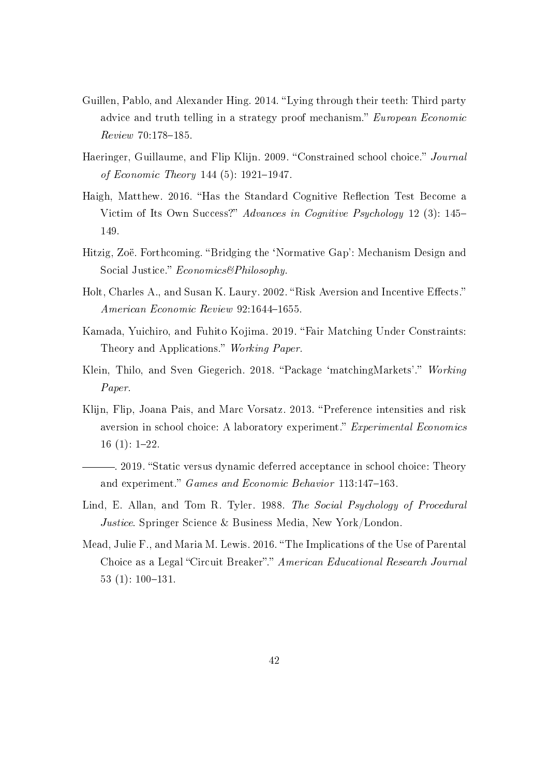- Guillen, Pablo, and Alexander Hing. 2014. "Lying through their teeth: Third party advice and truth telling in a strategy proof mechanism." European Economic Review 70:178-185.
- Haeringer, Guillaume, and Flip Klijn. 2009. "Constrained school choice." Journal of Economic Theory 144  $(5)$ : 1921–1947.
- Haigh, Matthew. 2016. "Has the Standard Cognitive Reflection Test Become a Victim of Its Own Success?" Advances in Cognitive Psychology 12 (3): 145– 149.
- <span id="page-44-1"></span>Hitzig, Zoë. Forthcoming. Bridging the `Normative Gap': Mechanism Design and Social Justice." Economics&Philosophy.
- Holt, Charles A., and Susan K. Laury. 2002. "Risk Aversion and Incentive Effects." American Economic Review 92:1644-1655.
- <span id="page-44-0"></span>Kamada, Yuichiro, and Fuhito Kojima. 2019. "Fair Matching Under Constraints: Theory and Applications." Working Paper.
- Klein, Thilo, and Sven Giegerich. 2018. "Package 'matchingMarkets'." Working Paper.
- Klijn, Flip, Joana Pais, and Marc Vorsatz. 2013. "Preference intensities and risk aversion in school choice: A laboratory experiment." Experimental Economics  $16(1): 1-22.$
- . 2019. "Static versus dynamic deferred acceptance in school choice: Theory and experiment." Games and Economic Behavior 113:147-163.
- Lind, E. Allan, and Tom R. Tyler. 1988. The Social Psychology of Procedural Justice. Springer Science & Business Media, New York/London.
- Mead, Julie F., and Maria M. Lewis. 2016. "The Implications of the Use of Parental Choice as a Legal "Circuit Breaker"." American Educational Research Journal 53 (1):  $100-131$ .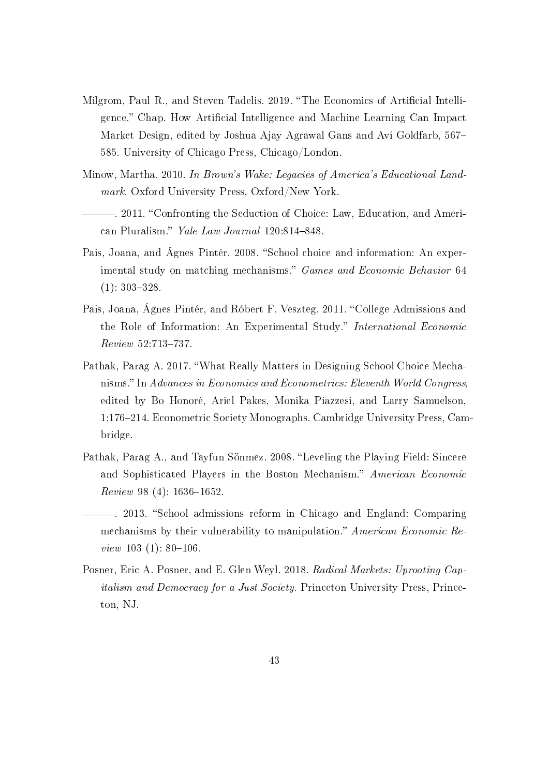- Milgrom, Paul R., and Steven Tadelis. 2019. "The Economics of Artificial Intelligence." Chap. How Artificial Intelligence and Machine Learning Can Impact Market Design, edited by Joshua Ajay Agrawal Gans and Avi Goldfarb, 567 585. University of Chicago Press, Chicago/London.
- Minow, Martha. 2010. In Brown's Wake: Legacies of America's Educational Landmark. Oxford University Press, Oxford/New York.
- . 2011. Confronting the Seduction of Choice: Law, Education, and American Pluralism." Yale Law Journal 120:814-848.
- Pais, Joana, and Ágnes Pintér. 2008. "School choice and information: An experimental study on matching mechanisms." Games and Economic Behavior 64  $(1): 303 - 328.$
- Pais, Joana, Ágnes Pintér, and Róbert F. Veszteg. 2011. "College Admissions and the Role of Information: An Experimental Study." International Economic  $Review 52:713-737.$
- Pathak, Parag A. 2017. What Really Matters in Designing School Choice Mechanisms." In Advances in Economics and Econometrics: Eleventh World Congress, edited by Bo Honoré, Ariel Pakes, Monika Piazzesi, and Larry Samuelson, 1:176214. Econometric Society Monographs. Cambridge University Press, Cambridge.
- <span id="page-45-0"></span>Pathak, Parag A., and Tayfun Sönmez. 2008. "Leveling the Playing Field: Sincere and Sophisticated Players in the Boston Mechanism." American Economic  $Review 98 (4): 1636-1652.$
- -. 2013. "School admissions reform in Chicago and England: Comparing mechanisms by their vulnerability to manipulation." American Economic Review  $103$  (1): 80-106.
- Posner, Eric A. Posner, and E. Glen Weyl. 2018. Radical Markets: Uprooting Capitalism and Democracy for a Just Society. Princeton University Press, Princeton, NJ.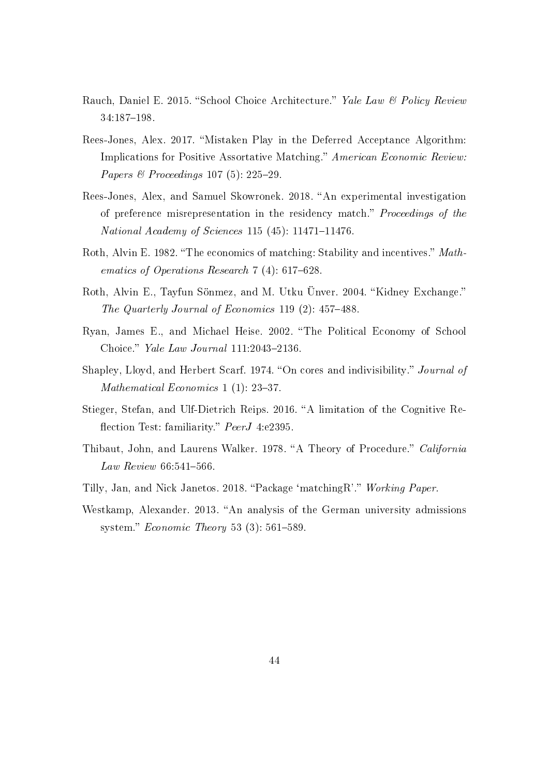- Rauch, Daniel E. 2015. "School Choice Architecture." Yale Law & Policy Review 34:187-198.
- Rees-Jones, Alex. 2017. "Mistaken Play in the Deferred Acceptance Algorithm: Implications for Positive Assortative Matching." American Economic Review: Papers & Proceedings 107 (5):  $225-29$ .
- Rees-Jones, Alex, and Samuel Skowronek. 2018. "An experimental investigation of preference misrepresentation in the residency match." Proceedings of the National Academy of Sciences 115 (45):  $11471-11476$ .
- Roth, Alvin E. 1982. "The economics of matching: Stability and incentives." Mathematics of Operations Research  $7(4)$ : 617–628.
- Roth, Alvin E., Tayfun Sönmez, and M. Utku Ünver. 2004. "Kidney Exchange." The Quarterly Journal of Economics 119  $(2)$ : 457-488.
- Ryan, James E., and Michael Heise. 2002. The Political Economy of School Choice." Yale Law Journal 111:2043-2136.
- Shapley, Lloyd, and Herbert Scarf. 1974. "On cores and indivisibility." Journal of Mathematical Economics 1  $(1)$ : 23-37.
- Stieger, Stefan, and Ulf-Dietrich Reips. 2016. "A limitation of the Cognitive Reflection Test: familiarity." PeerJ 4:e2395.
- <span id="page-46-0"></span>Thibaut, John, and Laurens Walker. 1978. "A Theory of Procedure." California  $Law \; Review \; 66:541-566.$
- Tilly, Jan, and Nick Janetos. 2018. "Package 'matchingR'." Working Paper.
- Westkamp, Alexander. 2013. "An analysis of the German university admissions system." Economic Theory 53  $(3)$ : 561–589.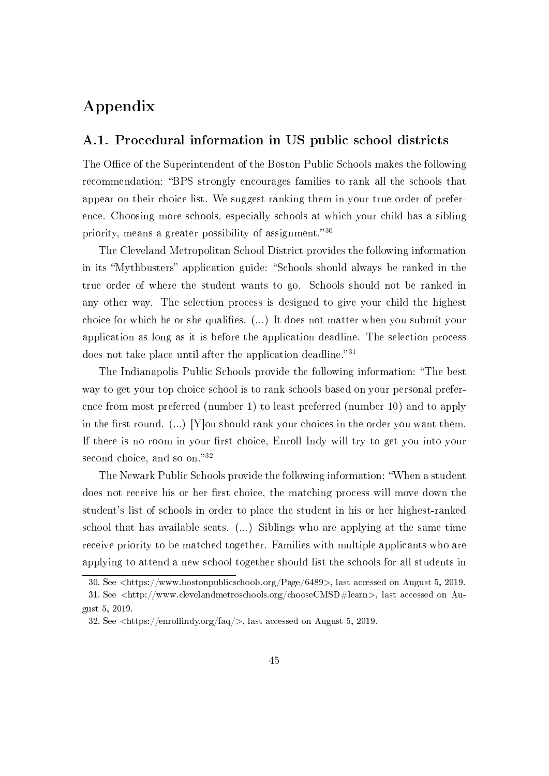# Appendix

# A.1. Procedural information in US public school districts

The Office of the Superintendent of the Boston Public Schools makes the following recommendation: "BPS strongly encourages families to rank all the schools that appear on their choice list. We suggest ranking them in your true order of preference. Choosing more schools, especially schools at which your child has a sibling priority, means a greater possibility of assignment."<sup>[30](#page-47-0)</sup>

The Cleveland Metropolitan School District provides the following information in its "Mythbusters" application guide: "Schools should always be ranked in the true order of where the student wants to go. Schools should not be ranked in any other way. The selection process is designed to give your child the highest choice for which he or she qualifies.  $(...)$  It does not matter when you submit your application as long as it is before the application deadline. The selection process does not take place until after the application deadline.<sup>[31](#page-47-1)</sup>

The Indianapolis Public Schools provide the following information: The best way to get your top choice school is to rank schools based on your personal preference from most preferred (number 1) to least preferred (number 10) and to apply in the first round.  $(...)$  [Y]ou should rank your choices in the order you want them. If there is no room in your first choice, Enroll Indy will try to get you into your second choice, and so on." $32$ 

The Newark Public Schools provide the following information: When a student does not receive his or her first choice, the matching process will move down the student's list of schools in order to place the student in his or her highest-ranked school that has available seats. (...) Siblings who are applying at the same time receive priority to be matched together. Families with multiple applicants who are applying to attend a new school together should list the schools for all students in

<span id="page-47-1"></span><span id="page-47-0"></span><sup>30.</sup> See <https://www.bostonpublicschools.org/Page/6489>, last accessed on August 5, 2019.

<sup>31.</sup> See <http://www.clevelandmetroschools.org/chooseCMSD#learn>, last accessed on August 5, 2019.

<span id="page-47-2"></span><sup>32.</sup> See <https://enrollindy.org/faq/>, last accessed on August 5, 2019.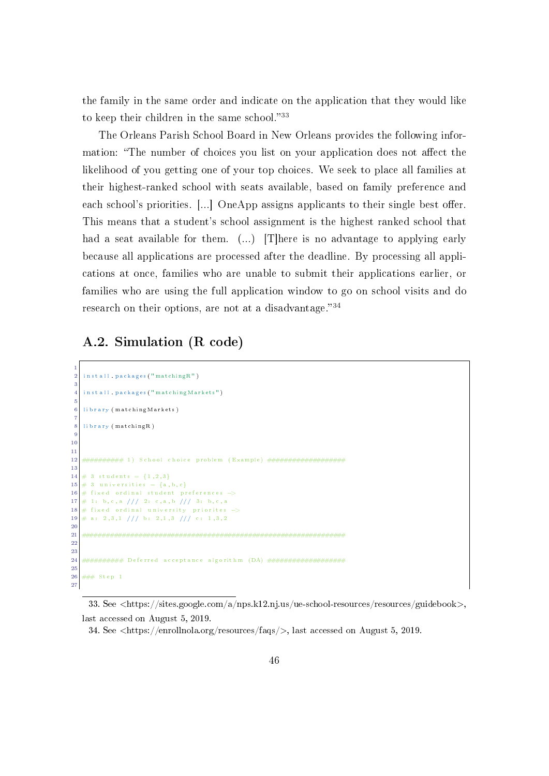the family in the same order and indicate on the application that they would like to keep their children in the same school."[33](#page-48-0)

The Orleans Parish School Board in New Orleans provides the following information: "The number of choices you list on your application does not affect the likelihood of you getting one of your top choices. We seek to place all families at their highest-ranked school with seats available, based on family preference and each school's priorities.  $\left[\ldots\right]$  OneApp assigns applicants to their single best offer. This means that a student's school assignment is the highest ranked school that had a seat available for them. (...) [T]here is no advantage to applying early because all applications are processed after the deadline. By processing all applications at once, families who are unable to submit their applications earlier, or families who are using the full application window to go on school visits and do research on their options, are not at a disadvantage." $34$ 

# A.2. Simulation (R code)

```
1
   install . packages ("matchingR")
 3
   install . packages ("matchingMarkets")
 5
   library (matchingMarkets)
 7
   library (matchingR)
 9
10
11
12 ########## 1 ) S ch o o l c h o i c e prob lem ( Example ) ###################
13
14 \# 3 students = {1,2,3}
15 \neq 3 universities = {a,b,c}
16 \# fixed ordinal student preferences -17 \# 1: b, c, a /// 2: c, a, b /// 3: b, c, a
18 \# fixed ordinal university priorites ->
19 \# a: 2, 3, 1 /// b: 2, 1, 3 /// c: 1, 3, 2
20
21 #################################################################
22
23
24 ########## D e f e r r e d a c c e p t a n c e a l g o r i t hm (DA) ###################
25
26 \frac{+}{+++} Step 1
27
```
<span id="page-48-0"></span><sup>33.</sup> See <https://sites.google.com/a/nps.k12.nj.us/ue-school-resources/resources/guidebook>, last accessed on August 5, 2019.

<span id="page-48-1"></span><sup>34.</sup> See  $\langle$ https://enrollnola.org/resources/faqs/ $\rangle$ , last accessed on August 5, 2019.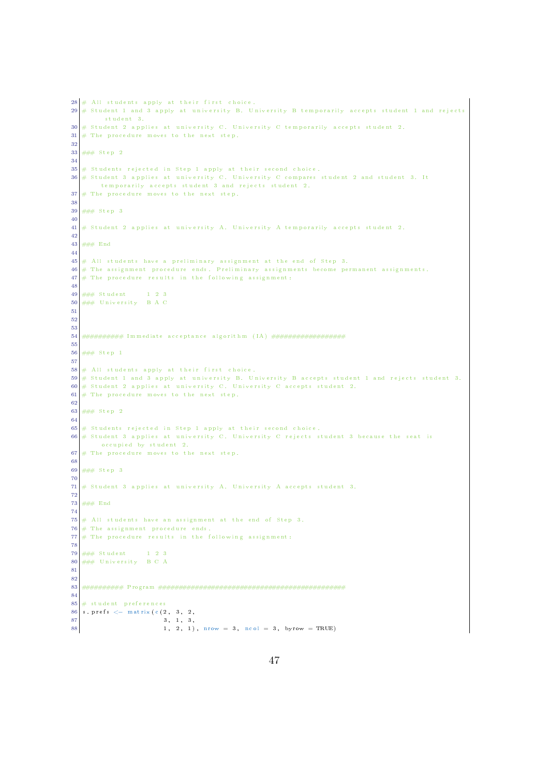```
28 \# All students apply at their first choice.
29 \# Student 1 and 3 apply at university B. University B temporarily accepts student 1 and rejects
         student 3.
30 \# Student 2 applies at university C. University C temporarily accepts student 2.
31 \# The procedure moves to the next step.
32
33 ### Step 2
34
\mathbf{35} # Students rejected in Step 1 apply at their second choice.
36 # Student 3 applies at university C. University C compares student 2 and student 3. It
       tem por arily accepts student 3 and rejects student 2.
37 \# The procedure moves to the next step.
38
39 \# \# \# Step 3
40
41 \# Student 2 applies at university A. University A temporarily accepts student 2.
42
43 \# \# End
44
45 \# All students have a preliminary assignment at the end of Step 3.
46 \# The assignment procedure ends. Preliminary assignments become permanent assignments.
47 \# The procedure results in the following assignment:
48
49 \# \# \text{Student} 1 2 3
50 ### University B A C
51
52
53
54 ########## Immed iate a c c e p t a n c e a l g o r i t hm ( IA ) ##################
55
56 ### Step 1
57
58 \# All students apply at their first choice.
59 \# Student 1 and 3 apply at university B. University B accepts student 1 and rejects student 3.
60 # Student 2 applies at university C. University C accepts student 2.
61 # The procedure moves to the next step.
62
63 \# # Step 2
64
65 \# Students rejected in Step 1 apply at their second choice.
66 # Student 3 applies at university C. University C rejects student 3 because the seat is
       occup pied by student 2.
67 \# The procedure moves to the next step.
68
69 \# \# \# Step 3
70
71 \# Student 3 applies at university A. University A accepts student 3.
72
73 ### End
74
75 \#\ All students have an assignment at the end of Step 3.<br>76 \#\ The assignment procedure ends.
   # The assignment procedure ends.
77 \# The procedure results in the following assignment:
78
79 \# \# \ Student 1 2 3
80 \# \# \# University B C A
81
82
83 ########## Program ##############################################
84
\mathbf{85} # student preferences
86 \text{ s. prefix} \leftarrow \text{matrix} (c (2, 3, 2,87 3, 1, 3,
88 1, 2, 1), nrow = 3, ncol = 3, byrow = TRUE)
```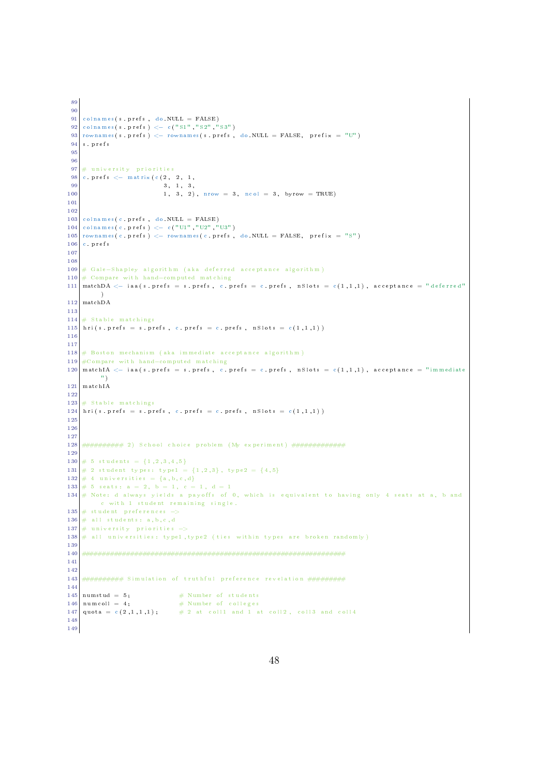```
89
90
91 colnames (s. prefs, do .NULL = FALSE)
92 colnames (s . prefs) <- c ("S1", "S2", "S3")
93 rownames (s. prefs) \leq rownames (s. prefs, do NULL = FALSE, prefix = "U")
94 s.prefs
95
96
97 \# university priorities
98 c. p r e f s \leq matrix ( c (2, 2, 1, 1)99 3, 1, 3,
100 1, 3, 2), nrow = 3, ncol = 3, byrow = TRUE)
101
102
103 colnames (c. prefs, do .NULL = FALSE)
104 colnames (c. prefs) <- c ("U1", "U2", "U3")
105 rownames (c. prefs) \leq rownames (c. prefs, do NULL = FALSE, prefix = "S")
106 c prefs
107
108
109 # Gale-Shapley algorithm (aka deferred acceptance algorithm)
110 # Compare with hand-computed matching
111 matchDA \leq iaa(s. prefs = s. prefs, c. prefs = c. prefs, n Slots = c(1,1,1), acceptance = "deferred"
         )
112 matchDA
113
114 \# Stable matchings
115 hri(s. prefs = s. prefs, c. prefs = c. prefs, nSlots = c(1,1,1))
116
117
118 \# Boston mechanism (aka immediate acceptance algorithm)
119 #Compare with hand-computed matching
120 matchIA \langle - iaa(s. prefs = s. prefs, c. prefs = c. prefs, n Slots = c(1,1,1), acceptance = "immediate
         ^{\circ} " )
121 matchIA
122
123 \# Stable matchings
124 \mid hri(s, prefs = s, prefs, c, prefs = c, prefs, nSlots = c(1,1,1))125
126
127
128 ########## 2 ) S ch o o l c h o i c e prob lem (My exp e r im en t ) #############
129
130 \# 5 students = {1,2,3,4,5}
131 \# 2 student types: type1 = {1,2,3}, type2 = {4,5}
132 \# 4 universities = {a, b, c, d}
133 \# 5 seats: a = 2, b = 1, c = 1, d = 1134 \# Note: d always yields a payoffs of 0, which is equivalent to having only 4 seats at a, b and
        c with 1 student remaining single.
135 \# student preferences \rightarrow136 \# all students: a, b, c, d
137 \# university priorities \rightarrow138 \# all universities: type1, type2 (ties within types are broken randomly)
139
140 #################################################################
141
142
143 ############ Simulation of truthful preference revelation ##########
144
\begin{array}{lll} \texttt{145} & \texttt{numstud} = & \texttt{5}; & \texttt{\# Number of students} \\ \texttt{146} & \texttt{numcoll} = & \texttt{4}: & \texttt{\# Number of colleges} \end{array}\frac{1}{4} Number of colleges
147 quota = c (2,1,1,1); # 2 at coll1 and 1 at coll2, coll3 and coll4
148
149
```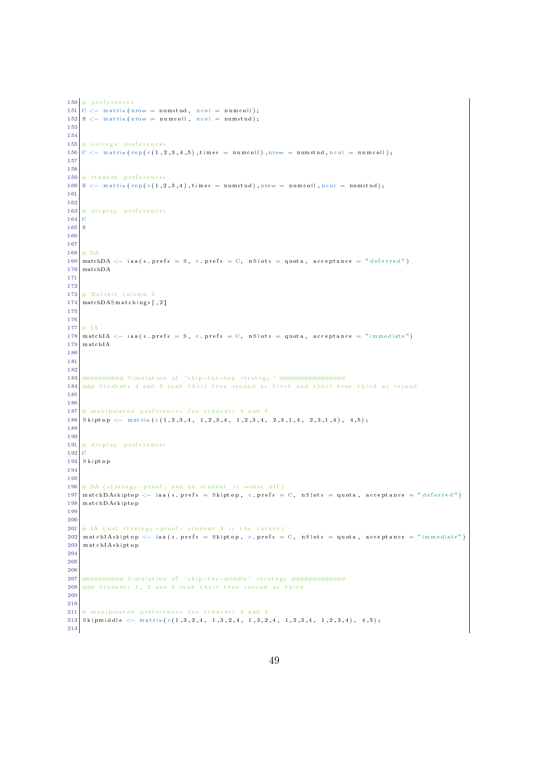```
150 \# preferences
151 |C \leftarrow \text{ matrix (nrow = numstud, ncol = numcoll)};152 |S \leftarrow matrix (nrow = numcoll, ncol = numstud);
153
154
155 \# college preferences
156 C \langle matrix (rep (c(1,2,3,4,5), times = numcoll), nrow = numstud, ncol = numcoll);
157
158
159 \# student preferences
160 S \leftarrow matrix (rep (c (1,2,3,4), times = numstud), nrow = numcoll, ncol = numstud);
161
162
163 # display preferences
\begin{array}{c|c}\n164 & C \\
165 & S\n\end{array}165
166
167
168 \# DA
169 matchDA \leq iaa(s. prefs = S, c. prefs = C, nSlots = quota, acceptance = "deferred")
170 matchDA
171
172
173 \# Extract column 2
174 matchDA$ matchings [,2]
175
176
177 \pm 1A178 matchIA \leq iaa(s. prefs = S, c. prefs = C, nSlots = quota, acceptance = "immediate")
179 matchIA
180
181
182
183 ########## S im u l a t i o n o f ' s k ip−the−top s t r a t e g y ' ################
184 \# \# \# Students 4 and 5 rank their true second as first and their true third as second
185
186
187 \# manipulated preferences for students 4 and 5
188 \sin \to \cos \left( -\frac{1}{4} \right) Skiptop \leftarrow matrix (c \left( 1, 2, 3, 4, 1, 2, 3, 4, 1, 2, 3, 4, 2, 3, 1, 4, 2, 3, 1, 4 \right), 4, 5 ;
189
190
191 \# display preferences
192 C
193 Skiptop
194
195
196 \# DA (strategy -proof: and no student is worse off)
197 matchDAskiptop \langle - \rangleiaa (s. prefs = Skiptop, c. prefs = C, nSlots = quota, acceptance = "deferred")
198 matchDAskinton
199
\frac{200}{201}\# IA (not strategy-proof: student 3 is the sucker)
202 \mid m \text{ at ch IAskiptop } \leftarrow iaa (s. prefs = Skiptop, c. prefs = C, n Slots = quota, acceptance = "immediate")
203 match IAskiptop
204
205
206
207 ############# Simulation of 'skip-the-middle' strategy ################
208 \# \# \# Students 1, 2 and 3 rank their true second as third
209
210
211 \# manipulated preferences for students 4 and 5
212 Skipmiddle <- matrix (c(1,3,2,4, 1,3,2,4, 1,3,2,4, 1,2,3,4, 1,2,3,4), 4,5);
213
```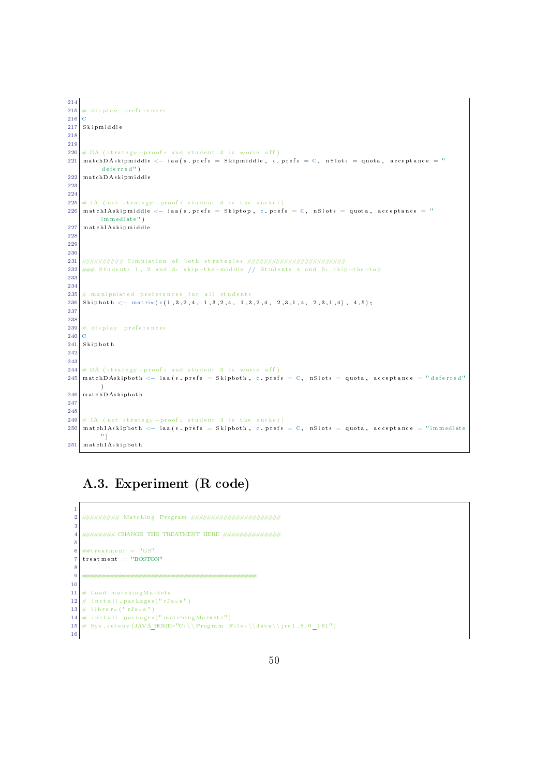```
214
215 \# display preferences
\begin{array}{c|c} 216 & C \\ 217 & S \end{array}217 Sk ipm idd l e
218
219
220 \# DA (strategy-proof: and student 3 is worse off)
221 matchDAskipmiddle \leq iaa(s. prefs = Skipmiddle, c. prefs = C, n Slots = quota, acceptance = "
         \det(\mathbf{r})222 matchDAskipmiddle
223
224
225 \# IA (not strategy-proof: student 3 is the sucker)
226 | match IAskip middle \leq iaa (s. prefs = Skiptop, c. prefs = C, n Slots = quota, acceptance = "
         immediate")
227 match IAskipmiddle
228
229
230
231 ########## S im u l a t i o n o f both s t r a t e g i e s ########################
232 ### Students 1, 2 and 3: skip-the-middle // Students 4 and 5: skip-the-top
233
234
235 \# manipulated preferences for all students
236 Skipboth \leq matrix (c(1,3,2,4, 1,3,2,4, 1,3,2,4, 2,3,1,4, 2,3,1,4), 4,5);237
238
239 \# d is play preferences
240 C
241 Skipboth
242
243
244 \# DA (strategy-proof: and student 3 is worse off)
245 matchDAskipboth \langle - \rangle iaa (s. prefs = Skipboth, c. prefs = C, n Slots = quota, acceptance = "deferred"
        \rightarrow246 matchDAskipboth
247
248
249 \# IA (not strategy-proof: student 3 is the sucker)
250 matchIAskipboth \leq iaa (s. prefs = Skipboth, c. prefs = C, n Slots = quota, acceptance = "immediate")
         " )
251 matchIAskipboth
```
# A.3. Experiment (R code)

```
1
2 ######### Match ing Program ######################
3
4 ######## CHANGE THE TREATMENT HERE ##############
 5
   ##treatment = "GS"
   t reatment = "BOSTON"
 8
9 ###########################################
10
11 \# Load matching Markets
12 \nparallel in stall . packages ("rJava")
13 \# library ("rJava")
14 \# in stall . packages ("matching Markets")
15 \# Sys.setenv (JAVA_HOME="C: \\Program Files\\Java\\jre1.8.0_181")
16
```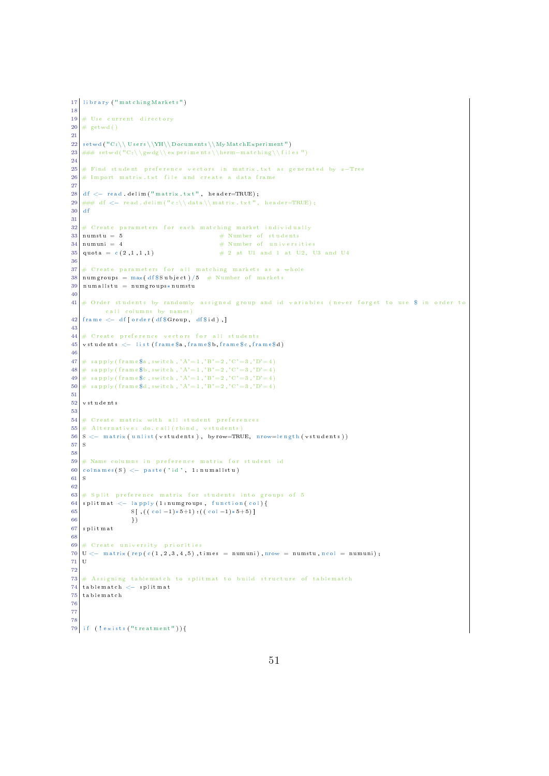```
17 library ("matching Markets")
18
19 \# Use current directory
20 \neq \text{getwd}()21
22 setwd ("C:\\Users\\YH\\Documents\\MyMatchExperiment")
23 ### setwd ("C:\\gwdg\\experiments \\herm−matching \\files")
24
25 # Find student preference vectors in matrix txt as generated by z-Tree
26 \# Import matrix txt file and create a data frame
27
28 d f \leq read. delim ("matrix. txt", header=TRUE);
29 ### df <- read.delim("c:\\data\\matrix.txt", header=TRUE);
30 d f
31
32 # C reate parameters for each matching market individually \begin{aligned} 33 \text{ times} & \text{ times} & \text{ times} & \text{ times} & \text{ times} & \text{ times} & \text{ times} & \text{ times} & \text{ times} & \text{ times} & \text{ times} & \text{ times} & \text{ times} & \text{ times} & \text{ times} & \text{ times} & \text{ times} & \text{ times} & \text{ times} & \text{ times} & \text{ times} & \text{ times} & \text{ times} & \text{ times} & \text{ times} &\# Number of students
34 \text{ } n numuni = 4 \text{ } # Number of universities
35 quota = c(2,1,1,1) # 2 at U1 and 1 at U2, U3 and U4
3637 \# C reate parameters for all matching markets as a whole
38 numgroups = max(df \text{Subject}) /5 # Number of markets
39 \nvert num all stu = num groups *num stu
40
41 \# Order students by randomly assigned group and id variables (never forget to use $ in order to
          call columns by names)
42 frame \leftarrow df [ order (df $Group, df $ id ),]
43
44 \# Create preference vectors for all students
45 \nvert vstudents \lt list (frame$a, frame$b, frame$c, frame$d)
46
47 # sapply (frame a_1, b_2, \ldots, b_k, c_k , A' = 1, B' = 2, C' = 3, D' = 4)
48 \mid \# \text{ } \texttt{supply (frame\$b, switch }, 'A'=1, 'B'=2, 'C'=3, 'D'=4)49 \# sapply (frame$c,switch , 'A'=1, 'B'=2, 'C'=3, 'D'=4)
50 \mid \# \text{ } \texttt{supply (frame\${d}$, switch }, 'A'=1 \text{, 'B'}=2 \text{, 'C'}=3 \text{, 'D'}=4 \text{)}51
52 vstudents
53
   \frac{1}{2} C reate matrix with all student preferences
55 \div Alternative: do. call (rbind, vstudents)
56 S < matrix (unlist (vstudents), byrow=TRUE, nrow=length (vstudents))
57 S
58
59 \# Name columns in preference matrix for student id
60 colnames (S) \leftarrow paste ('id', 1: numallstu)
61 S
62
63 \# Split preference matrix for students into groups of 5
64 splitmat \leftarrow lapply (1:numgroups, function (col) {
65 S [, ((c o 1 - 1)*5+1) : ((c o 1 - 1)*5+5)]
\begin{array}{c|c} 66 & & \text{ } \\ 67 & \text{splitmat} & & \end{array}s p l i tm a t
68
69 \# Create university priorities
70 U \left\langle -\right\rangle matrix (rep (c (1,2,3,4,5), times = numuni), nrow = numstu, ncol = numuni);
71 U
72
73 # Assigning tablematch to splitmat to build structure of tablematch
74 \vert tablematch \langle - splitmat
75 t ab l em a t ch
76
77
78
79 if (\ell \text{ exists} (\ell^n \text{treatment}^n))
```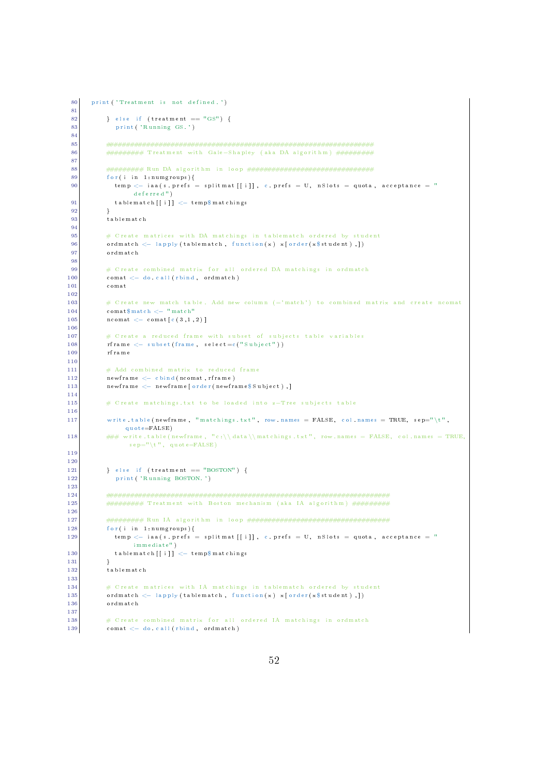```
80 print ('Treatment is not defined.')
 81
 \begin{array}{c} \text{82} \end{array} } else if (treatment \equiv "GS") {
83 print ('Running GS.')
84
85 ##################################################################
 86 ############ Treatment with Gale–Shapley (aka DA algorithm) ###########
 87
 88 ######### Run DA a l g o r i t hm i n l o o p ###############################
89 for (i in 1:numgroups) {
90 temp \lt iaa (s. prefs = splitmat [[i]], c. prefs = U, n Slots = quota, acceptance = "
                de ferre d^{\mathrm{u}} )
91 \vert tablematch \vert [ i ] \vert temp$ matchings
\overline{92} \overline{1}93 tablematch
94
          # C reate matrices with DA matchings in tablematch ordered by student
96 ordmatch \langle - \text{ apply (tablematch}, \text{ function (x) x} | \text{order (x$student)}, ]97 ordmatch
\alpha99 # Create combined matrix for all ordered DA matchings in ordmatch
100 comat \leftarrow do call (rbind, ordmatch)
101 comat
102
103 \# C reate new match table. Add new column (= 'match ' ) to combined matrix and create ncomat
104 comat$match <− "match"
105 ncomat \leq comat [ c ( 3, 1, 2 ) ]
106
107 \# Create a reduced frame with subset of subjects table variables
\begin{array}{c|c|c|c} \hline 108 & \text{rfname} & \leftarrow & \text{subset}(\text{``Subject''})) \end{array}109 r frame
110
111 \# Add combined matrix to reduced frame
|112| newframe \leftarrow cbind (ncomat, rframe)
113 newframe <- newframe [order (newframe $ Subject), ]
114
115 # Create matchings txt to be loaded into z-Tree subjects table
116
117 write table (newframe, "matchings txt", row names = FALSE, col names = TRUE, sep="\t",
              quo te = FALSE)
118 \# \# \# write table (newframe, "c:\\data\\matchings .txt", row .names = FALSE, col.names = TRUE,
               s e p = "\mathbf{t}", quot e=FALSE)
119
120
121 } else if (treatment = "BOSTON") {
122 print ('Running BOSTON.')
123
124 ######################################################################
125 ########### Treatment with Boston mechanism (aka IA algorithm) ##########
126
127 ######### Run IA a l g o r i t hm i n l o o p ###################################
          for ( i in 1 in umgroups )129 temp \langle - iaa (s. prefs = splitmat [[i]], c. prefs = U, nSlots = quota, acceptance = "
                immed iate " )
130 tablematch [[i]] \leftarrow temp$ matchings
131 }
132 tablematch
133
134 # Create matrices with IA matchings in tablematch ordered by student
135 ordmatch <- lapply (tablematch, function (x) x [order (x $ student ) , ])
136 ordmatch
137
138 \# Create combined matrix for all ordered IA matchings in ordmatch
139 comat \langle do call (rbind, ordmatch)
```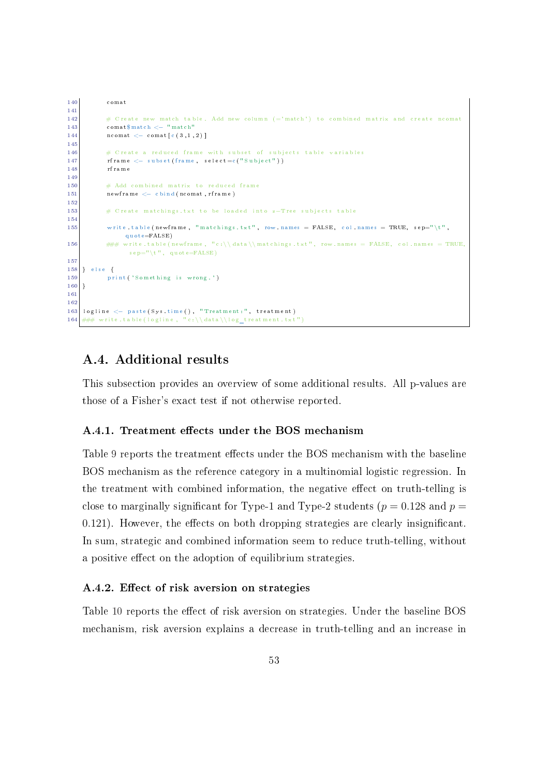```
140 comat
141
142 \# C reate new match table. Add new column (= 'match ' ) to combined matrix and create ncomat
143 comat$match <− "match"
144 ncomat \langle comat [ c ( 3, 1, 2 ) ]145
146 # C reate a reduced frame with subset of subjects table variables
147 r frame \leftarrow subset (frame, select=c ("Subject"))
148 r frame
149
150 # Add combined matrix to reduced frame
151 newframe \leftarrow cbind (ncomat, rframe)
152
153 # C r e a t e mat ch ings . t x t t o be l o ad ed i n t o z−Tree s u b j e c t s t a b l e
154
155 write table (newframe, "matchings txt", row names = FALSE, col.names = TRUE, sep="\t",
              quote=FALSE)
156 \# \# \# write table (newframe, "c:\\data\\matchings.txt", row names = FALSE, col.names = TRUE,
               s e p = "\mathbf{t}", quot e=FALSE)
157
158 } else {
159 print ('Something is wrong.')
160 }
161
162
163 logline \leq paste (Systime (), "Treatment:", treatment)
164 ### write.table (logline, "c:\\data\\log_treatment.txt'
```
## A.4. Additional results

This subsection provides an overview of some additional results. All p-values are those of a Fisher's exact test if not otherwise reported.

#### A.4.1. Treatment effects under the BOS mechanism

Table [9](#page-56-0) reports the treatment effects under the BOS mechanism with the baseline BOS mechanism as the reference category in a multinomial logistic regression. In the treatment with combined information, the negative effect on truth-telling is close to marginally significant for Type-1 and Type-2 students ( $p = 0.128$  and  $p =$  $0.121$ ). However, the effects on both dropping strategies are clearly insignificant. In sum, strategic and combined information seem to reduce truth-telling, without a positive effect on the adoption of equilibrium strategies.

#### A.4.2. Effect of risk aversion on strategies

Table [10](#page-58-0) reports the effect of risk aversion on strategies. Under the baseline BOS mechanism, risk aversion explains a decrease in truth-telling and an increase in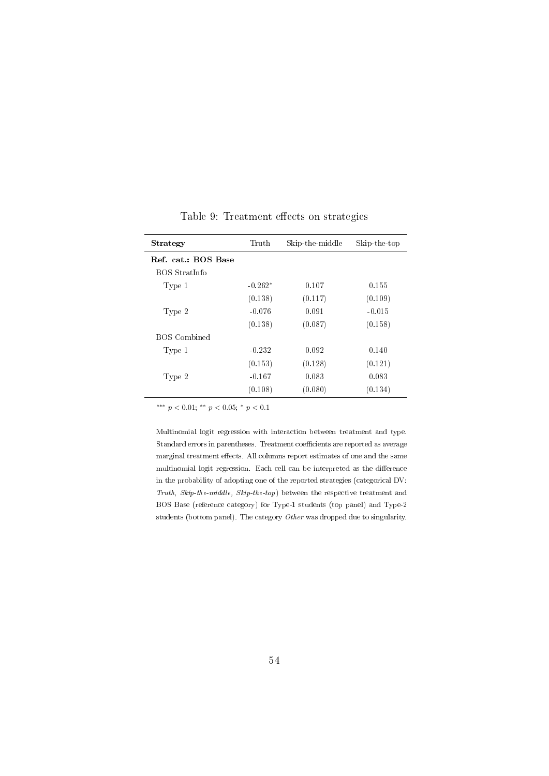<span id="page-56-0"></span>

| Strategy            | Truth     | Skip-the-middle | Skip-the-top |
|---------------------|-----------|-----------------|--------------|
| Ref. cat.: BOS Base |           |                 |              |
| BOS StratInfo       |           |                 |              |
| Type 1              | $-0.262*$ | 0.107           | 0.155        |
|                     | (0.138)   | (0.117)         | (0.109)      |
| Type 2              | $-0.076$  | 0.091           | $-0.015$     |
|                     | (0.138)   | (0.087)         | (0.158)      |
| <b>BOS</b> Combined |           |                 |              |
| Type 1              | $-0.232$  | 0.092           | 0.140        |
|                     | (0.153)   | (0.128)         | (0.121)      |
| Type 2              | $-0.167$  | 0.083           | 0.083        |
|                     | (0.108)   | (0.080)         | (0.134)      |

Table 9: Treatment effects on strategies

Multinomial logit regression with interaction between treatment and type. Standard errors in parentheses. Treatment coefficients are reported as average marginal treatment effects. All columns report estimates of one and the same multinomial logit regression. Each cell can be interpreted as the difference in the probability of adopting one of the reported strategies (categorical DV: Truth, Skip-the-middle, Skip-the-top) between the respective treatment and BOS Base (reference category) for Type-1 students (top panel) and Type-2 students (bottom panel). The category Other was dropped due to singularity.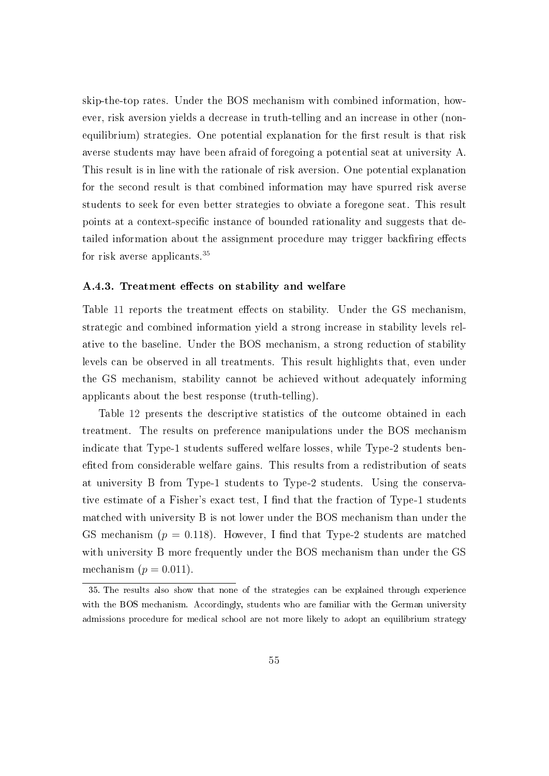skip-the-top rates. Under the BOS mechanism with combined information, however, risk aversion yields a decrease in truth-telling and an increase in other (nonequilibrium) strategies. One potential explanation for the first result is that risk averse students may have been afraid of foregoing a potential seat at university A. This result is in line with the rationale of risk aversion. One potential explanation for the second result is that combined information may have spurred risk averse students to seek for even better strategies to obviate a foregone seat. This result points at a context-specific instance of bounded rationality and suggests that detailed information about the assignment procedure may trigger backfiring effects for risk averse applicants.[35](#page-57-0)

#### A.4.3. Treatment effects on stability and welfare

Table [11](#page-59-0) reports the treatment effects on stability. Under the GS mechanism, strategic and combined information yield a strong increase in stability levels relative to the baseline. Under the BOS mechanism, a strong reduction of stability levels can be observed in all treatments. This result highlights that, even under the GS mechanism, stability cannot be achieved without adequately informing applicants about the best response (truth-telling).

Table [12](#page-60-0) presents the descriptive statistics of the outcome obtained in each treatment. The results on preference manipulations under the BOS mechanism indicate that Type-1 students suffered welfare losses, while Type-2 students benefited from considerable welfare gains. This results from a redistribution of seats at university B from Type-1 students to Type-2 students. Using the conservative estimate of a Fisher's exact test, I find that the fraction of Type-1 students matched with university B is not lower under the BOS mechanism than under the GS mechanism ( $p = 0.118$ ). However, I find that Type-2 students are matched with university B more frequently under the BOS mechanism than under the GS mechanism  $(p = 0.011)$ .

<span id="page-57-0"></span><sup>35.</sup> The results also show that none of the strategies can be explained through experience with the BOS mechanism. Accordingly, students who are familiar with the German university admissions procedure for medical school are not more likely to adopt an equilibrium strategy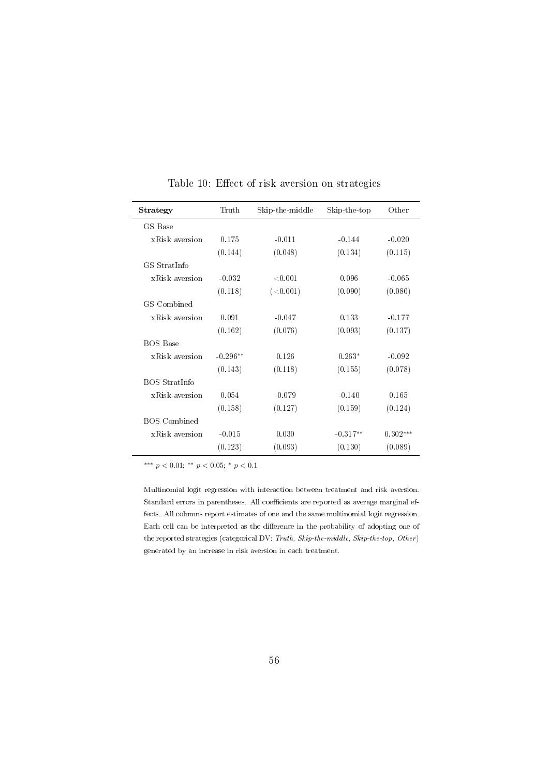<span id="page-58-0"></span>

| Strategy            | Truth      | Skip-the-middle | Skip-the-top | Other      |
|---------------------|------------|-----------------|--------------|------------|
| GS Base             |            |                 |              |            |
| xRisk aversion      | 0.175      | $-0.011$        | $-0.144$     | $-0.020$   |
|                     | (0.144)    | (0.048)         | (0.134)      | (0.115)    |
| GS StratInfo        |            |                 |              |            |
| xRisk aversion      | $-0.032$   | < 0.001         | 0.096        | $-0.065$   |
|                     | (0.118)    | (<0.001)        | (0.090)      | (0.080)    |
| GS Combined         |            |                 |              |            |
| xRisk aversion      | 0.091      | $-0.047$        | 0.133        | $-0.177$   |
|                     | (0.162)    | (0.076)         | (0.093)      | (0.137)    |
| <b>BOS Base</b>     |            |                 |              |            |
| xRisk aversion      | $-0.296**$ | 0.126           | $0.263*$     | $-0.092$   |
|                     | (0.143)    | (0.118)         | (0.155)      | (0.078)    |
| BOS StratInfo       |            |                 |              |            |
| xRisk aversion      | 0.054      | $-0.079$        | $-0.140$     | 0.165      |
|                     | (0.158)    | (0.127)         | (0.159)      | (0.124)    |
| <b>BOS</b> Combined |            |                 |              |            |
| xRisk aversion      | $-0.015$   | 0.030           | $-0.317**$   | $0.302***$ |
|                     | (0.123)    | (0.093)         | (0.130)      | (0.089)    |

Table 10: Effect of risk aversion on strategies

Multinomial logit regression with interaction between treatment and risk aversion. Standard errors in parentheses. All coefficients are reported as average marginal effects. All columns report estimates of one and the same multinomial logit regression. Each cell can be interpreted as the difference in the probability of adopting one of the reported strategies (categorical DV: Truth, Skip-the-middle, Skip-the-top, Other) generated by an increase in risk aversion in each treatment.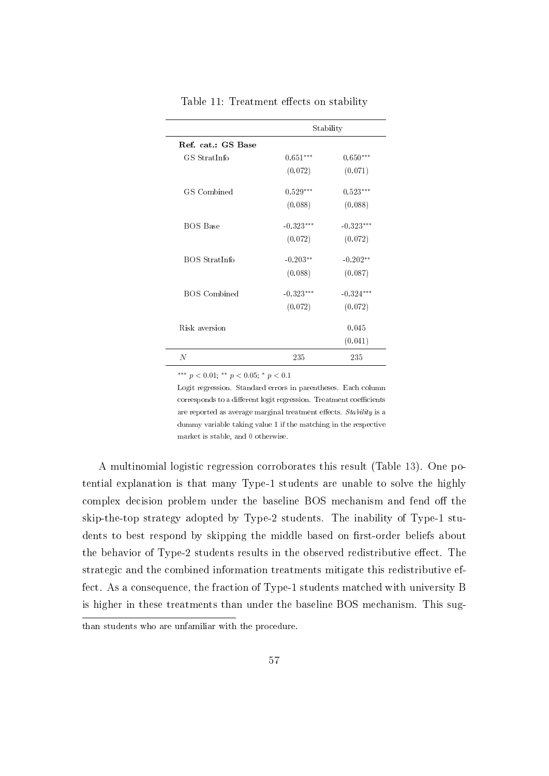<span id="page-59-0"></span>

|                     | Stability   |             |  |  |
|---------------------|-------------|-------------|--|--|
| Ref. cat.: GS Base  |             |             |  |  |
| GS StratInfo        | $0.651***$  | $0.650***$  |  |  |
|                     | (0.072)     | (0.071)     |  |  |
| GS Combined         | $0.529***$  | $0.523***$  |  |  |
|                     | (0.088)     | (0.088)     |  |  |
| <b>BOS Base</b>     | $-0.323***$ | $-0.323***$ |  |  |
|                     | (0.072)     | (0.072)     |  |  |
| BOS StratInfo       | $-0.203**$  | $-0.202**$  |  |  |
|                     | (0.088)     | (0.087)     |  |  |
| <b>BOS</b> Combined | $-0.323***$ | $-0.324***$ |  |  |
|                     | (0.072)     | (0.072)     |  |  |
| Risk aversion       |             | 0.045       |  |  |
|                     |             | (0.041)     |  |  |
| $\overline{N}$      | 235         | 235         |  |  |

Table 11: Treatment effects on stability

Logit regression. Standard errors in parentheses. Each column corresponds to a different logit regression. Treatment coefficients are reported as average marginal treatment effects. Stability is a dummy variable taking value 1 if the matching in the respective market is stable, and 0 otherwise.

A multinomial logistic regression corroborates this result (Table [13\)](#page-61-0). One potential explanation is that many Type-1 students are unable to solve the highly complex decision problem under the baseline BOS mechanism and fend off the skip-the-top strategy adopted by Type-2 students. The inability of Type-1 students to best respond by skipping the middle based on first-order beliefs about the behavior of Type-2 students results in the observed redistributive effect. The strategic and the combined information treatments mitigate this redistributive effect. As a consequence, the fraction of Type-1 students matched with university B is higher in these treatments than under the baseline BOS mechanism. This sug-

than students who are unfamiliar with the procedure.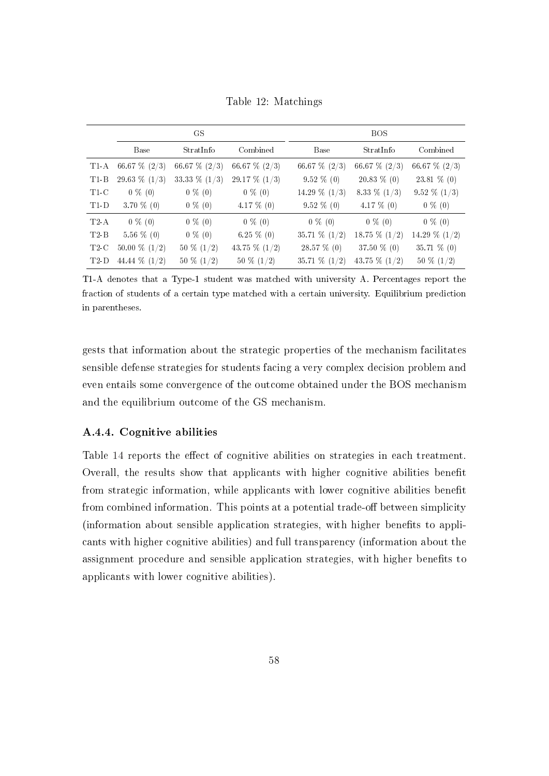<span id="page-60-0"></span>

|        |                  | GS               |                  |                  | <b>BOS</b>       |                  |
|--------|------------------|------------------|------------------|------------------|------------------|------------------|
|        | Base             | StratInfo        | Combined         | <b>Base</b>      | StratInfo        | Combined         |
| $T1-A$ | 66.67 $\%$ (2/3) | 66.67 $\%$ (2/3) | 66.67 $\%$ (2/3) | 66.67 $\%$ (2/3) | 66.67 $\%$ (2/3) | 66.67 $\%$ (2/3) |
| $T1-B$ | 29.63 $\%$ (1/3) | 33.33 $\%$ (1/3) | 29.17 $\%$ (1/3) | $9.52\%$ (0)     | $20.83\%$ (0)    | $23.81\%$ (0)    |
| T1 C   | $0\%$ (0)        | $0 \% (0)$       | $0\%$ (0)        | 14.29 $\%$ (1/3) | 8.33 $\%$ (1/3)  | $9.52\% (1/3)$   |
| $T1-D$ | 3.70 $\%$ (0)    | $0 \% (0)$       | $4.17\%$ (0)     | $9.52\%$ (0)     | 4.17 $\%$ (0)    | $0\%$ (0)        |
| T2A    | $0 \% (0)$       | $0\%$ (0)        | $0\%$ (0)        | $0\%$ (0)        | $0 \% (0)$       | $0\%$ (0)        |
| $T2-B$ | $5.56\%$ (0)     | $0\%$ (0)        | $6.25\%$ (0)     | 35.71 $\%$ (1/2) | 18.75 $\%$ (1/2) | 14.29 $\%$ (1/2) |
| T2C    | 50.00 $\%$ (1/2) | $50\%~(1/2)$     | 43.75 $\%$ (1/2) | 28.57 % (0)      | 37.50 % (0)      | 35.71 % (0)      |
| T2D    | 44.44 $\%$ (1/2) | $50\%~(1/2)$     | $50\%~(1/2)$     | 35.71 $% (1/2)$  | 43.75 $\%$ (1/2) | $50\%~(1/2)$     |

Table 12: Matchings

T1-A denotes that a Type-1 student was matched with university A. Percentages report the fraction of students of a certain type matched with a certain university. Equilibrium prediction in parentheses.

gests that information about the strategic properties of the mechanism facilitates sensible defense strategies for students facing a very complex decision problem and even entails some convergence of the outcome obtained under the BOS mechanism and the equilibrium outcome of the GS mechanism.

#### A.4.4. Cognitive abilities

Table [14](#page-62-0) reports the effect of cognitive abilities on strategies in each treatment. Overall, the results show that applicants with higher cognitive abilities benet from strategic information, while applicants with lower cognitive abilities benefit from combined information. This points at a potential trade-off between simplicity (information about sensible application strategies, with higher benets to applicants with higher cognitive abilities) and full transparency (information about the assignment procedure and sensible application strategies, with higher benefits to applicants with lower cognitive abilities).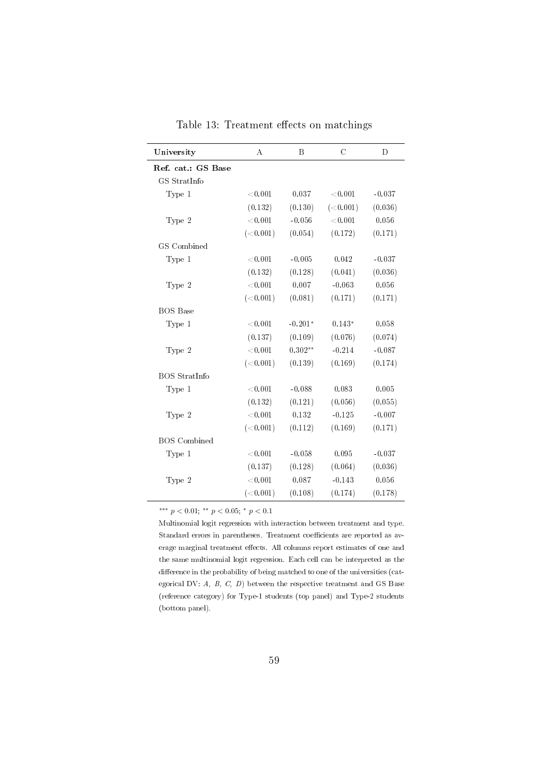<span id="page-61-0"></span>

| University           | A          | B         | $\mathcal{C}$ | D        |
|----------------------|------------|-----------|---------------|----------|
| Ref. cat.: GS Base   |            |           |               |          |
| GS StratInfo         |            |           |               |          |
| Type 1               | < 0.001    | 0.037     | < 0.001       | $-0.037$ |
|                      | (0.132)    | (0.130)   | (<0.001)      | (0.036)  |
| Type 2               | ${<}0.001$ | $-0.056$  | < 0.001       | 0.056    |
|                      | (<0.001)   | (0.054)   | (0.172)       | (0.171)  |
| GS Combined          |            |           |               |          |
| Type 1               | < 0.001    | $-0.005$  | 0.042         | $-0.037$ |
|                      | (0.132)    | (0.128)   | (0.041)       | (0.036)  |
| Type 2               | ${<}0.001$ | 0.007     | $-0.063$      | 0.056    |
|                      | (<0.001)   | (0.081)   | (0.171)       | (0.171)  |
| <b>BOS</b> Base      |            |           |               |          |
| Type 1               | ${<}0.001$ | $-0.201*$ | $0.143*$      | 0.058    |
|                      | (0.137)    | (0.109)   | (0.076)       | (0.074)  |
| Type 2               | ${<}0.001$ | $0.302**$ | $-0.214$      | $-0.087$ |
|                      | (<0.001)   | (0.139)   | (0.169)       | (0.174)  |
| <b>BOS</b> StratInfo |            |           |               |          |
| Type 1               | ${<}0.001$ | $-0.088$  | 0.083         | 0.005    |
|                      | (0.132)    | (0.121)   | (0.056)       | (0.055)  |
| Type 2               | ${<}0.001$ | 0.132     | $-0.125$      | $-0.007$ |
|                      | (<0.001)   | (0.112)   | (0.169)       | (0.171)  |
| <b>BOS</b> Combined  |            |           |               |          |
| Type 1               | < 0.001    | $-0.058$  | 0.095         | $-0.037$ |
|                      | (0.137)    | (0.128)   | (0.064)       | (0.036)  |
| Type 2               | ${<}0.001$ | 0.087     | $-0.143$      | 0.056    |
|                      | (<0.001)   | (0.108)   | (0.174)       | (0.178)  |

Table 13: Treatment effects on matchings

Multinomial logit regression with interaction between treatment and type. Standard errors in parentheses. Treatment coefficients are reported as average marginal treatment effects. All columns report estimates of one and the same multinomial logit regression. Each cell can be interpreted as the difference in the probability of being matched to one of the universities (categorical DV:  $A$ ,  $B$ ,  $C$ ,  $D$ ) between the respective treatment and GS Base (reference category) for Type-1 students (top panel) and Type-2 students (bottom panel).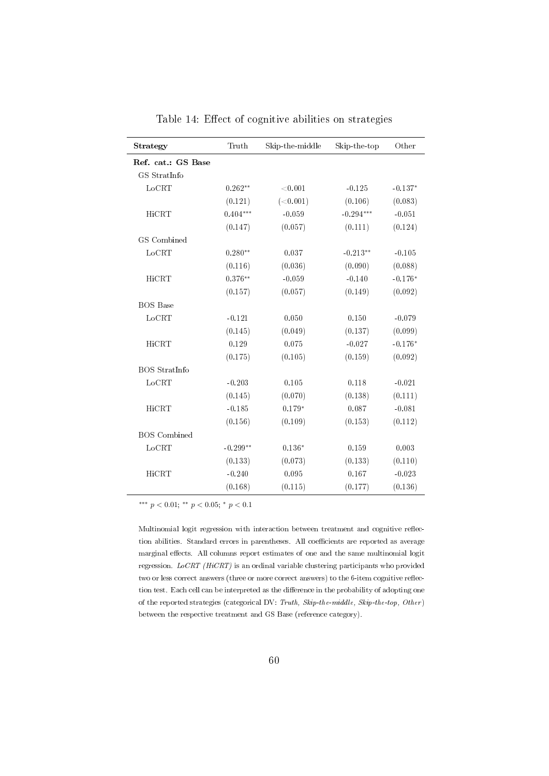| Strategy             | Truth      | Skip-the-middle | Skip-the-top | Other     |
|----------------------|------------|-----------------|--------------|-----------|
| Ref. cat.: GS Base   |            |                 |              |           |
| GS StratInfo         |            |                 |              |           |
| LoCRT                | $0.262**$  | < 0.001         | $-0.125$     | $-0.137*$ |
|                      | (0.121)    | (<0.001)        | (0.106)      | (0.083)   |
| HiCRT                | $0.404***$ | $-0.059$        | $-0.294***$  | $-0.051$  |
|                      | (0.147)    | (0.057)         | (0.111)      | (0.124)   |
| GS Combined          |            |                 |              |           |
| LoCRT                | $0.280**$  | 0.037           | $-0.213**$   | $-0.105$  |
|                      | (0.116)    | (0.036)         | (0.090)      | (0.088)   |
| HiCRT                | $0.376**$  | $-0.059$        | $-0.140$     | $-0.176*$ |
|                      | (0.157)    | (0.057)         | (0.149)      | (0.092)   |
| <b>BOS</b> Base      |            |                 |              |           |
| LoCRT                | $-0.121$   | 0.050           | 0.150        | $-0.079$  |
|                      | (0.145)    | (0.049)         | (0.137)      | (0.099)   |
| HiCRT                | 0.129      | 0.075           | $-0.027$     | $-0.176*$ |
|                      | (0.175)    | (0.105)         | (0.159)      | (0.092)   |
| <b>BOS</b> StratInfo |            |                 |              |           |
| LoCRT                | $-0.203$   | 0.105           | 0.118        | $-0.021$  |
|                      | (0.145)    | (0.070)         | (0.138)      | (0.111)   |
| HiCRT                | $-0.185$   | $0.179*$        | 0.087        | $-0.081$  |
|                      | (0.156)    | (0.109)         | (0.153)      | (0.112)   |
| <b>BOS</b> Combined  |            |                 |              |           |
| LoCRT                | $-0.299**$ | $0.136*$        | 0.159        | 0.003     |
|                      | (0.133)    | (0.073)         | (0.133)      | (0.110)   |
| HiCRT                | $-0.240$   | 0.095           | 0.167        | $-0.023$  |
|                      | (0.168)    | (0.115)         | (0.177)      | (0.136)   |

Table 14: Effect of cognitive abilities on strategies

<span id="page-62-0"></span> $\overline{a}$ 

Multinomial logit regression with interaction between treatment and cognitive reflection abilities. Standard errors in parentheses. All coefficients are reported as average marginal effects. All columns report estimates of one and the same multinomial logit regression. LoCRT (HiCRT) is an ordinal variable clustering participants who provided two or less correct answers (three or more correct answers) to the 6-item cognitive reflection test. Each cell can be interpreted as the difference in the probability of adopting one of the reported strategies (categorical DV: Truth, Skip-the-middle, Skip-the-top, Other ) between the respective treatment and GS Base (reference category).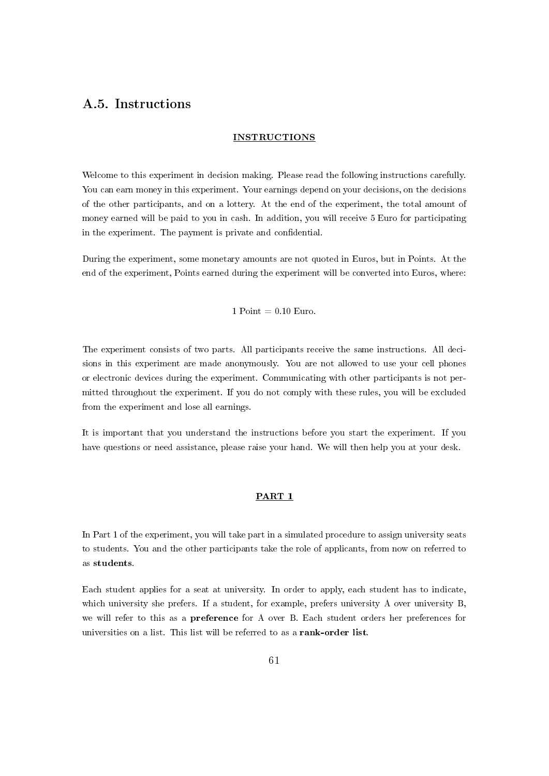# A.5. Instructions

#### INSTRUCTIONS

Welcome to this experiment in decision making. Please read the following instructions carefully. You can earn money in this experiment. Your earnings depend on your decisions, on the decisions of the other participants, and on a lottery. At the end of the experiment, the total amount of money earned will be paid to you in cash. In addition, you will receive 5 Euro for participating in the experiment. The payment is private and confidential.

During the experiment, some monetary amounts are not quoted in Euros, but in Points. At the end of the experiment, Points earned during the experiment will be converted into Euros, where:

1 Point  $= 0.10$  Euro.

The experiment consists of two parts. All participants receive the same instructions. All decisions in this experiment are made anonymously. You are not allowed to use your cell phones or electronic devices during the experiment. Communicating with other participants is not permitted throughout the experiment. If you do not comply with these rules, you will be excluded from the experiment and lose all earnings.

It is important that you understand the instructions before you start the experiment. If you have questions or need assistance, please raise your hand. We will then help you at your desk.

#### PART 1

In Part 1 of the experiment, you will take part in a simulated procedure to assign university seats to students. You and the other participants take the role of applicants, from now on referred to as students.

Each student applies for a seat at university. In order to apply, each student has to indicate, which university she prefers. If a student, for example, prefers university A over university B, we will refer to this as a preference for A over B. Each student orders her preferences for universities on a list. This list will be referred to as a rank-order list.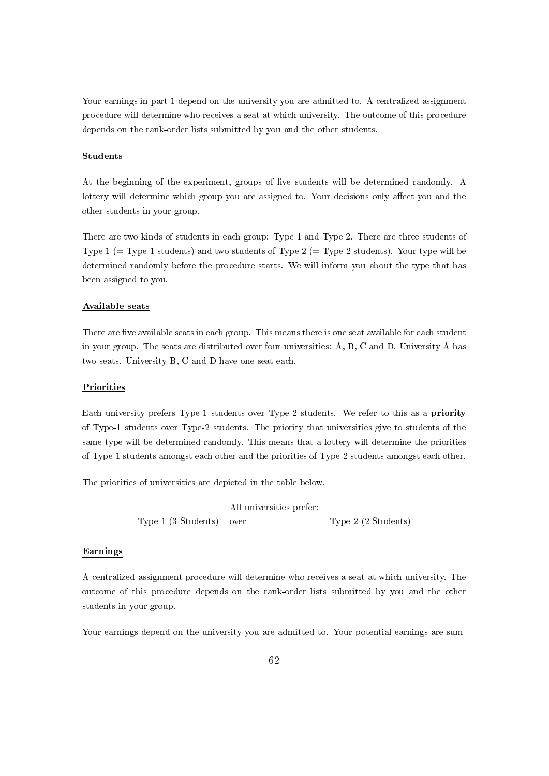Your earnings in part 1 depend on the university you are admitted to. A centralized assignment procedure will determine who receives a seat at which university. The outcome of this procedure depends on the rank-order lists submitted by you and the other students.

#### Students

At the beginning of the experiment, groups of five students will be determined randomly. A lottery will determine which group you are assigned to. Your decisions only affect you and the other students in your group.

There are two kinds of students in each group: Type 1 and Type 2. There are three students of Type 1 (= Type-1 students) and two students of Type  $2$  (= Type-2 students). Your type will be determined randomly before the procedure starts. We will inform you about the type that has been assigned to you.

#### Available seats

There are five available seats in each group. This means there is one seat available for each student in your group. The seats are distributed over four universities: A, B, C and D. University A has two seats. University B, C and D have one seat each.

#### **Priorities**

Each university prefers Type-1 students over Type-2 students. We refer to this as a priority of Type-1 students over Type-2 students. The priority that universities give to students of the same type will be determined randomly. This means that a lottery will determine the priorities of Type-1 students amongst each other and the priorities of Type-2 students amongst each other.

The priorities of universities are depicted in the table below.

|                          | All universities prefer: |                     |
|--------------------------|--------------------------|---------------------|
| Type 1 (3 Students) over |                          | Type 2 (2 Students) |

#### Earnings

A centralized assignment procedure will determine who receives a seat at which university. The outcome of this procedure depends on the rank-order lists submitted by you and the other students in your group.

Your earnings depend on the university you are admitted to. Your potential earnings are sum-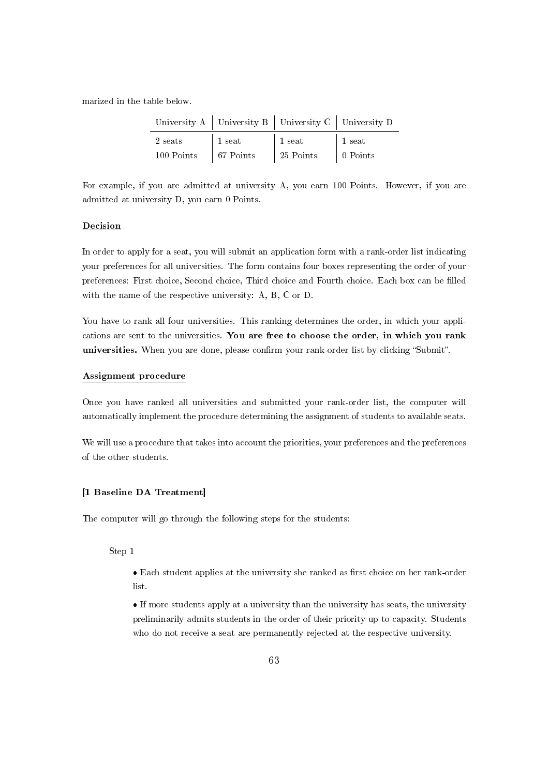marized in the table below.

|            |                   | University A   University B   University C   University D |                  |
|------------|-------------------|-----------------------------------------------------------|------------------|
| 2 seats    | $\vert$ 1 seat    | $\vert$ 1 seat                                            | 1 seat           |
| 100 Points | $\vert$ 67 Points | 25 Points                                                 | $\vert$ 0 Points |

For example, if you are admitted at university A, you earn 100 Points. However, if you are admitted at university D, you earn 0 Points.

#### Decision

In order to apply for a seat, you will submit an application form with a rank-order list indicating your preferences for all universities. The form contains four boxes representing the order of your preferences: First choice, Second choice, Third choice and Fourth choice. Each box can be filled with the name of the respective university: A, B, C or D.

You have to rank all four universities. This ranking determines the order, in which your applications are sent to the universities. You are free to choose the order, in which you rank universities. When you are done, please confirm your rank-order list by clicking "Submit".

#### Assignment procedure

Once you have ranked all universities and submitted your rank-order list, the computer will automatically implement the procedure determining the assignment of students to available seats.

We will use a procedure that takes into account the priorities, your preferences and the preferences of the other students.

#### [1 Baseline DA Treatment]

The computer will go through the following steps for the students:

Step 1

- Each student applies at the university she ranked as first choice on her rank-order list.
- If more students apply at a university than the university has seats, the university preliminarily admits students in the order of their priority up to capacity. Students who do not receive a seat are permanently rejected at the respective university.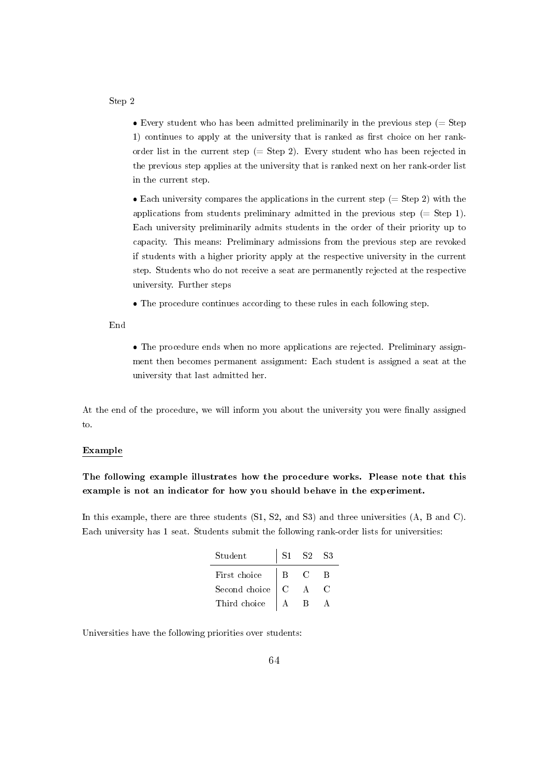Step 2

 $\bullet$  Every student who has been admitted preliminarily in the previous step (= Step 1) continues to apply at the university that is ranked as first choice on her rankorder list in the current step (= Step 2). Every student who has been rejected in the previous step applies at the university that is ranked next on her rank-order list in the current step.

 $\bullet$  Each university compares the applications in the current step (= Step 2) with the applications from students preliminary admitted in the previous step  $(=$  Step 1). Each university preliminarily admits students in the order of their priority up to capacity. This means: Preliminary admissions from the previous step are revoked if students with a higher priority apply at the respective university in the current step. Students who do not receive a seat are permanently rejected at the respective university. Further steps

The procedure continues according to these rules in each following step.

End

 The procedure ends when no more applications are rejected. Preliminary assignment then becomes permanent assignment: Each student is assigned a seat at the university that last admitted her.

At the end of the procedure, we will inform you about the university you were finally assigned to.

#### Example

The following example illustrates how the procedure works. Please note that this example is not an indicator for how you should behave in the experiment.

In this example, there are three students  $(S1, S2, and S3)$  and three universities  $(A, B, and C)$ . Each university has 1 seat. Students submit the following rank-order lists for universities:

| Student       |   | S2 | 83 |
|---------------|---|----|----|
| First choice  | B |    | R  |
| Second choice |   |    |    |
| Third choice  |   |    |    |

Universities have the following priorities over students: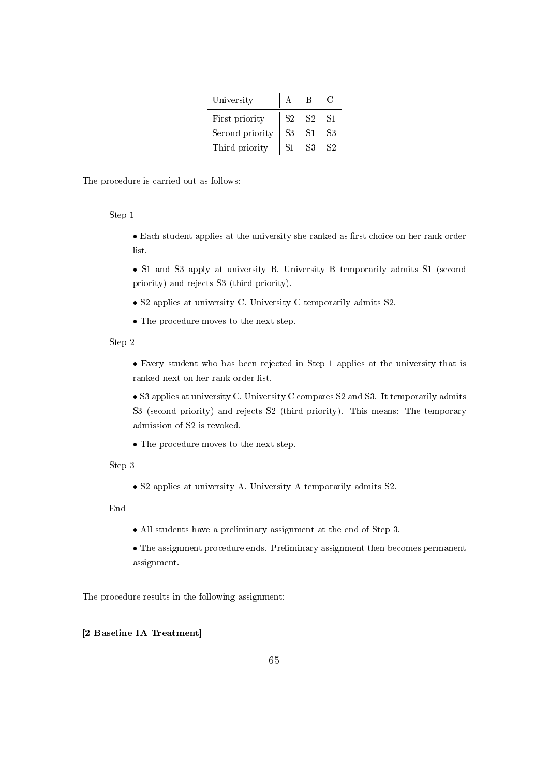| University      |                |                |                |
|-----------------|----------------|----------------|----------------|
| First priority  | S <sub>2</sub> | <b>S2</b>      | S <sub>1</sub> |
| Second priority | S <sub>3</sub> | S <sub>1</sub> | S3             |
| Third priority  |                | 83             |                |

The procedure is carried out as follows:

Step 1

• Each student applies at the university she ranked as first choice on her rank-order list.

 S1 and S3 apply at university B. University B temporarily admits S1 (second priority) and rejects S3 (third priority).

S2 applies at university C. University C temporarily admits S2.

The procedure moves to the next step.

Step 2

 Every student who has been rejected in Step 1 applies at the university that is ranked next on her rank-order list.

 S3 applies at university C. University C compares S2 and S3. It temporarily admits S3 (second priority) and rejects S2 (third priority). This means: The temporary admission of S2 is revoked.

The procedure moves to the next step.

Step 3

S2 applies at university A. University A temporarily admits S2.

End

All students have a preliminary assignment at the end of Step 3.

 The assignment procedure ends. Preliminary assignment then becomes permanent assignment.

The procedure results in the following assignment:

### [2 Baseline IA Treatment]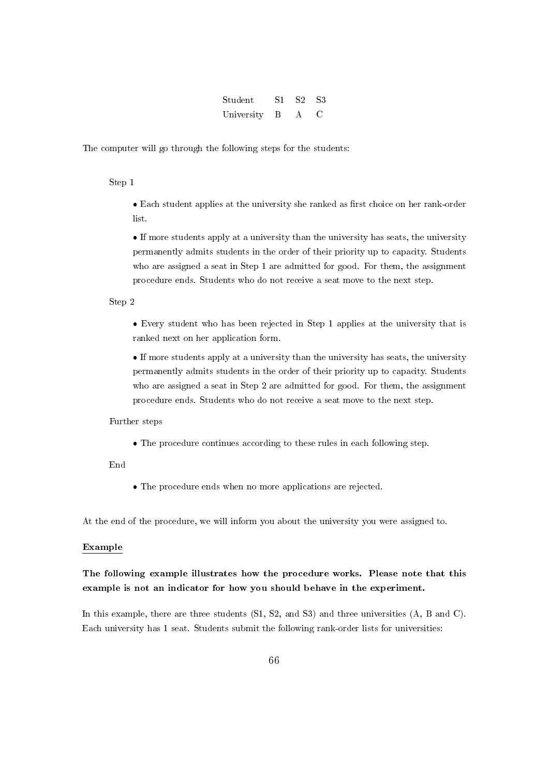| Student    | S1. | S <sub>2</sub> | - S3 |
|------------|-----|----------------|------|
| University | B   | $\mathbf{A}$   |      |

The computer will go through the following steps for the students:

Step 1

• Each student applies at the university she ranked as first choice on her rank-order list.

 If more students apply at a university than the university has seats, the university permanently admits students in the order of their priority up to capacity. Students who are assigned a seat in Step 1 are admitted for good. For them, the assignment procedure ends. Students who do not receive a seat move to the next step.

Step 2

 Every student who has been rejected in Step 1 applies at the university that is ranked next on her application form.

 If more students apply at a university than the university has seats, the university permanently admits students in the order of their priority up to capacity. Students who are assigned a seat in Step 2 are admitted for good. For them, the assignment procedure ends. Students who do not receive a seat move to the next step.

Further steps

The procedure continues according to these rules in each following step.

End

The procedure ends when no more applications are rejected.

At the end of the procedure, we will inform you about the university you were assigned to.

#### Example

## The following example illustrates how the procedure works. Please note that this example is not an indicator for how you should behave in the experiment.

In this example, there are three students  $(S1, S2, and S3)$  and three universities  $(A, B, and C)$ . Each university has 1 seat. Students submit the following rank-order lists for universities: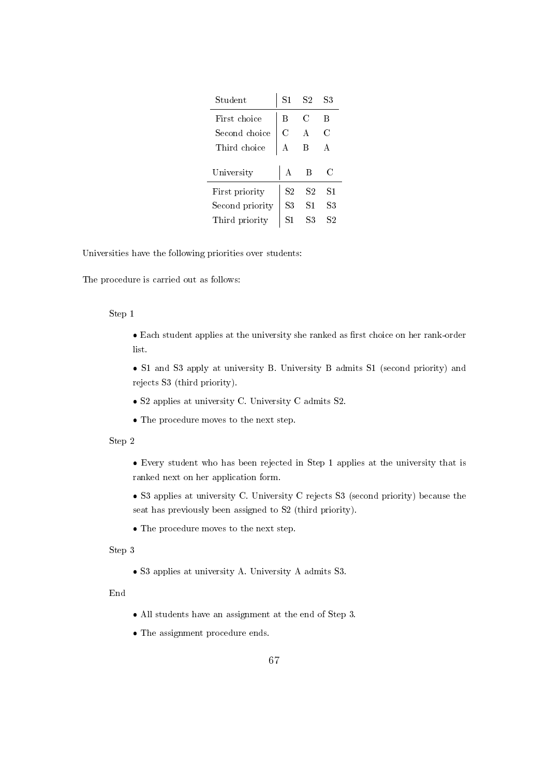| $\operatorname{Student}$ | S1             | S2 | S3 |
|--------------------------|----------------|----|----|
| First choice             | в              | C  | В  |
| Second choice            | С              | A  | C  |
| Third choice             | А              | В  | А  |
| University               | A              | В  | C  |
| First priority           | S <sub>2</sub> | S2 | S1 |
| Second priority          | S3             | S1 | S3 |
| Third priority           | S1             | S3 | S2 |

Universities have the following priorities over students:

The procedure is carried out as follows:

#### Step 1

• Each student applies at the university she ranked as first choice on her rank-order list.

 S1 and S3 apply at university B. University B admits S1 (second priority) and rejects S3 (third priority).

- S2 applies at university C. University C admits S2.
- The procedure moves to the next step.

#### Step 2

- Every student who has been rejected in Step 1 applies at the university that is ranked next on her application form.
- S3 applies at university C. University C rejects S3 (second priority) because the seat has previously been assigned to S2 (third priority).
- The procedure moves to the next step.

#### Step 3

S3 applies at university A. University A admits S3.

End

- All students have an assignment at the end of Step 3.
- The assignment procedure ends.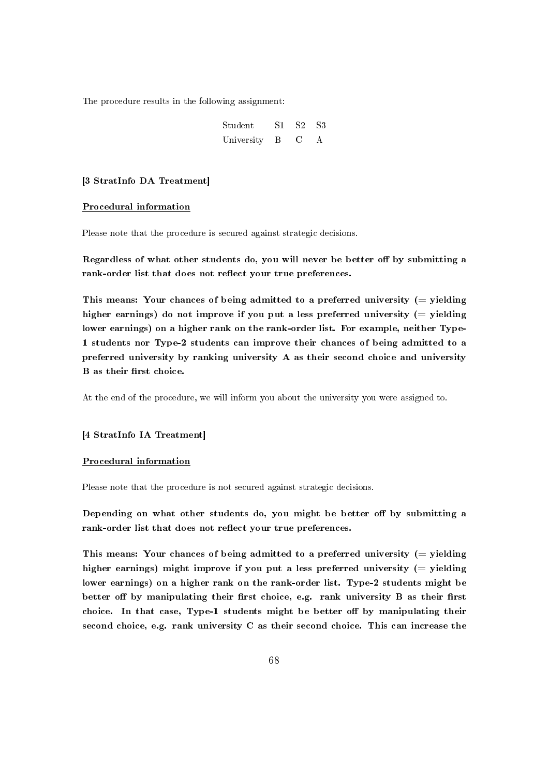The procedure results in the following assignment:

| $\operatorname{Student}$ | S1 | S2 S3        |   |
|--------------------------|----|--------------|---|
| University               | B  | $\mathbf{C}$ | A |

#### [3 StratInfo DA Treatment]

#### Procedural information

Please note that the procedure is secured against strategic decisions.

Regardless of what other students do, you will never be better off by submitting a rank-order list that does not reflect your true preferences.

This means: Your chances of being admitted to a preferred university  $(=$  yielding higher earnings) do not improve if you put a less preferred university  $(=$  yielding lower earnings) on a higher rank on the rank-order list. For example, neither Type-1 students nor Type-2 students can improve their chances of being admitted to a preferred university by ranking university A as their second choice and university B as their first choice.

At the end of the procedure, we will inform you about the university you were assigned to.

#### [4 StratInfo IA Treatment]

#### Procedural information

Please note that the procedure is not secured against strategic decisions.

Depending on what other students do, you might be better off by submitting a rank-order list that does not reflect your true preferences.

This means: Your chances of being admitted to a preferred university  $(=$  yielding higher earnings) might improve if you put a less preferred university  $(=$  yielding lower earnings) on a higher rank on the rank-order list. Type-2 students might be better off by manipulating their first choice, e.g. rank university  $B$  as their first choice. In that case, Type-1 students might be better off by manipulating their second choice, e.g. rank university C as their second choice. This can increase the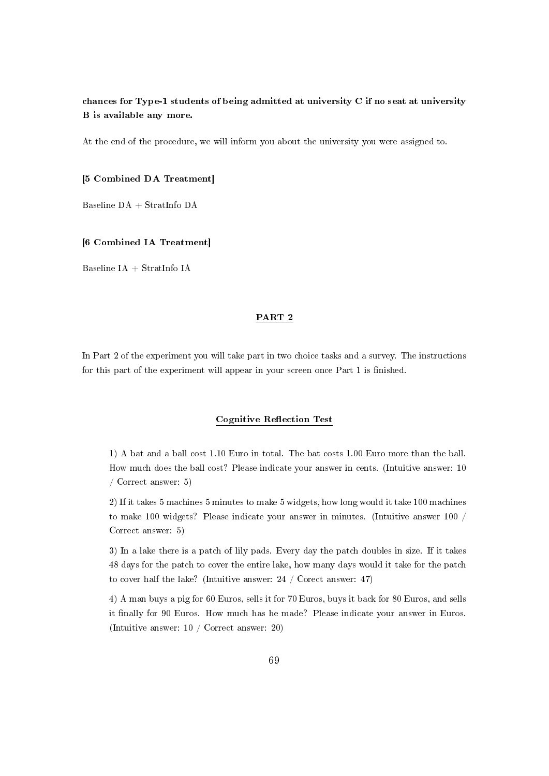## chances for Type-1 students of being admitted at university C if no seat at university B is available any more.

At the end of the procedure, we will inform you about the university you were assigned to.

[5 Combined DA Treatment]

Baseline DA + StratInfo DA

[6 Combined IA Treatment]

Baseline IA + StratInfo IA

#### PART 2

In Part 2 of the experiment you will take part in two choice tasks and a survey. The instructions for this part of the experiment will appear in your screen once Part 1 is finished.

#### Cognitive Reflection Test

1) A bat and a ball cost 1.10 Euro in total. The bat costs 1.00 Euro more than the ball. How much does the ball cost? Please indicate your answer in cents. (Intuitive answer: 10 / Correct answer: 5)

2) If it takes 5 machines 5 minutes to make 5 widgets, how long would it take 100 machines to make 100 widgets? Please indicate your answer in minutes. (Intuitive answer 100 / Correct answer: 5)

3) In a lake there is a patch of lily pads. Every day the patch doubles in size. If it takes 48 days for the patch to cover the entire lake, how many days would it take for the patch to cover half the lake? (Intuitive answer: 24 / Corect answer: 47)

4) A man buys a pig for 60 Euros, sells it for 70 Euros, buys it back for 80 Euros, and sells it finally for 90 Euros. How much has he made? Please indicate your answer in Euros. (Intuitive answer: 10 / Correct answer: 20)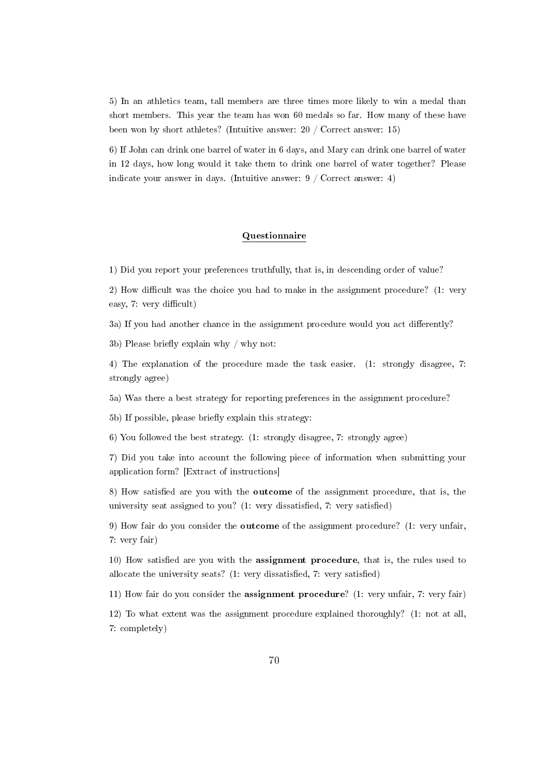5) In an athletics team, tall members are three times more likely to win a medal than short members. This year the team has won 60 medals so far. How many of these have been won by short athletes? (Intuitive answer: 20 / Correct answer: 15)

6) If John can drink one barrel of water in 6 days, and Mary can drink one barrel of water in 12 days, how long would it take them to drink one barrel of water together? Please indicate your answer in days. (Intuitive answer: 9 / Correct answer: 4)

## Questionnaire

1) Did you report your preferences truthfully, that is, in descending order of value?

2) How difficult was the choice you had to make in the assignment procedure? (1: very easy, 7: very difficult)

3a) If you had another chance in the assignment procedure would you act differently?

3b) Please briefly explain why  $/$  why not:

4) The explanation of the procedure made the task easier. (1: strongly disagree, 7: strongly agree)

5a) Was there a best strategy for reporting preferences in the assignment procedure?

5b) If possible, please briefly explain this strategy:

6) You followed the best strategy. (1: strongly disagree, 7: strongly agree)

7) Did you take into account the following piece of information when submitting your application form? [Extract of instructions]

8) How satisfied are you with the **outcome** of the assignment procedure, that is, the university seat assigned to you? (1: very dissatisfied, 7: very satisfied)

9) How fair do you consider the outcome of the assignment procedure? (1: very unfair, 7: very fair)

10) How satisfied are you with the assignment procedure, that is, the rules used to allocate the university seats?  $(1: \text{very dissatisfied}, 7: \text{very satisfied})$ 

11) How fair do you consider the assignment procedure? (1: very unfair, 7: very fair)

12) To what extent was the assignment procedure explained thoroughly? (1: not at all, 7: completely)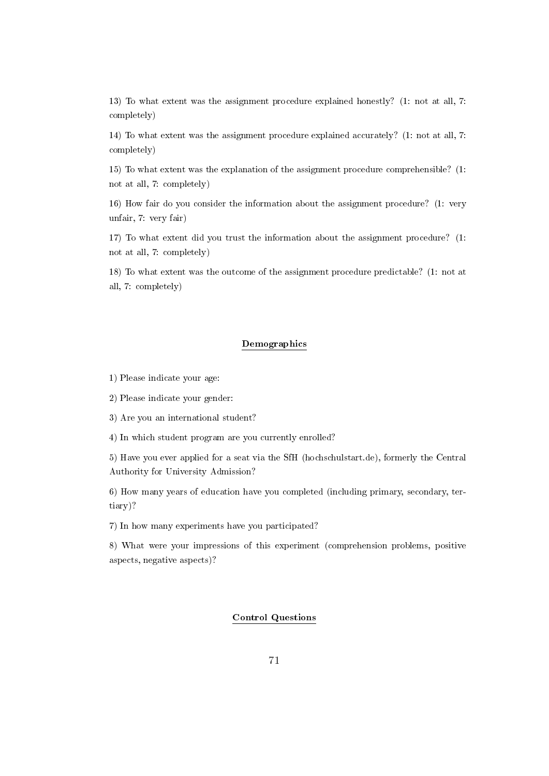13) To what extent was the assignment procedure explained honestly? (1: not at all, 7: completely)

14) To what extent was the assignment procedure explained accurately? (1: not at all, 7: completely)

15) To what extent was the explanation of the assignment procedure comprehensible? (1: not at all, 7: completely)

16) How fair do you consider the information about the assignment procedure? (1: very unfair, 7: very fair)

17) To what extent did you trust the information about the assignment procedure? (1: not at all, 7: completely)

18) To what extent was the outcome of the assignment procedure predictable? (1: not at all, 7: completely)

## Demographics

1) Please indicate your age:

2) Please indicate your gender:

3) Are you an international student?

4) In which student program are you currently enrolled?

5) Have you ever applied for a seat via the SfH (hochschulstart.de), formerly the Central Authority for University Admission?

6) How many years of education have you completed (including primary, secondary, tertiary)?

7) In how many experiments have you participated?

8) What were your impressions of this experiment (comprehension problems, positive aspects, negative aspects)?

## Control Questions